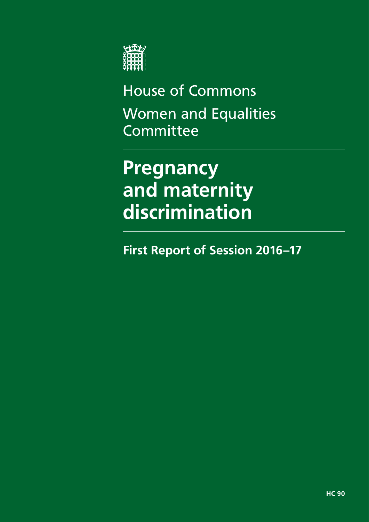

House of Commons Women and Equalities **Committee** 

# **Pregnancy and maternity discrimination**

**First Report of Session 2016–17**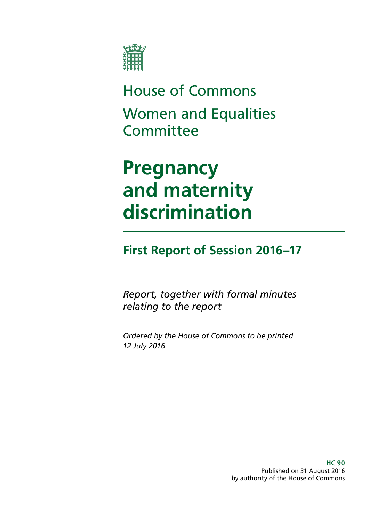

House of Commons Women and Equalities **Committee** 

# **Pregnancy and maternity discrimination**

## **First Report of Session 2016–17**

*Report, together with formal minutes relating to the report* 

*Ordered by the House of Commons to be printed 12 July 2016* 

> **HC 90**  Published on 31 August 2016 by authority of the House of Commons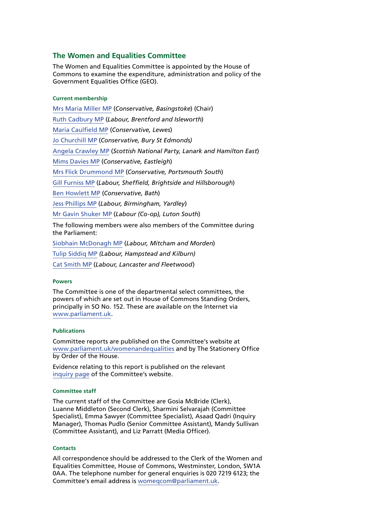#### **The Women and Equalities Committee**

The Women and Equalities Committee is appointed by the House of Commons to examine the expenditure, administration and policy of the Government Equalities Office (GEO).

#### **Current membership**

[Mrs Maria Miller MP](http://www.parliament.uk/biographies/commons/mrs-maria-miller/1480) (*Conservative, Basingstoke*) (Chair) [Ruth Cadbury MP](http://www.parliament.uk/biographies/commons/ruth-cadbury/4389) (*Labour, Brentford and Isleworth*) [Maria Caulfield MP](http://www.parliament.uk/biographies/commons/maria-caulfield/4492) (*Conservative, Lewes*) [Jo Churchill MP](http://www.parliament.uk/biographies/commons/jo-churchill/4380) (*Conservative, Bury St Edmonds)* [Angela Crawley MP](http://www.parliament.uk/biographies/commons/angela-crawley/4469) (*Scottish National Party, Lanark and Hamilton East*) [Mims Davies MP](http://www.parliament.uk/biographies/commons/mims-davies/4513) (*Conservative, Eastleigh*) [Mrs Flick Drummond MP](http://www.parliament.uk/biographies/commons/mrs-flick-drummond/4459) (*Conservative, Portsmouth South*) [Gill Furniss MP](http://www.parliament.uk/biographies/commons/gill-furniss/4571) (*Labour, Sheffield, Brightside and Hillsborough*) [Ben Howlett MP](http://www.parliament.uk/biographies/commons/ben-howlett/4445) (*Conservative, Bath*) [Jess Phillips MP](http://www.parliament.uk/biographies/commons/jess-phillips/4370) (*Labour, Birmingham, Yardley*) [Mr Gavin Shuker MP](http://www.parliament.uk/biographies/commons/mr-gavin-shuker/4013) (*Labour (Co-op), Luton South*) The following members were also members of the Committee during the Parliament: [Siobhain McDonagh MP](http://www.parliament.uk/biographies/commons/siobhain-mcdonagh/193) (*Labour, Mitcham and Morden*)

[Tulip Siddiq MP](http://www.parliament.uk/biographies/commons/tulip-siddiq/4518) *(Labour, Hampstead and Kilburn)* [Cat Smith MP](http://www.parliament.uk/biographies/commons/cat-smith/4436) (*Labour, Lancaster and Fleetwood*)

#### **Powers**

The Committee is one of the departmental select committees, the powers of which are set out in House of Commons Standing Orders, principally in SO No. 152. These are available on the Internet via [www.parliament.uk](http://www.parliament.uk/).

#### **Publications**

Committee reports are published on the Committee's website at [www.parliament.uk/womenandequalities](http://www.parliament.uk/womenandequalities) and by The Stationery Office by Order of the House.

Evidence relating to this report is published on the relevant [inquiry page](http://www.parliament.uk/business/committees/committees-a-z/commons-select/women-and-equalities-committee/inquiries/parliament-2015/pregnancy-and-maternity-discrimination-15-16/) of the Committee's website.

#### **Committee staff**

The current staff of the Committee are Gosia McBride (Clerk), Luanne Middleton (Second Clerk), Sharmini Selvarajah (Committee Specialist), Emma Sawyer (Committee Specialist), Asaad Qadri (Inquiry Manager), Thomas Pudlo (Senior Committee Assistant), Mandy Sullivan (Committee Assistant), and Liz Parratt (Media Officer).

#### **Contacts**

All correspondence should be addressed to the Clerk of the Women and Equalities Committee, House of Commons, Westminster, London, SW1A 0AA. The telephone number for general enquiries is 020 7219 6123; the Committee's email address is [womeqcom@parliament.uk](mailto:womeqcom@parliament.uk).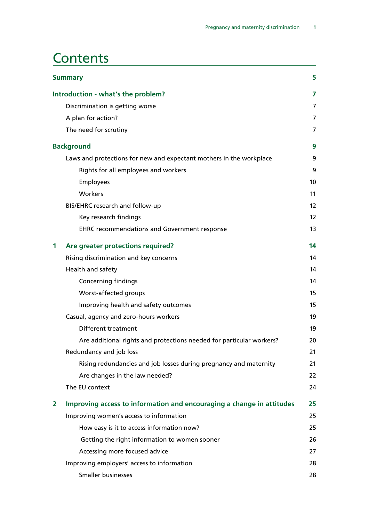### **Contents**

| <b>Summary</b>                     |                                                                       |                |
|------------------------------------|-----------------------------------------------------------------------|----------------|
| Introduction - what's the problem? |                                                                       |                |
|                                    | Discrimination is getting worse                                       | $\overline{7}$ |
|                                    | A plan for action?                                                    | 7              |
|                                    | The need for scrutiny                                                 | $\overline{7}$ |
|                                    | <b>Background</b>                                                     | 9              |
|                                    | Laws and protections for new and expectant mothers in the workplace   | 9              |
|                                    | Rights for all employees and workers                                  | 9              |
|                                    | Employees                                                             | 10             |
|                                    | Workers                                                               | 11             |
|                                    | BIS/EHRC research and follow-up                                       | 12             |
|                                    | Key research findings                                                 | 12             |
|                                    | <b>EHRC recommendations and Government response</b>                   | 13             |
| 1                                  | Are greater protections required?                                     | 14             |
|                                    | Rising discrimination and key concerns                                | 14             |
|                                    | Health and safety                                                     | 14             |
|                                    | <b>Concerning findings</b>                                            | 14             |
|                                    | Worst-affected groups                                                 | 15             |
|                                    | Improving health and safety outcomes                                  | 15             |
|                                    | Casual, agency and zero-hours workers                                 | 19             |
|                                    | Different treatment                                                   | 19             |
|                                    | Are additional rights and protections needed for particular workers?  | 20             |
|                                    | Redundancy and job loss                                               | 21             |
|                                    | Rising redundancies and job losses during pregnancy and maternity     | 21             |
|                                    | Are changes in the law needed?                                        | 22             |
|                                    | The EU context                                                        | 24             |
| 2                                  | Improving access to information and encouraging a change in attitudes | 25             |
|                                    | Improving women's access to information                               | 25             |
|                                    | How easy is it to access information now?                             | 25             |
|                                    | Getting the right information to women sooner                         | 26             |
|                                    | Accessing more focused advice                                         | 27             |
|                                    | Improving employers' access to information                            | 28             |
|                                    | Smaller businesses                                                    | 28             |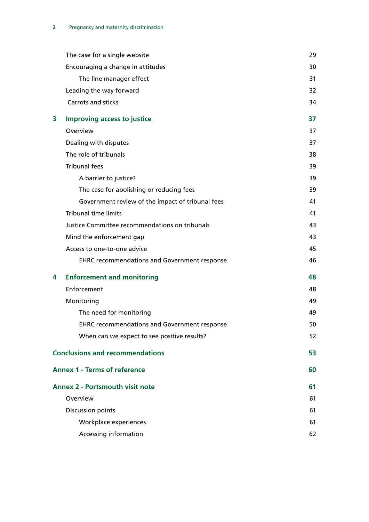|   | The case for a single website                       | 29 |
|---|-----------------------------------------------------|----|
|   | Encouraging a change in attitudes                   | 30 |
|   | The line manager effect                             | 31 |
|   | Leading the way forward                             | 32 |
|   | <b>Carrots and sticks</b>                           | 34 |
| 3 | <b>Improving access to justice</b>                  | 37 |
|   | Overview                                            | 37 |
|   | Dealing with disputes                               | 37 |
|   | The role of tribunals                               | 38 |
|   | <b>Tribunal fees</b>                                | 39 |
|   | A barrier to justice?                               | 39 |
|   | The case for abolishing or reducing fees            | 39 |
|   | Government review of the impact of tribunal fees    | 41 |
|   | <b>Tribunal time limits</b>                         | 41 |
|   | Justice Committee recommendations on tribunals      | 43 |
|   | Mind the enforcement gap                            | 43 |
|   | Access to one-to-one advice                         | 45 |
|   | <b>EHRC recommendations and Government response</b> | 46 |
| 4 | <b>Enforcement and monitoring</b>                   | 48 |
|   | Enforcement                                         | 48 |
|   | Monitoring                                          | 49 |
|   | The need for monitoring                             | 49 |
|   | <b>EHRC recommendations and Government response</b> | 50 |
|   | When can we expect to see positive results?         | 52 |
|   | <b>Conclusions and recommendations</b>              | 53 |
|   | <b>Annex 1 - Terms of reference</b>                 | 60 |
|   | <b>Annex 2 - Portsmouth visit note</b>              | 61 |
|   | Overview                                            | 61 |
|   | <b>Discussion points</b>                            | 61 |
|   | Workplace experiences                               | 61 |
|   | Accessing information                               | 62 |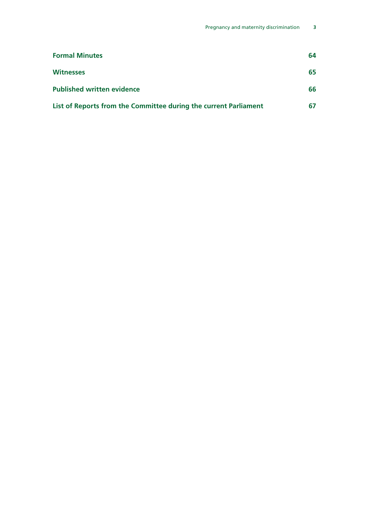| <b>Formal Minutes</b>                                            | 64  |
|------------------------------------------------------------------|-----|
| <b>Witnesses</b>                                                 | 65  |
| <b>Published written evidence</b>                                | 66. |
| List of Reports from the Committee during the current Parliament |     |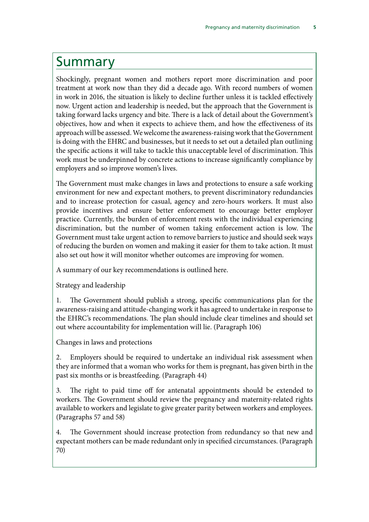### <span id="page-8-0"></span>Summary

Shockingly, pregnant women and mothers report more discrimination and poor treatment at work now than they did a decade ago. With record numbers of women in work in 2016, the situation is likely to decline further unless it is tackled effectively now. Urgent action and leadership is needed, but the approach that the Government is taking forward lacks urgency and bite. There is a lack of detail about the Government's objectives, how and when it expects to achieve them, and how the effectiveness of its approach will be assessed. We welcome the awareness-raising work that the Government is doing with the EHRC and businesses, but it needs to set out a detailed plan outlining the specific actions it will take to tackle this unacceptable level of discrimination. This work must be underpinned by concrete actions to increase significantly compliance by employers and so improve women's lives.

The Government must make changes in laws and protections to ensure a safe working environment for new and expectant mothers, to prevent discriminatory redundancies and to increase protection for casual, agency and zero-hours workers. It must also provide incentives and ensure better enforcement to encourage better employer practice. Currently, the burden of enforcement rests with the individual experiencing discrimination, but the number of women taking enforcement action is low. The Government must take urgent action to remove barriers to justice and should seek ways of reducing the burden on women and making it easier for them to take action. It must also set out how it will monitor whether outcomes are improving for women.

A summary of our key recommendations is outlined here.

Strategy and leadership

1. The Government should publish a strong, specific communications plan for the awareness-raising and attitude-changing work it has agreed to undertake in response to the EHRC's recommendations. The plan should include clear timelines and should set out where accountability for implementation will lie. (Paragraph 106)

Changes in laws and protections

2. Employers should be required to undertake an individual risk assessment when they are informed that a woman who works for them is pregnant, has given birth in the past six months or is breastfeeding. (Paragraph 44)

3. The right to paid time off for antenatal appointments should be extended to workers. The Government should review the pregnancy and maternity-related rights available to workers and legislate to give greater parity between workers and employees. (Paragraphs 57 and 58)

4. The Government should increase protection from redundancy so that new and expectant mothers can be made redundant only in specified circumstances. (Paragraph 70)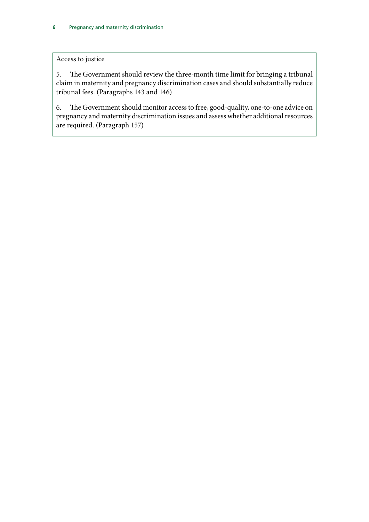#### Access to justice

5. The Government should review the three-month time limit for bringing a tribunal claim in maternity and pregnancy discrimination cases and should substantially reduce tribunal fees. (Paragraphs 143 and 146)

6. The Government should monitor access to free, good-quality, one-to-one advice on pregnancy and maternity discrimination issues and assess whether additional resources are required. (Paragraph 157)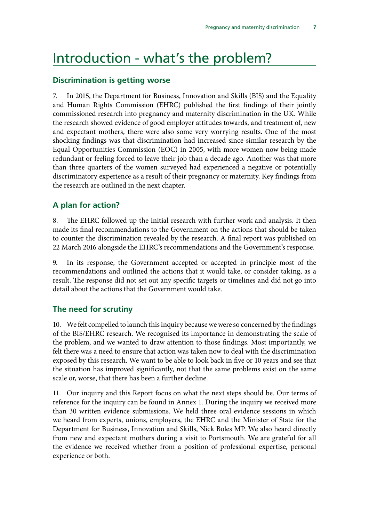### <span id="page-10-0"></span>Introduction - what's the problem?

#### **Discrimination is getting worse**

7. In 2015, the Department for Business, Innovation and Skills (BIS) and the Equality and Human Rights Commission (EHRC) published the first findings of their jointly commissioned research into pregnancy and maternity discrimination in the UK. While the research showed evidence of good employer attitudes towards, and treatment of, new and expectant mothers, there were also some very worrying results. One of the most shocking findings was that discrimination had increased since similar research by the Equal Opportunities Commission (EOC) in 2005, with more women now being made redundant or feeling forced to leave their job than a decade ago. Another was that more than three quarters of the women surveyed had experienced a negative or potentially discriminatory experience as a result of their pregnancy or maternity. Key findings from the research are outlined in the next chapter.

#### **A plan for action?**

8. The EHRC followed up the initial research with further work and analysis. It then made its final recommendations to the Government on the actions that should be taken to counter the discrimination revealed by the research. A final report was published on 22 March 2016 alongside the EHRC's recommendations and the Government's response.

9. In its response, the Government accepted or accepted in principle most of the recommendations and outlined the actions that it would take, or consider taking, as a result. The response did not set out any specific targets or timelines and did not go into detail about the actions that the Government would take.

#### **The need for scrutiny**

10. We felt compelled to launch this inquiry because we were so concerned by the findings of the BIS/EHRC research. We recognised its importance in demonstrating the scale of the problem, and we wanted to draw attention to those findings. Most importantly, we felt there was a need to ensure that action was taken now to deal with the discrimination exposed by this research. We want to be able to look back in five or 10 years and see that the situation has improved significantly, not that the same problems exist on the same scale or, worse, that there has been a further decline.

11. Our inquiry and this Report focus on what the next steps should be. Our terms of reference for the inquiry can be found in Annex 1. During the inquiry we received more than 30 written evidence submissions. We held three oral evidence sessions in which we heard from experts, unions, employers, the EHRC and the Minister of State for the Department for Business, Innovation and Skills, Nick Boles MP. We also heard directly from new and expectant mothers during a visit to Portsmouth. We are grateful for all the evidence we received whether from a position of professional expertise, personal experience or both.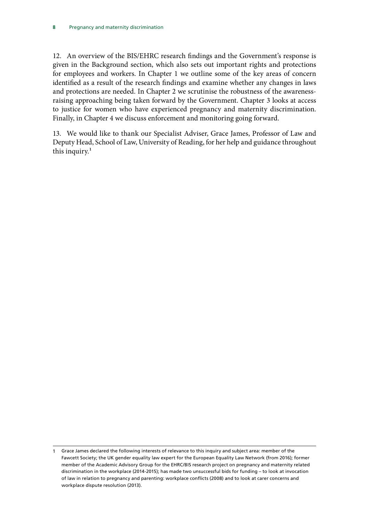12. An overview of the BIS/EHRC research findings and the Government's response is given in the Background section, which also sets out important rights and protections for employees and workers. In Chapter 1 we outline some of the key areas of concern identified as a result of the research findings and examine whether any changes in laws and protections are needed. In Chapter 2 we scrutinise the robustness of the awarenessraising approaching being taken forward by the Government. Chapter 3 looks at access to justice for women who have experienced pregnancy and maternity discrimination. Finally, in Chapter 4 we discuss enforcement and monitoring going forward.

13. We would like to thank our Specialist Adviser, Grace James, Professor of Law and Deputy Head, School of Law, University of Reading, for her help and guidance throughout this inquiry. $1$ 

Grace James declared the following interests of relevance to this inquiry and subject area: member of the Fawcett Society; the UK gender equality law expert for the European Equality Law Network (from 2016); former member of the Academic Advisory Group for the EHRC/BIS research project on pregnancy and maternity related discrimination in the workplace (2014-2015); has made two unsuccessful bids for funding – to look at invocation of law in relation to pregnancy and parenting: workplace conflicts (2008) and to look at carer concerns and workplace dispute resolution (2013). 1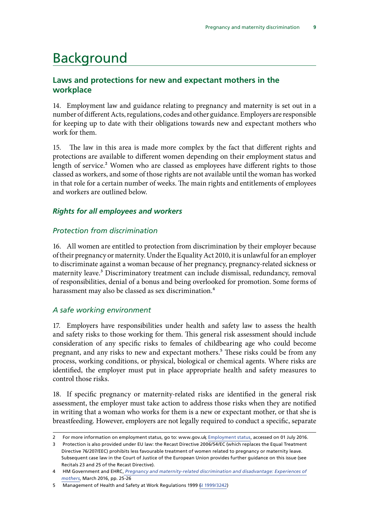### <span id="page-12-0"></span>Background

#### **Laws and protections for new and expectant mothers in the workplace**

14. Employment law and guidance relating to pregnancy and maternity is set out in a number of different Acts, regulations, codes and other guidance. Employers are responsible for keeping up to date with their obligations towards new and expectant mothers who work for them.

15. The law in this area is made more complex by the fact that different rights and protections are available to different women depending on their employment status and length of service.<sup>2</sup> Women who are classed as employees have different rights to those classed as workers, and some of those rights are not available until the woman has worked in that role for a certain number of weeks. The main rights and entitlements of employees and workers are outlined below.

#### *Rights for all employees and workers*

#### *Protection from discrimination*

16. All women are entitled to protection from discrimination by their employer because of their pregnancy or maternity. Under the Equality Act 2010, it is unlawful for an employer to discriminate against a woman because of her pregnancy, pregnancy-related sickness or maternity leave.<sup>3</sup> Discriminatory treatment can include dismissal, redundancy, removal of responsibilities, denial of a bonus and being overlooked for promotion. Some forms of harassment may also be classed as sex discrimination.<sup>4</sup>

#### *A safe working environment*

17. Employers have responsibilities under health and safety law to assess the health and safety risks to those working for them. This general risk assessment should include consideration of any specific risks to females of childbearing age who could become pregnant, and any risks to new and expectant mothers.<sup>5</sup> These risks could be from any process, working conditions, or physical, biological or chemical agents. Where risks are identified, the employer must put in place appropriate health and safety measures to control those risks.

18. If specific pregnancy or maternity-related risks are identified in the general risk assessment, the employer must take action to address those risks when they are notified in writing that a woman who works for them is a new or expectant mother, or that she is breastfeeding. However, employers are not legally required to conduct a specific, separate

<sup>2</sup> For more information on employment status, go to: www.gov.uk, [Employment status](https://www.gov.uk/employment-status/employee), accessed on 01 July 2016.

 3 Protection is also provided under EU law: the Recast Directive 2006/54/EC (which replaces the Equal Treatment Directive 76/207/EEC) prohibits less favourable treatment of women related to pregnancy or maternity leave. Subsequent case law in the Court of Justice of the European Union provides further guidance on this issue (see Recitals 23 and 25 of the Recast Directive).

 4 HM Government and EHRC, *[Pregnancy and maternity-related discrimination and disadvantage: Experiences of](https://www.equalityhumanrights.com/en/file/10511/download?token=fhYbcMUf)  [mothers](https://www.equalityhumanrights.com/en/file/10511/download?token=fhYbcMUf)*, March 2016, pp. 25-26

 $\overline{5}$ Management of Health and Safety at Work Regulations 1999 6I 1999/3242)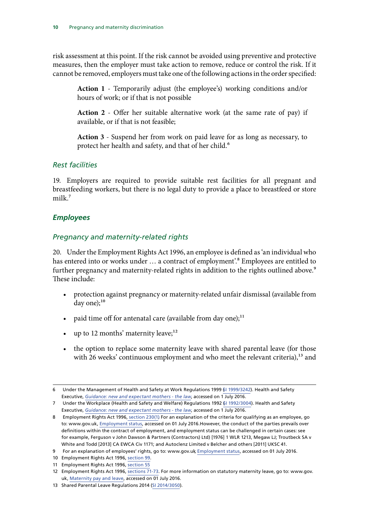<span id="page-13-0"></span>risk assessment at this point. If the risk cannot be avoided using preventive and protective measures, then the employer must take action to remove, reduce or control the risk. If it cannot be removed, employers must take one of the following actions in the order specified:

**Action 1** - Temporarily adjust (the employee's) working conditions and/or hours of work; or if that is not possible

**Action 2** - Offer her suitable alternative work (at the same rate of pay) if available, or if that is not feasible;

**Action 3** - Suspend her from work on paid leave for as long as necessary, to protect her health and safety, and that of her child.<sup>6</sup>

#### *Rest facilities*

19. Employers are required to provide suitable rest facilities for all pregnant and breastfeeding workers, but there is no legal duty to provide a place to breastfeed or store milk.<sup>7</sup>

#### *Employees*

#### *Pregnancy and maternity-related rights*

20. Under the Employment Rights Act 1996, an employee is defined as 'an individual who has entered into or works under ... a contract of employment'.<sup>8</sup> Employees are entitled to further pregnancy and maternity-related rights in addition to the rights outlined above.<sup>9</sup> These include:

- protection against pregnancy or maternity-related unfair dismissal (available from day one); $^{10}$
- paid time off for antenatal care (available from day one);<sup>11</sup>
- up to 12 months' maternity leave; $^{12}$
- the option to replace some maternity leave with shared parental leave (for those with 26 weeks' continuous employment and who meet the relevant criteria),<sup>13</sup> and

11 Employment Rights Act 1996, [section 55](http://www.legislation.gov.uk/ukpga/1996/18/section/55)

Under the Management of Health and Safety at Work Regulations 1999 (Fill 1999/3242). Health and Safety Executive, *[Guidance: new and expectant mothers - the law](http://www.hse.gov.uk/mothers/law.htm)*, accessed on 1 July 2016.

<sup>7</sup> Under the Workplace (Health and Safety and Welfare) Regulations 1992  $\beta$ I 1992/3004). Health and Safety Executive, *[Guidance: new and expectant mothers - the law](http://www.hse.gov.uk/mothers/law.htm)*, accessed on 1 July 2016.

 8 Employment Rights Act 1996[, section 230\(1](http://www.legislation.gov.uk/ukpga/1996/18/section/230)). For an explanation of the criteria for qualifying as an employee, go to: www.gov.uk, [Employment status](https://www.gov.uk/employment-status/employee), accessed on 01 July 2016.However, the conduct of the parties prevails over definitions within the contract of employment, and employment status can be challenged in certain cases: see for example, Ferguson v John Dawson & Partners (Contractors) Ltd) [1976] 1 WLR 1213, Megaw LJ; Troutbeck SA v White and Todd [2013] CA EWCA Civ 1171; and Autoclenz Limited v Belcher and others [2011] UKSC 41.

 9 For an explanation of employees' rights, go to: www.gov.uk, [Employment status,](https://www.gov.uk/employment-status/employee) accessed on 01 July 2016.

 10 Employment Rights Act 1996, [section 99](http://www.legislation.gov.uk/ukpga/1996/18/section/99).

<sup>12</sup> Employment Rights Act 1996, [sections 71-73.](http://www.legislation.gov.uk/ukpga/1996/18/part/VIII/chapter/I) For more information on statutory maternity leave, go to: www.gov. uk, [Maternity pay and leave](https://www.gov.uk/maternity-pay-leave/overview), accessed on 01 July 2016.

<sup>13</sup> Shared Parental Leave Regulations 2014 ([SI 2014/3050](http://www.legislation.gov.uk/uksi/2014/3050/pdfs/uksi_20143050_en.pdf)).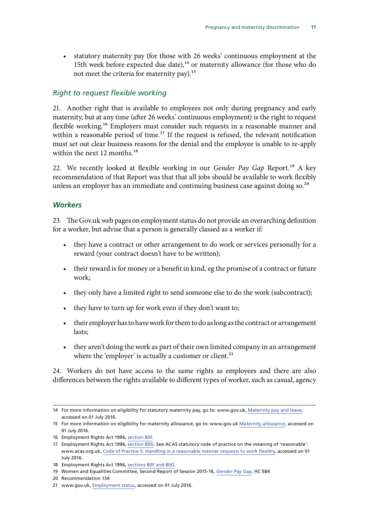<span id="page-14-0"></span>• statutory maternity pay (for those with 26 weeks' continuous employment at the 15th week before expected due date), $14$  or maternity allowance (for those who do not meet the criteria for maternity pay).<sup>15</sup>

#### *Right to request flexible working*

21. Another right that is available to employees not only during pregnancy and early maternity, but at any time (after 26 weeks' continuous employment) is the right to request flexible working.<sup>16</sup> Employers must consider such requests in a reasonable manner and within a reasonable period of time.<sup>17</sup> If the request is refused, the relevant notification must set out clear business reasons for the denial and the employee is unable to re-apply within the next 12 months.<sup>18</sup>

22. We recently looked at flexible working in our *Gender Pay Gap* Report.19 A key recommendation of that Report was that that all jobs should be available to work flexibly unless an employer has an immediate and continuing business case against doing so.<sup>20</sup>

#### *Workers*

23. The Gov.uk web pages on employment status do not provide an overarching definition for a worker, but advise that a person is generally classed as a worker if:

- they have a contract or other arrangement to do work or services personally for a reward (your contract doesn't have to be written);
- their reward is for money or a benefit in kind, eg the promise of a contract or future work;
- they only have a limited right to send someone else to do the work (subcontract);
- they have to turn up for work even if they don't want to;
- their employer has to have work for them to do as long as the contract or arrangement lasts;
- they aren't doing the work as part of their own limited company in an arrangement where the 'employer' is actually a customer or client.<sup>21</sup>

24. Workers do not have access to the same rights as employees and there are also differences between the rights available to different types of worker, such as casual, agency

<sup>14</sup> For more information on eligibility for statutory maternity pay, go to: www.gov.uk, [Maternity pay and leave,](https://www.gov.uk/maternity-pay-leave/overview) accessed on 01 July 2016.

<sup>15</sup> For more information on eligibility for maternity allowance, go to: www.gov.uk [Maternity allowance](https://hopuk.sharepoint.com/sites/womenandequalities/Shared%20Documents/Inquiries/Maternity%20and%20Pregnancy%20Discrimination/Maternity%20allowance), accessed on 01 July 2016.

<sup>16</sup> Employment Rights Act 1996, [section 80F.](http://www.legislation.gov.uk/ukpga/1996/18/part/8A)

<sup>17</sup> Employment Rights Act 1996, [section 80G](http://www.legislation.gov.uk/ukpga/1996/18/part/8A). See ACAS statutory code of practice on the meaning of 'reasonable': www.acas.org.uk, [Code of Practice 5: Handling in a reasonable manner requests to work flexibly,](http://www.acas.org.uk/media/pdf/f/e/Code-of-Practice-on-handling-in-a-reasonable-manner-requests-to-work-flexibly.pdf) accessed on 01 July 2016.

<sup>18</sup> Employment Rights Act 1996, [sections 80F and 80G.](http://www.legislation.gov.uk/ukpga/1996/18/part/8A)

<sup>19</sup> Women and Equalities Committee, Second Report of Session 2015-16, *[Gender Pay Gap](http://www.publications.parliament.uk/pa/cm201516/cmselect/cmwomeq/584/58402.htm)*, HC 584

<sup>20</sup> Recommendation 134

<sup>21</sup> www.gov.uk, [Employment status,](https://www.gov.uk/employment-status/employee) accessed on 01 July 2016.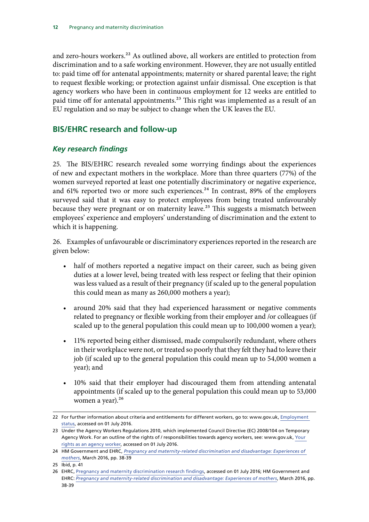<span id="page-15-0"></span>and zero-hours workers.<sup>22</sup> As outlined above, all workers are entitled to protection from discrimination and to a safe working environment. However, they are not usually entitled to: paid time off for antenatal appointments; maternity or shared parental leave; the right to request flexible working; or protection against unfair dismissal. One exception is that agency workers who have been in continuous employment for 12 weeks are entitled to paid time off for antenatal appointments.<sup>23</sup> This right was implemented as a result of an EU regulation and so may be subject to change when the UK leaves the EU.

#### **BIS/EHRC research and follow-up**

#### *Key research findings*

25. The BIS/EHRC research revealed some worrying findings about the experiences of new and expectant mothers in the workplace. More than three quarters (77%) of the women surveyed reported at least one potentially discriminatory or negative experience, and 61% reported two or more such experiences.<sup>24</sup> In contrast, 89% of the employers surveyed said that it was easy to protect employees from being treated unfavourably because they were pregnant or on maternity leave.<sup>25</sup> This suggests a mismatch between employees' experience and employers' understanding of discrimination and the extent to which it is happening.

26. Examples of unfavourable or discriminatory experiences reported in the research are given below:

- half of mothers reported a negative impact on their career, such as being given duties at a lower level, being treated with less respect or feeling that their opinion was less valued as a result of their pregnancy (if scaled up to the general population this could mean as many as 260,000 mothers a year);
- around 20% said that they had experienced harassment or negative comments related to pregnancy or flexible working from their employer and /or colleagues (if scaled up to the general population this could mean up to 100,000 women a year);
- 11% reported being either dismissed, made compulsorily redundant, where others in their workplace were not, or treated so poorly that they felt they had to leave their job (if scaled up to the general population this could mean up to 54,000 women a year); and
- 10% said that their employer had discouraged them from attending antenatal appointments (if scaled up to the general population this could mean up to 53,000 women a year).<sup>26</sup>

<sup>22</sup> For further information about criteria and entitlements for different workers, go to: www.gov.uk, Employment [status,](https://www.gov.uk/employment-status/employee) accessed on 01 July 2016.

<sup>23</sup> Under the Agency Workers Regulations 2010, which implemented Council Directive (EC) 2008/104 on Temporary Agency Work. For an outline of the rights of / responsibilities towards agency workers, see: www.gov.uk, [Your](https://www.gov.uk/agency-workers-your-rights)  [rights as an agency worker,](https://www.gov.uk/agency-workers-your-rights) accessed on 01 July 2016.

<sup>24</sup> HM Government and EHRC, *[Pregnancy and maternity-related discrimination and disadvantage: Experiences of](https://www.equalityhumanrights.com/en/file/10511/download?token=fhYbcMUf)  [mothers](https://www.equalityhumanrights.com/en/file/10511/download?token=fhYbcMUf)*, March 2016, pp. 38-39

<sup>25</sup> Ibid, p. 41

<sup>26</sup> EHRC, [Pregnancy and maternity discrimination research findings](https://www.equalityhumanrights.com/en/managing-pregnancy-and-maternity-workplace/pregnancy-and-maternity-discrimination-research-findings), accessed on 01 July 2016; HM Government and EHRC: *[Pregnancy and maternity-related discrimination and disadvantage: Experiences of mothers](https://www.equalityhumanrights.com/en/file/10511/download?token=fhYbcMUf)*, March 2016, pp. 38-39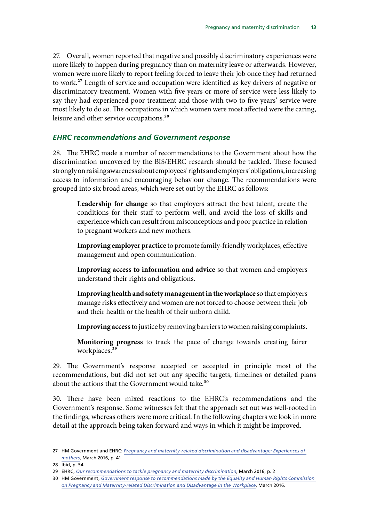<span id="page-16-0"></span>27. Overall, women reported that negative and possibly discriminatory experiences were more likely to happen during pregnancy than on maternity leave or afterwards. However, women were more likely to report feeling forced to leave their job once they had returned to work.<sup>27</sup> Length of service and occupation were identified as key drivers of negative or discriminatory treatment. Women with five years or more of service were less likely to say they had experienced poor treatment and those with two to five years' service were most likely to do so. The occupations in which women were most affected were the caring, leisure and other service occupations.<sup>28</sup>

#### *EHRC recommendations and Government response*

28. The EHRC made a number of recommendations to the Government about how the discrimination uncovered by the BIS/EHRC research should be tackled. These focused strongly on raising awareness about employees' rights and employers' obligations, increasing access to information and encouraging behaviour change. The recommendations were grouped into six broad areas, which were set out by the EHRC as follows:

**Leadership for change** so that employers attract the best talent, create the conditions for their staff to perform well, and avoid the loss of skills and experience which can result from misconceptions and poor practice in relation to pregnant workers and new mothers.

**Improving employer practice** to promote family-friendly workplaces, effective management and open communication.

**Improving access to information and advice** so that women and employers understand their rights and obligations.

**Improving health and safety management in the workplace** so that employers manage risks effectively and women are not forced to choose between their job and their health or the health of their unborn child.

**Improving access** to justice by removing barriers to women raising complaints.

**Monitoring progress** to track the pace of change towards creating fairer workplaces.<sup>29</sup>

29. The Government's response accepted or accepted in principle most of the recommendations, but did not set out any specific targets, timelines or detailed plans about the actions that the Government would take.<sup>30</sup>

30. There have been mixed reactions to the EHRC's recommendations and the Government's response. Some witnesses felt that the approach set out was well-rooted in the findings, whereas others were more critical. In the following chapters we look in more detail at the approach being taken forward and ways in which it might be improved.

<sup>27</sup> HM Government and EHRC: Pregnancy and maternity-related discrimination and disadvantage: Experiences of *[mothers](https://www.equalityhumanrights.com/en/file/10511/download?token=fhYbcMUf)*, March 2016, p. 41

<sup>28</sup> Ibid, p. 54

<sup>29</sup> EHRC, *[Our recommendations to tackle pregnancy and maternity discrimination](http://www.equalityhumanrights.com/en/managing-pregnancy-and-maternity-workplace/our-recommendations-tackle-pregnancy-and-maternity)*, March 2016, p. 2

<sup>30</sup> HM Government, *[Government response to recommendations made by the Equality and Human Rights Commission](https://www.gov.uk/government/uploads/system/uploads/attachment_data/file/509571/bis-16-148-government-response-to-recommendations-by-EHRC-on-pregnancy-and-maternity-related-discrimination.pdf)  [on Pregnancy and Maternity-related Discrimination and Disadvantage in the Workplace](https://www.gov.uk/government/uploads/system/uploads/attachment_data/file/509571/bis-16-148-government-response-to-recommendations-by-EHRC-on-pregnancy-and-maternity-related-discrimination.pdf)*, March 2016.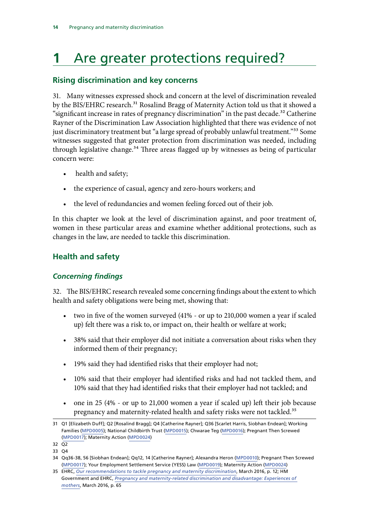## <span id="page-17-0"></span>**1** Are greater protections required?

#### **Rising discrimination and key concerns**

31. Many witnesses expressed shock and concern at the level of discrimination revealed by the BIS/EHRC research.<sup>31</sup> Rosalind Bragg of Maternity Action told us that it showed a "significant increase in rates of pregnancy discrimination" in the past decade.<sup>32</sup> Catherine Rayner of the Discrimination Law Association highlighted that there was evidence of not just discriminatory treatment but "a large spread of probably unlawful treatment."<sup>33</sup> Some witnesses suggested that greater protection from discrimination was needed, including through legislative change.<sup>34</sup> Three areas flagged up by witnesses as being of particular concern were:

- health and safety;
- the experience of casual, agency and zero-hours workers; and
- the level of redundancies and women feeling forced out of their job.

In this chapter we look at the level of discrimination against, and poor treatment of, women in these particular areas and examine whether additional protections, such as changes in the law, are needed to tackle this discrimination.

#### **Health and safety**

#### *Concerning findings*

32. The BIS/EHRC research revealed some concerning findings about the extent to which health and safety obligations were being met, showing that:

- two in five of the women surveyed (41% or up to 210,000 women a year if scaled up) felt there was a risk to, or impact on, their health or welfare at work;
- 38% said that their employer did not initiate a conversation about risks when they informed them of their pregnancy;
- 19% said they had identified risks that their employer had not;
- 10% said that their employer had identified risks and had not tackled them, and 10% said that they had identified risks that their employer had not tackled; and
- one in 25 (4% or up to 21,000 women a year if scaled up) left their job because pregnancy and maternity-related health and safety risks were not tackled.<sup>35</sup>

<sup>31</sup> Q1 [Elizabeth Duff]; Q2 [Rosalind Bragg]; Q4 [Catherine Rayner]; Q36 [Scarlet Harris, Siobhan Endean]; Working Families [\(MPD0005\)](http://data.parliament.uk/writtenevidence/committeeevidence.svc/evidencedocument/women-and-equalities-committee/maternity-and-pregnancy-discrimination/written/31778.html); National Childbirth Trust ([MPD0015\)](http://data.parliament.uk/writtenevidence/committeeevidence.svc/evidencedocument/women-and-equalities-committee/maternity-and-pregnancy-discrimination/written/31959.html); Chwarae Teg ([MPD0016](http://data.parliament.uk/writtenevidence/committeeevidence.svc/evidencedocument/women-and-equalities-committee/maternity-and-pregnancy-discrimination/written/31967.html)); Pregnant Then Screwed ([MPD0017\)](http://data.parliament.uk/writtenevidence/committeeevidence.svc/evidencedocument/women-and-equalities-committee/maternity-and-pregnancy-discrimination/written/31974.html); Maternity Action [\(MPD0024](http://data.parliament.uk/writtenevidence/committeeevidence.svc/evidencedocument/women-and-equalities-committee/maternity-and-pregnancy-discrimination/written/33313.html))

 32 Q2

 33 Q4

 34 Qq36-38, 56 [Siobhan Endean]; Qq12, 14 [Catherine Rayner]; Alexandra Heron [\(MPD0010](http://data.parliament.uk/writtenevidence/committeeevidence.svc/evidencedocument/women-and-equalities-committee/maternity-and-pregnancy-discrimination/written/31871.html)); Pregnant Then Screwed ([MPD0017\)](http://data.parliament.uk/writtenevidence/committeeevidence.svc/evidencedocument/women-and-equalities-committee/maternity-and-pregnancy-discrimination/written/31974.html); Your Employment Settlement Service (YESS) Law ([MPD0019\)](http://data.parliament.uk/writtenevidence/committeeevidence.svc/evidencedocument/women-and-equalities-committee/maternity-and-pregnancy-discrimination/written/32101.html); Maternity Action [\(MPD0024\)](http://data.parliament.uk/writtenevidence/committeeevidence.svc/evidencedocument/women-and-equalities-committee/maternity-and-pregnancy-discrimination/written/33313.html)

 35 EHRC, *[Our recommendations to tackle pregnancy and maternity discrimination](http://www.equalityhumanrights.com/en/managing-pregnancy-and-maternity-workplace/our-recommendations-tackle-pregnancy-and-maternity)*, March 2016, p. 12; HM Government and EHRC, *[Pregnancy and maternity-related discrimination and disadvantage: Experiences of](https://www.equalityhumanrights.com/en/file/10511/download?token=fhYbcMUf)  [mothers](https://www.equalityhumanrights.com/en/file/10511/download?token=fhYbcMUf)*, March 2016, p. 65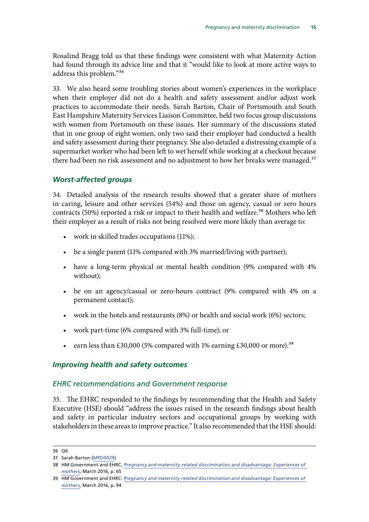<span id="page-18-0"></span>Rosalind Bragg told us that these findings were consistent with what Maternity Action had found through its advice line and that it "would like to look at more active ways to address this problem."36

33. We also heard some troubling stories about women's experiences in the workplace when their employer did not do a health and safety assessment and/or adjust work practices to accommodate their needs. Sarah Barton, Chair of Portsmouth and South East Hampshire Maternity Services Liaison Committee, held two focus group discussions with women from Portsmouth on these issues. Her summary of the discussions stated that in one group of eight women, only two said their employer had conducted a health and safety assessment during their pregnancy. She also detailed a distressing example of a supermarket worker who had been left to wet herself while working at a checkout because there had been no risk assessment and no adjustment to how her breaks were managed.<sup>37</sup>

#### *Worst-affected groups*

34. Detailed analysis of the research results showed that a greater share of mothers in caring, leisure and other services (54%) and those on agency, casual or zero hours contracts (50%) reported a risk or impact to their health and welfare.<sup>38</sup> Mothers who left their employer as a result of risks not being resolved were more likely than average to:

- • work in skilled trades occupations (11%);
- be a single parent (11% compared with 3% married/living with partner);
- have a long-term physical or mental health condition (9% compared with 4% without);
- be on an agency/casual or zero-hours contract (9% compared with 4% on a permanent contact);
- work in the hotels and restaurants  $(8%)$  or health and social work  $(6%)$  sectors;
- work part-time (6% compared with 3% full-time); or
- earn less than £30,000 (5% compared with 1% earning £30,000 or more).<sup>39</sup>

#### *Improving health and safety outcomes*

#### *EHRC recommendations and Government response*

35. The EHRC responded to the findings by recommending that the Health and Safety Executive (HSE) should "address the issues raised in the research findings about health and safety in particular industry sectors and occupational groups by working with stakeholders in these areas to improve practice." It also recommended that the HSE should:

 36 Q6

 37 Sarah Barton [\(MPD0029\)](http://data.parliament.uk/writtenevidence/committeeevidence.svc/evidencedocument/women-and-equalities-committee/maternity-and-pregnancy-discrimination/written/34036.html)

 38 HM Government and EHRC, *[Pregnancy and maternity-related discrimination and disadvantage: Experiences of](https://www.equalityhumanrights.com/en/file/10511/download?token=fhYbcMUf)  [mothers](https://www.equalityhumanrights.com/en/file/10511/download?token=fhYbcMUf)*, March 2016, p. 65

 39 HM Government and EHRC: *[Pregnancy and maternity-related discrimination and disadvantage: Experiences of](https://www.equalityhumanrights.com/en/file/10511/download?token=fhYbcMUf)  [mothers](https://www.equalityhumanrights.com/en/file/10511/download?token=fhYbcMUf)*, March 2016, p. 94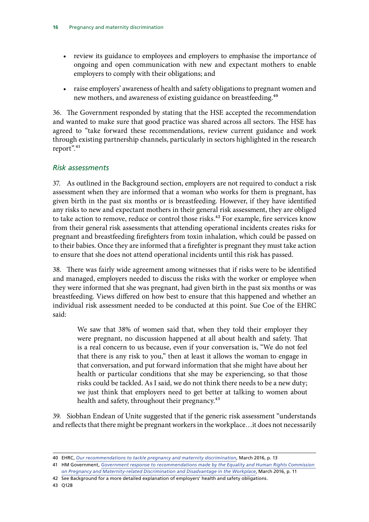- review its guidance to employees and employers to emphasise the importance of ongoing and open communication with new and expectant mothers to enable employers to comply with their obligations; and
- raise employers' awareness of health and safety obligations to pregnant women and new mothers, and awareness of existing guidance on breastfeeding.<sup>40</sup>

36. The Government responded by stating that the HSE accepted the recommendation and wanted to make sure that good practice was shared across all sectors. The HSE has agreed to "take forward these recommendations, review current guidance and work through existing partnership channels, particularly in sectors highlighted in the research report".<sup>41</sup>

#### *Risk assessments*

37. As outlined in the Background section, employers are not required to conduct a risk assessment when they are informed that a woman who works for them is pregnant, has given birth in the past six months or is breastfeeding. However, if they have identified any risks to new and expectant mothers in their general risk assessment, they are obliged to take action to remove, reduce or control those risks.<sup>42</sup> For example, fire services know from their general risk assessments that attending operational incidents creates risks for pregnant and breastfeeding firefighters from toxin inhalation, which could be passed on to their babies. Once they are informed that a firefighter is pregnant they must take action to ensure that she does not attend operational incidents until this risk has passed.

38. There was fairly wide agreement among witnesses that if risks were to be identified and managed, employers needed to discuss the risks with the worker or employee when they were informed that she was pregnant, had given birth in the past six months or was breastfeeding. Views differed on how best to ensure that this happened and whether an individual risk assessment needed to be conducted at this point. Sue Coe of the EHRC said:

We saw that 38% of women said that, when they told their employer they were pregnant, no discussion happened at all about health and safety. That is a real concern to us because, even if your conversation is, "We do not feel that there is any risk to you," then at least it allows the woman to engage in that conversation, and put forward information that she might have about her health or particular conditions that she may be experiencing, so that those risks could be tackled. As I said, we do not think there needs to be a new duty; we just think that employers need to get better at talking to women about health and safety, throughout their pregnancy.<sup>43</sup>

39. Siobhan Endean of Unite suggested that if the generic risk assessment "understands and reflects that there might be pregnant workers in the workplace…it does not necessarily

<sup>40</sup> EHRC, *[Our recommendations to tackle pregnancy and maternity discrimination](http://www.equalityhumanrights.com/en/managing-pregnancy-and-maternity-workplace/our-recommendations-tackle-pregnancy-and-maternity)*, March 2016, p. 13

<sup>41</sup> HM Government, *[Government response to recommendations made by the Equality and Human Rights Commission](https://www.gov.uk/government/uploads/system/uploads/attachment_data/file/509571/bis-16-148-government-response-to-recommendations-by-EHRC-on-pregnancy-and-maternity-related-discrimination.pdf)  [on Pregnancy and Maternity-related Discrimination and Disadvantage in the Workplace](https://www.gov.uk/government/uploads/system/uploads/attachment_data/file/509571/bis-16-148-government-response-to-recommendations-by-EHRC-on-pregnancy-and-maternity-related-discrimination.pdf)*, March 2016, p. 11

<sup>42</sup> See Background for a more detailed explanation of employers' health and safety obligations.

<sup>43</sup> Q128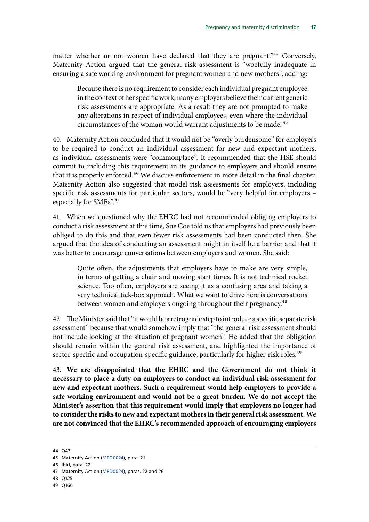matter whether or not women have declared that they are pregnant."<sup>44</sup> Conversely, Maternity Action argued that the general risk assessment is "woefully inadequate in ensuring a safe working environment for pregnant women and new mothers", adding:

Because there is no requirement to consider each individual pregnant employee in the context of her specific work, many employers believe their current generic risk assessments are appropriate. As a result they are not prompted to make any alterations in respect of individual employees, even where the individual circumstances of the woman would warrant adjustments to be made. 45

40. Maternity Action concluded that it would not be "overly burdensome" for employers to be required to conduct an individual assessment for new and expectant mothers, as individual assessments were "commonplace". It recommended that the HSE should commit to including this requirement in its guidance to employers and should ensure that it is properly enforced.<sup>46</sup> We discuss enforcement in more detail in the final chapter. Maternity Action also suggested that model risk assessments for employers, including specific risk assessments for particular sectors, would be "very helpful for employers – especially for SMEs".<sup>47</sup>

41. When we questioned why the EHRC had not recommended obliging employers to conduct a risk assessment at this time, Sue Coe told us that employers had previously been obliged to do this and that even fewer risk assessments had been conducted then. She argued that the idea of conducting an assessment might in itself be a barrier and that it was better to encourage conversations between employers and women. She said:

Quite often, the adjustments that employers have to make are very simple, in terms of getting a chair and moving start times. It is not technical rocket science. Too often, employers are seeing it as a confusing area and taking a very technical tick-box approach. What we want to drive here is conversations between women and employers ongoing throughout their pregnancy.<sup>48</sup>

42. The Minister said that "it would be a retrograde step to introduce a specific separate risk assessment" because that would somehow imply that "the general risk assessment should not include looking at the situation of pregnant women". He added that the obligation should remain within the general risk assessment, and highlighted the importance of sector-specific and occupation-specific guidance, particularly for higher-risk roles.<sup>49</sup>

43. **We are disappointed that the EHRC and the Government do not think it necessary to place a duty on employers to conduct an individual risk assessment for new and expectant mothers. Such a requirement would help employers to provide a safe working environment and would not be a great burden. We do not accept the Minister's assertion that this requirement would imply that employers no longer had to consider the risks to new and expectant mothers in their general risk assessment. We are not convinced that the EHRC's recommended approach of encouraging employers** 

<sup>44</sup> Q47

<sup>45</sup> Maternity Action [\(MPD0024](http://data.parliament.uk/writtenevidence/committeeevidence.svc/evidencedocument/women-and-equalities-committee/maternity-and-pregnancy-discrimination/written/33313.html)), para. 21

<sup>46</sup> Ibid, para. 22

<sup>47</sup> Maternity Action [\(MPD0024](http://data.parliament.uk/writtenevidence/committeeevidence.svc/evidencedocument/women-and-equalities-committee/maternity-and-pregnancy-discrimination/written/33313.html)), paras. 22 and 26

<sup>48</sup> Q125

<sup>49</sup> Q166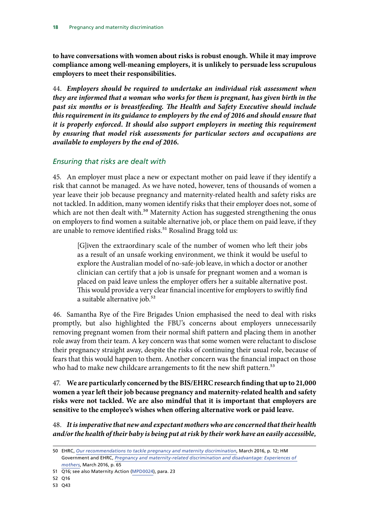**to have conversations with women about risks is robust enough. While it may improve compliance among well-meaning employers, it is unlikely to persuade less scrupulous employers to meet their responsibilities.** 

44. *Employers should be required to undertake an individual risk assessment when they are informed that a woman who works for them is pregnant, has given birth in the past six months or is breastfeeding. The Health and Safety Executive should include this requirement in its guidance to employers by the end of 2016 and should ensure that it is properly enforced. It should also support employers in meeting this requirement by ensuring that model risk assessments for particular sectors and occupations are available to employers by the end of 2016.* 

#### *Ensuring that risks are dealt with*

45. An employer must place a new or expectant mother on paid leave if they identify a risk that cannot be managed. As we have noted, however, tens of thousands of women a year leave their job because pregnancy and maternity-related health and safety risks are not tackled. In addition, many women identify risks that their employer does not, some of which are not then dealt with.<sup>50</sup> Maternity Action has suggested strengthening the onus on employers to find women a suitable alternative job, or place them on paid leave, if they are unable to remove identified risks.<sup>51</sup> Rosalind Bragg told us:

[G]iven the extraordinary scale of the number of women who left their jobs as a result of an unsafe working environment, we think it would be useful to explore the Australian model of no-safe-job leave, in which a doctor or another clinician can certify that a job is unsafe for pregnant women and a woman is placed on paid leave unless the employer offers her a suitable alternative post. This would provide a very clear financial incentive for employers to swiftly find a suitable alternative job.<sup>52</sup>

46. Samantha Rye of the Fire Brigades Union emphasised the need to deal with risks promptly, but also highlighted the FBU's concerns about employers unnecessarily removing pregnant women from their normal shift pattern and placing them in another role away from their team. A key concern was that some women were reluctant to disclose their pregnancy straight away, despite the risks of continuing their usual role, because of fears that this would happen to them. Another concern was the financial impact on those who had to make new childcare arrangements to fit the new shift pattern.<sup>53</sup>

47. **We are particularly concerned by the BIS/EHRC research finding that up to 21,000 women a year left their job because pregnancy and maternity-related health and safety risks were not tackled. We are also mindful that it is important that employers are sensitive to the employee's wishes when offering alternative work or paid leave.** 

48. *It is imperative that new and expectant mothers who are concerned that their health and/or the health of their baby is being put at risk by their work have an easily accessible,* 

<sup>50</sup> EHRC, *[Our recommendations to tackle pregnancy and maternity discrimination](http://www.equalityhumanrights.com/en/managing-pregnancy-and-maternity-workplace/our-recommendations-tackle-pregnancy-and-maternity)*, March 2016, p. 12; HM Government and EHRC, *[Pregnancy and maternity-related discrimination and disadvantage: Experiences of](https://www.equalityhumanrights.com/en/file/10511/download?token=fhYbcMUf)  [mothers](https://www.equalityhumanrights.com/en/file/10511/download?token=fhYbcMUf)*, March 2016, p. 65

 51 Q16; see also Maternity Action ([MPD0024](http://data.parliament.uk/writtenevidence/committeeevidence.svc/evidencedocument/women-and-equalities-committee/maternity-and-pregnancy-discrimination/written/33313.html)), para. 23

 52 Q16

 53 Q43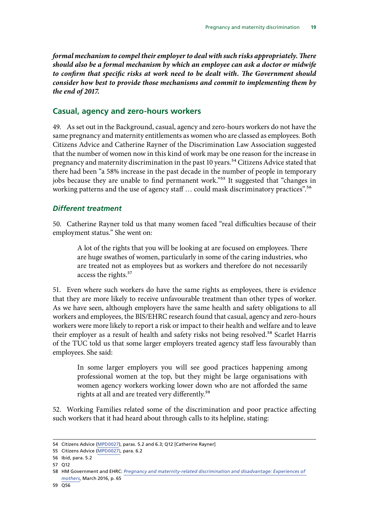<span id="page-22-0"></span>*formal mechanism to compel their employer to deal with such risks appropriately. There should also be a formal mechanism by which an employee can ask a doctor or midwife to confirm that specific risks at work need to be dealt with. The Government should consider how best to provide those mechanisms and commit to implementing them by the end of 2017.* 

#### **Casual, agency and zero-hours workers**

49. As set out in the Background, casual, agency and zero-hours workers do not have the same pregnancy and maternity entitlements as women who are classed as employees. Both Citizens Advice and Catherine Rayner of the Discrimination Law Association suggested that the number of women now in this kind of work may be one reason for the increase in pregnancy and maternity discrimination in the past 10 years.<sup>54</sup> Citizens Advice stated that there had been "a 58% increase in the past decade in the number of people in temporary jobs because they are unable to find permanent work."<sup>55</sup> It suggested that "changes in working patterns and the use of agency staff ... could mask discriminatory practices".<sup>56</sup>

#### *Different treatment*

50. Catherine Rayner told us that many women faced "real difficulties because of their employment status." She went on:

A lot of the rights that you will be looking at are focused on employees. There are huge swathes of women, particularly in some of the caring industries, who are treated not as employees but as workers and therefore do not necessarily access the rights.<sup>57</sup>

51. Even where such workers do have the same rights as employees, there is evidence that they are more likely to receive unfavourable treatment than other types of worker. As we have seen, although employers have the same health and safety obligations to all workers and employees, the BIS/EHRC research found that casual, agency and zero-hours workers were more likely to report a risk or impact to their health and welfare and to leave their employer as a result of health and safety risks not being resolved.<sup>58</sup> Scarlet Harris of the TUC told us that some larger employers treated agency staff less favourably than employees. She said:

In some larger employers you will see good practices happening among professional women at the top, but they might be large organisations with women agency workers working lower down who are not afforded the same rights at all and are treated very differently.<sup>59</sup>

52. Working Families related some of the discrimination and poor practice affecting such workers that it had heard about through calls to its helpline, stating:

<sup>54</sup> Citizens Advice [\(MPD0027\)](http://data.parliament.uk/writtenevidence/committeeevidence.svc/evidencedocument/women-and-equalities-committee/maternity-and-pregnancy-discrimination/written/33416.html), paras. 5.2 and 6.3; Q12 [Catherine Rayner]

<sup>55</sup> Citizens Advice [\(MPD0027\)](http://data.parliament.uk/writtenevidence/committeeevidence.svc/evidencedocument/women-and-equalities-committee/maternity-and-pregnancy-discrimination/written/33416.html), para. 6.2

<sup>56</sup> Ibid, para. 5.2

<sup>57</sup> Q12

<sup>58</sup> HM Government and EHRC: *[Pregnancy and maternity-related discrimination and disadvantage: Experiences of](https://www.equalityhumanrights.com/en/file/10511/download?token=fhYbcMUf)  [mothers](https://www.equalityhumanrights.com/en/file/10511/download?token=fhYbcMUf)*, March 2016, p. 65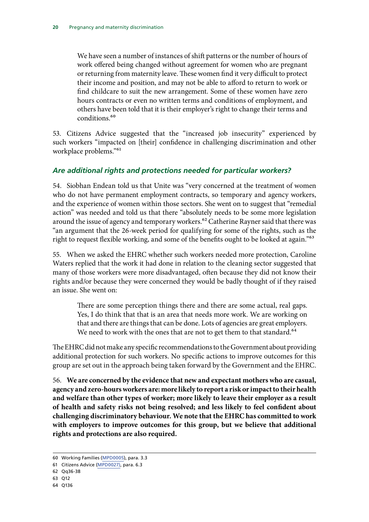<span id="page-23-0"></span>We have seen a number of instances of shift patterns or the number of hours of work offered being changed without agreement for women who are pregnant or returning from maternity leave. These women find it very difficult to protect their income and position, and may not be able to afford to return to work or find childcare to suit the new arrangement. Some of these women have zero hours contracts or even no written terms and conditions of employment, and others have been told that it is their employer's right to change their terms and conditions.<sup>60</sup>

53. Citizens Advice suggested that the "increased job insecurity" experienced by such workers "impacted on [their] confidence in challenging discrimination and other workplace problems."61

#### *Are additional rights and protections needed for particular workers?*

54. Siobhan Endean told us that Unite was "very concerned at the treatment of women who do not have permanent employment contracts, so temporary and agency workers, and the experience of women within those sectors. She went on to suggest that "remedial action" was needed and told us that there "absolutely needs to be some more legislation around the issue of agency and temporary workers.<sup>62</sup> Catherine Rayner said that there was "an argument that the 26-week period for qualifying for some of the rights, such as the right to request flexible working, and some of the benefits ought to be looked at again."<sup>63</sup>

55. When we asked the EHRC whether such workers needed more protection, Caroline Waters replied that the work it had done in relation to the cleaning sector suggested that many of those workers were more disadvantaged, often because they did not know their rights and/or because they were concerned they would be badly thought of if they raised an issue. She went on:

There are some perception things there and there are some actual, real gaps. Yes, I do think that that is an area that needs more work. We are working on that and there are things that can be done. Lots of agencies are great employers. We need to work with the ones that are not to get them to that standard.<sup>64</sup>

The EHRC did not make any specific recommendations to the Government about providing additional protection for such workers. No specific actions to improve outcomes for this group are set out in the approach being taken forward by the Government and the EHRC.

56. **We are concerned by the evidence that new and expectant mothers who are casual, agency and zero-hours workers are: more likely to report a risk or impact to their health and welfare than other types of worker; more likely to leave their employer as a result of health and safety risks not being resolved; and less likely to feel confident about challenging discriminatory behaviour. We note that the EHRC has committed to work with employers to improve outcomes for this group, but we believe that additional rights and protections are also required.** 

<sup>60</sup> Working Families [\(MPD0005\)](http://data.parliament.uk/writtenevidence/committeeevidence.svc/evidencedocument/women-and-equalities-committee/maternity-and-pregnancy-discrimination/written/31778.html), para. 3.3

<sup>61</sup> Citizens Advice [\(MPD0027\)](http://data.parliament.uk/writtenevidence/committeeevidence.svc/evidencedocument/women-and-equalities-committee/maternity-and-pregnancy-discrimination/written/33416.html), para. 6.3

<sup>62</sup> Qq36-38

<sup>63</sup> Q12

<sup>64</sup> Q136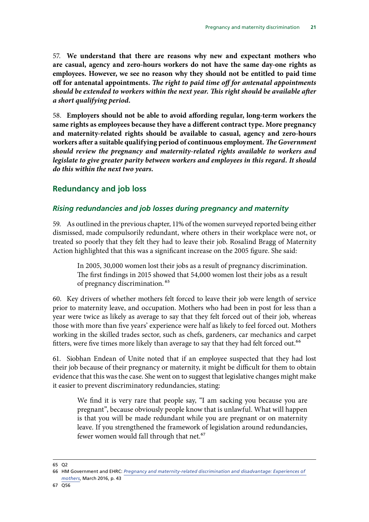<span id="page-24-0"></span>57. **We understand that there are reasons why new and expectant mothers who are casual, agency and zero-hours workers do not have the same day-one rights as employees. However, we see no reason why they should not be entitled to paid time off for antenatal appointments.** *The right to paid time off for antenatal appointments should be extended to workers within the next year. This right should be available after a short qualifying period.* 

58. **Employers should not be able to avoid affording regular, long-term workers the same rights as employees because they have a different contract type. More pregnancy and maternity-related rights should be available to casual, agency and zero-hours workers after a suitable qualifying period of continuous employment.** *The Government should review the pregnancy and maternity-related rights available to workers and legislate to give greater parity between workers and employees in this regard. It should do this within the next two years.* 

#### **Redundancy and job loss**

#### *Rising redundancies and job losses during pregnancy and maternity*

59. As outlined in the previous chapter, 11% of the women surveyed reported being either dismissed, made compulsorily redundant, where others in their workplace were not, or treated so poorly that they felt they had to leave their job. Rosalind Bragg of Maternity Action highlighted that this was a significant increase on the 2005 figure. She said:

In 2005, 30,000 women lost their jobs as a result of pregnancy discrimination. The first findings in 2015 showed that 54,000 women lost their jobs as a result of pregnancy discrimination. 65

60. Key drivers of whether mothers felt forced to leave their job were length of service prior to maternity leave, and occupation. Mothers who had been in post for less than a year were twice as likely as average to say that they felt forced out of their job, whereas those with more than five years' experience were half as likely to feel forced out. Mothers working in the skilled trades sector, such as chefs, gardeners, car mechanics and carpet fitters, were five times more likely than average to say that they had felt forced out.<sup>66</sup>

61. Siobhan Endean of Unite noted that if an employee suspected that they had lost their job because of their pregnancy or maternity, it might be difficult for them to obtain evidence that this was the case. She went on to suggest that legislative changes might make it easier to prevent discriminatory redundancies, stating:

We find it is very rare that people say, "I am sacking you because you are pregnant", because obviously people know that is unlawful. What will happen is that you will be made redundant while you are pregnant or on maternity leave. If you strengthened the framework of legislation around redundancies, fewer women would fall through that net.<sup>67</sup>

<sup>66</sup> HM Government and EHRC: *[Pregnancy and maternity-related discrimination and disadvantage: Experiences of](https://www.equalityhumanrights.com/en/file/10511/download?token=fhYbcMUf)* 

*[mothers](https://www.equalityhumanrights.com/en/file/10511/download?token=fhYbcMUf)*, March 2016, p. 43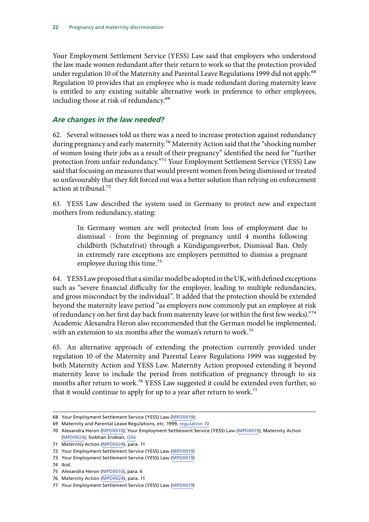<span id="page-25-0"></span>Your Employment Settlement Service (YESS) Law said that employers who understood the law made women redundant after their return to work so that the protection provided under regulation 10 of the Maternity and Parental Leave Regulations 1999 did not apply.<sup>68</sup> Regulation 10 provides that an employee who is made redundant during maternity leave is entitled to any existing suitable alternative work in preference to other employees, including those at risk of redundancy.<sup>69</sup>

#### *Are changes in the law needed?*

62. Several witnesses told us there was a need to increase protection against redundancy during pregnancy and early maternity.<sup>70</sup> Maternity Action said that the "shocking number of women losing their jobs as a result of their pregnancy" identified the need for "further protection from unfair redundancy."71 Your Employment Settlement Service (YESS) Law said that focusing on measures that would prevent women from being dismissed or treated so unfavourably that they felt forced out was a better solution than relying on enforcement action at tribunal.72

63. YESS Law described the system used in Germany to protect new and expectant mothers from redundancy, stating:

In Germany women are well protected from loss of employment due to dismissal - from the beginning of pregnancy until 4 months following childbirth (Schutzfrist) through a Kündigungsverbot, Dismissal Ban. Only in extremely rare exceptions are employers permitted to dismiss a pregnant employee during this time.<sup>73</sup>

64. YESS Law proposed that a similar model be adopted in the UK, with defined exceptions such as "severe financial difficulty for the employer, leading to multiple redundancies, and gross misconduct by the individual". It added that the protection should be extended beyond the maternity leave period "as employers now commonly put an employee at risk of redundancy on her first day back from maternity leave (or within the first few weeks)."74 Academic Alexandra Heron also recommended that the German model be implemented, with an extension to six months after the woman's return to work.<sup>75</sup>

65. An alternative approach of extending the protection currently provided under regulation 10 of the Maternity and Parental Leave Regulations 1999 was suggested by both Maternity Action and YESS Law. Maternity Action proposed extending it beyond maternity leave to include the period from notification of pregnancy through to six months after return to work.<sup>76</sup> YESS Law suggested it could be extended even further, so that it would continue to apply for up to a year after return to work.<sup>77</sup>

<sup>68</sup> Your Employment Settlement Service (YESS) Law ([MPD0019\)](http://data.parliament.uk/writtenevidence/committeeevidence.svc/evidencedocument/women-and-equalities-committee/maternity-and-pregnancy-discrimination/written/32101.html);

<sup>69</sup> Maternity and Parental Leave Regulations, etc. 1999, [regulation 10](http://www.legislation.gov.uk/uksi/1999/3312/regulation/10/made)

<sup>70</sup> Alexandra Heron ([MPD0010\)](http://data.parliament.uk/writtenevidence/committeeevidence.svc/evidencedocument/women-and-equalities-committee/maternity-and-pregnancy-discrimination/written/31871.html); Your Employment Settlement Service (YESS) Law [\(MPD0019](http://data.parliament.uk/writtenevidence/committeeevidence.svc/evidencedocument/women-and-equalities-committee/maternity-and-pregnancy-discrimination/written/32101.html)); Maternity Action ([MPD0024](http://data.parliament.uk/writtenevidence/committeeevidence.svc/evidencedocument/women-and-equalities-committee/maternity-and-pregnancy-discrimination/written/33313.html)); Siobhan Endean, [Q56](http://data.parliament.uk/writtenevidence/committeeevidence.svc/evidencedocument/women-and-equalities-committee/maternity-and-pregnancy-discrimination/oral/32617.html)

<sup>71</sup> Maternity Action [\(MPD0024](http://data.parliament.uk/writtenevidence/committeeevidence.svc/evidencedocument/women-and-equalities-committee/maternity-and-pregnancy-discrimination/written/33313.html)), para. 11

<sup>72</sup> Your Employment Settlement Service (YESS) Law ([MPD0019\)](http://data.parliament.uk/writtenevidence/committeeevidence.svc/evidencedocument/women-and-equalities-committee/maternity-and-pregnancy-discrimination/written/32101.html)

<sup>73</sup> Your Employment Settlement Service (YESS) Law ([MPD0019\)](http://data.parliament.uk/writtenevidence/committeeevidence.svc/evidencedocument/women-and-equalities-committee/maternity-and-pregnancy-discrimination/written/32101.html)

<sup>74</sup> Ibid.

<sup>75</sup> Alexandra Heron ([MPD0010\)](http://data.parliament.uk/writtenevidence/committeeevidence.svc/evidencedocument/women-and-equalities-committee/maternity-and-pregnancy-discrimination/written/31871.html), para. 6

<sup>76</sup> Maternity Action [\(MPD0024](http://data.parliament.uk/writtenevidence/committeeevidence.svc/evidencedocument/women-and-equalities-committee/maternity-and-pregnancy-discrimination/written/33313.html)), para. 11

<sup>77</sup> Your Employment Settlement Service (YESS) Law ([MPD0019\)](http://data.parliament.uk/writtenevidence/committeeevidence.svc/evidencedocument/women-and-equalities-committee/maternity-and-pregnancy-discrimination/written/32101.html)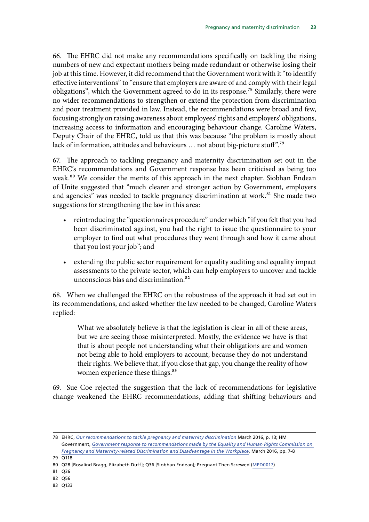66. The EHRC did not make any recommendations specifically on tackling the rising numbers of new and expectant mothers being made redundant or otherwise losing their job at this time. However, it did recommend that the Government work with it "to identify effective interventions" to "ensure that employers are aware of and comply with their legal obligations", which the Government agreed to do in its response.<sup>78</sup> Similarly, there were no wider recommendations to strengthen or extend the protection from discrimination and poor treatment provided in law. Instead, the recommendations were broad and few, focusing strongly on raising awareness about employees' rights and employers' obligations, increasing access to information and encouraging behaviour change. Caroline Waters, Deputy Chair of the EHRC, told us that this was because "the problem is mostly about lack of information, attitudes and behaviours ... not about big-picture stuff".<sup>79</sup>

67. The approach to tackling pregnancy and maternity discrimination set out in the EHRC's recommendations and Government response has been criticised as being too weak.<sup>80</sup> We consider the merits of this approach in the next chapter. Siobhan Endean of Unite suggested that "much clearer and stronger action by Government, employers and agencies" was needed to tackle pregnancy discrimination at work.<sup>81</sup> She made two suggestions for strengthening the law in this area:

- reintroducing the "questionnaires procedure" under which "if you felt that you had been discriminated against, you had the right to issue the questionnaire to your employer to find out what procedures they went through and how it came about that you lost your job"; and
- extending the public sector requirement for equality auditing and equality impact assessments to the private sector, which can help employers to uncover and tackle unconscious bias and discrimination.<sup>82</sup>

68. When we challenged the EHRC on the robustness of the approach it had set out in its recommendations, and asked whether the law needed to be changed, Caroline Waters replied:

What we absolutely believe is that the legislation is clear in all of these areas, but we are seeing those misinterpreted. Mostly, the evidence we have is that that is about people not understanding what their obligations are and women not being able to hold employers to account, because they do not understand their rights. We believe that, if you close that gap, you change the reality of how women experience these things.<sup>83</sup>

69. Sue Coe rejected the suggestion that the lack of recommendations for legislative change weakened the EHRC recommendations, adding that shifting behaviours and

<sup>78</sup> EHRC, *[Our recommendations to tackle pregnancy and maternity discrimination](http://www.equalityhumanrights.com/en/managing-pregnancy-and-maternity-workplace/our-recommendations-tackle-pregnancy-and-maternity)* March 2016, p. 13; HM Government, *[Government response to recommendations made by the Equality and Human Rights Commission on](https://www.gov.uk/government/uploads/system/uploads/attachment_data/file/509571/bis-16-148-government-response-to-recommendations-by-EHRC-on-pregnancy-and-maternity-related-discrimination.pdf)  [Pregnancy and Maternity-related Discrimination and Disadvantage in the Workplace](https://www.gov.uk/government/uploads/system/uploads/attachment_data/file/509571/bis-16-148-government-response-to-recommendations-by-EHRC-on-pregnancy-and-maternity-related-discrimination.pdf)*, March 2016, pp. 7-8

<sup>79</sup> Q118

<sup>80</sup> Q28 [Rosalind Bragg, Elizabeth Duff]; Q36 [Siobhan Endean]; Pregnant Then Screwed [\(MPD0017](http://data.parliament.uk/writtenevidence/committeeevidence.svc/evidencedocument/women-and-equalities-committee/maternity-and-pregnancy-discrimination/written/31974.html))

<sup>81</sup> Q36

<sup>82</sup> Q56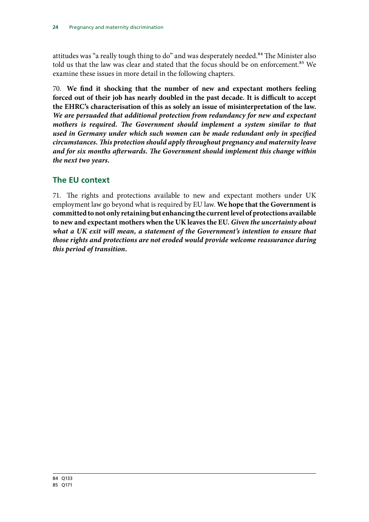<span id="page-27-0"></span>attitudes was "a really tough thing to do" and was desperately needed.<sup>84</sup> The Minister also told us that the law was clear and stated that the focus should be on enforcement.<sup>85</sup> We examine these issues in more detail in the following chapters.

70. **We find it shocking that the number of new and expectant mothers feeling forced out of their job has nearly doubled in the past decade. It is difficult to accept the EHRC's characterisation of this as solely an issue of misinterpretation of the law.**  *We are persuaded that additional protection from redundancy for new and expectant mothers is required. The Government should implement a system similar to that used in Germany under which such women can be made redundant only in specified circumstances. This protection should apply throughout pregnancy and maternity leave and for six months afterwards. The Government should implement this change within the next two years.* 

#### **The EU context**

71. The rights and protections available to new and expectant mothers under UK employment law go beyond what is required by EU law. **We hope that the Government is committed to not only retaining but enhancing the current level of protections available to new and expectant mothers when the UK leaves the EU.** *Given the uncertainty about*  what a UK exit will mean, a statement of the Government's intention to ensure that *those rights and protections are not eroded would provide welcome reassurance during this period of transition.*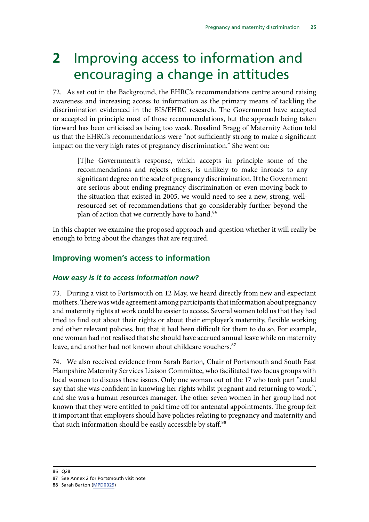## <span id="page-28-0"></span>**2** Improving access to information and encouraging a change in attitudes

72. As set out in the Background, the EHRC's recommendations centre around raising awareness and increasing access to information as the primary means of tackling the discrimination evidenced in the BIS/EHRC research. The Government have accepted or accepted in principle most of those recommendations, but the approach being taken forward has been criticised as being too weak. Rosalind Bragg of Maternity Action told us that the EHRC's recommendations were "not sufficiently strong to make a significant impact on the very high rates of pregnancy discrimination." She went on:

[T]he Government's response, which accepts in principle some of the recommendations and rejects others, is unlikely to make inroads to any significant degree on the scale of pregnancy discrimination. If the Government are serious about ending pregnancy discrimination or even moving back to the situation that existed in 2005, we would need to see a new, strong, wellresourced set of recommendations that go considerably further beyond the plan of action that we currently have to hand.<sup>86</sup>

In this chapter we examine the proposed approach and question whether it will really be enough to bring about the changes that are required.

#### **Improving women's access to information**

#### *How easy is it to access information now?*

73. During a visit to Portsmouth on 12 May, we heard directly from new and expectant mothers. There was wide agreement among participants that information about pregnancy and maternity rights at work could be easier to access. Several women told us that they had tried to find out about their rights or about their employer's maternity, flexible working and other relevant policies, but that it had been difficult for them to do so. For example, one woman had not realised that she should have accrued annual leave while on maternity leave, and another had not known about childcare vouchers.<sup>87</sup>

74. We also received evidence from Sarah Barton, Chair of Portsmouth and South East Hampshire Maternity Services Liaison Committee, who facilitated two focus groups with local women to discuss these issues. Only one woman out of the 17 who took part "could say that she was confident in knowing her rights whilst pregnant and returning to work", and she was a human resources manager. The other seven women in her group had not known that they were entitled to paid time off for antenatal appointments. The group felt it important that employers should have policies relating to pregnancy and maternity and that such information should be easily accessible by staff.<sup>88</sup>

<sup>87</sup> See Annex 2 for Portsmouth visit note

<sup>88</sup> Sarah Barton [\(MPD0029\)](http://data.parliament.uk/writtenevidence/committeeevidence.svc/evidencedocument/women-and-equalities-committee/maternity-and-pregnancy-discrimination/written/34036.html)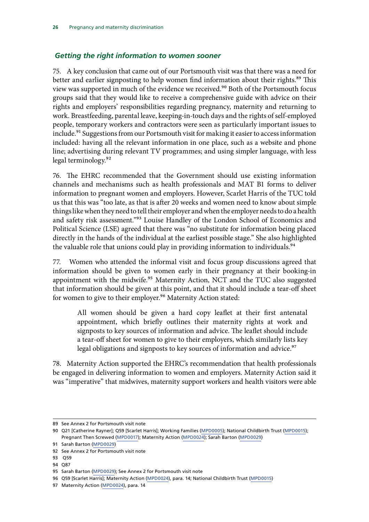#### <span id="page-29-0"></span> *Getting the right information to women sooner*

75. A key conclusion that came out of our Portsmouth visit was that there was a need for better and earlier signposting to help women find information about their rights.<sup>89</sup> This view was supported in much of the evidence we received.<sup>90</sup> Both of the Portsmouth focus groups said that they would like to receive a comprehensive guide with advice on their rights and employers' responsibilities regarding pregnancy, maternity and returning to work. Breastfeeding, parental leave, keeping-in-touch days and the rights of self-employed people, temporary workers and contractors were seen as particularly important issues to include.<sup>91</sup> Suggestions from our Portsmouth visit for making it easier to access information included: having all the relevant information in one place, such as a website and phone line; advertising during relevant TV programmes; and using simpler language, with less legal terminology.92

76. The EHRC recommended that the Government should use existing information channels and mechanisms such as health professionals and MAT B1 forms to deliver information to pregnant women and employers. However, Scarlet Harris of the TUC told us that this was "too late, as that is after 20 weeks and women need to know about simple things like when they need to tell their employer and when the employer needs to do a health and safety risk assessment."<sup>93</sup> Louise Handley of the London School of Economics and Political Science (LSE) agreed that there was "no substitute for information being placed directly in the hands of the individual at the earliest possible stage." She also highlighted the valuable role that unions could play in providing information to individuals.<sup>94</sup>

77. Women who attended the informal visit and focus group discussions agreed that information should be given to women early in their pregnancy at their booking-in appointment with the midwife.<sup>95</sup> Maternity Action, NCT and the TUC also suggested that information should be given at this point, and that it should include a tear-off sheet for women to give to their employer.<sup>96</sup> Maternity Action stated:

All women should be given a hard copy leaflet at their first antenatal appointment, which briefly outlines their maternity rights at work and signposts to key sources of information and advice. The leaflet should include a tear-off sheet for women to give to their employers, which similarly lists key legal obligations and signposts to key sources of information and advice.<sup>97</sup>

78. Maternity Action supported the EHRC's recommendation that health professionals be engaged in delivering information to women and employers. Maternity Action said it was "imperative" that midwives, maternity support workers and health visitors were able

<sup>89</sup> See Annex 2 for Portsmouth visit note

 90 Q21 [Catherine Rayner]; Q59 [Scarlet Harris]; Working Families ([MPD0005](http://data.parliament.uk/writtenevidence/committeeevidence.svc/evidencedocument/women-and-equalities-committee/maternity-and-pregnancy-discrimination/written/31778.html)); National Childbirth Trust [\(MPD0015](http://data.parliament.uk/writtenevidence/committeeevidence.svc/evidencedocument/women-and-equalities-committee/maternity-and-pregnancy-discrimination/written/31959.html)); Pregnant Then Screwed ([MPD0017\)](http://data.parliament.uk/writtenevidence/committeeevidence.svc/evidencedocument/women-and-equalities-committee/maternity-and-pregnancy-discrimination/written/31974.html); Maternity Action [\(MPD0024](http://data.parliament.uk/writtenevidence/committeeevidence.svc/evidencedocument/women-and-equalities-committee/maternity-and-pregnancy-discrimination/written/33313.html)); Sarah Barton [\(MPD0029\)](http://data.parliament.uk/writtenevidence/committeeevidence.svc/evidencedocument/women-and-equalities-committee/maternity-and-pregnancy-discrimination/written/34036.html)

<sup>91</sup> Sarah Barton [\(MPD0029\)](http://data.parliament.uk/writtenevidence/committeeevidence.svc/evidencedocument/women-and-equalities-committee/maternity-and-pregnancy-discrimination/written/34036.html)

 92 See Annex 2 for Portsmouth visit note

 93 Q59

 94 Q87

<sup>95</sup> Sarah Barton [\(MPD0029\)](http://data.parliament.uk/writtenevidence/committeeevidence.svc/evidencedocument/women-and-equalities-committee/maternity-and-pregnancy-discrimination/written/34036.html); See Annex 2 for Portsmouth visit note

 96 Q59 [Scarlet Harris]; Maternity Action ([MPD0024\)](http://data.parliament.uk/writtenevidence/committeeevidence.svc/evidencedocument/women-and-equalities-committee/maternity-and-pregnancy-discrimination/written/33313.html), para. 14; National Childbirth Trust [\(MPD0015](http://data.parliament.uk/writtenevidence/committeeevidence.svc/evidencedocument/women-and-equalities-committee/maternity-and-pregnancy-discrimination/written/31959.html))

<sup>97</sup> Maternity Action [\(MPD0024](http://data.parliament.uk/writtenevidence/committeeevidence.svc/evidencedocument/women-and-equalities-committee/maternity-and-pregnancy-discrimination/written/33313.html)), para. 14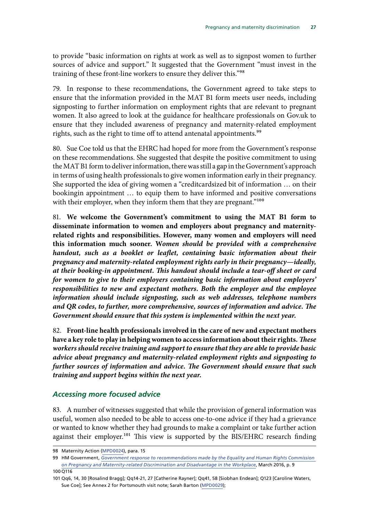<span id="page-30-0"></span>to provide "basic information on rights at work as well as to signpost women to further sources of advice and support." It suggested that the Government "must invest in the training of these front-line workers to ensure they deliver this."98

79. In response to these recommendations, the Government agreed to take steps to ensure that the information provided in the MAT B1 form meets user needs, including signposting to further information on employment rights that are relevant to pregnant women. It also agreed to look at the guidance for healthcare professionals on Gov.uk to ensure that they included awareness of pregnancy and maternity-related employment rights, such as the right to time off to attend antenatal appointments.<sup>99</sup>

80. Sue Coe told us that the EHRC had hoped for more from the Government's response on these recommendations. She suggested that despite the positive commitment to using the MAT B1 form to deliver information, there was still a gap in the Government's approach in terms of using health professionals to give women information early in their pregnancy. She supported the idea of giving women a "creditcardsized bit of information … on their bookingin appointment … to equip them to have informed and positive conversations with their employer, when they inform them that they are pregnant."<sup>100</sup>

81. **We welcome the Government's commitment to using the MAT B1 form to disseminate information to women and employers about pregnancy and maternityrelated rights and responsibilities. However, many women and employers will need this information much sooner. W***omen should be provided with a comprehensive handout, such as a booklet or leaflet, containing basic information about their pregnancy and maternity-related employment rights early in their pregnancy—ideally, at their booking-in appointment. This handout should include a tear-off sheet or card for women to give to their employers containing basic information about employers' responsibilities to new and expectant mothers. Both the employer and the employee information should include signposting, such as web addresses, telephone numbers and QR codes, to further, more comprehensive, sources of information and advice. The Government should ensure that this system is implemented within the next year.* 

82. **Front-line health professionals involved in the care of new and expectant mothers have a key role to play in helping women to access information about their rights***. These workers should receive training and support to ensure that they are able to provide basic advice about pregnancy and maternity-related employment rights and signposting to further sources of information and advice. The Government should ensure that such training and support begins within the next year.* 

#### *Accessing more focused advice*

83. A number of witnesses suggested that while the provision of general information was useful, women also needed to be able to access one-to-one advice if they had a grievance or wanted to know whether they had grounds to make a complaint or take further action against their employer.<sup>101</sup> This view is supported by the BIS/EHRC research finding

<sup>98</sup> Maternity Action [\(MPD0024](http://data.parliament.uk/writtenevidence/committeeevidence.svc/evidencedocument/women-and-equalities-committee/maternity-and-pregnancy-discrimination/written/33313.html)), para. 15

 99 HM Government, *[Government response to recommendations made by the Equality and Human Rights Commission](https://www.gov.uk/government/uploads/system/uploads/attachment_data/file/509571/bis-16-148-government-response-to-recommendations-by-EHRC-on-pregnancy-and-maternity-related-discrimination.pdf)  [on Pregnancy and Maternity-related Discrimination and Disadvantage in the Workplace](https://www.gov.uk/government/uploads/system/uploads/attachment_data/file/509571/bis-16-148-government-response-to-recommendations-by-EHRC-on-pregnancy-and-maternity-related-discrimination.pdf)*, March 2016, p. 9

<sup>100</sup> Q116

<sup>101</sup> Qq6, 14, 30 [Rosalind Bragg]; Qq14-21, 27 [Catherine Rayner]; Qq41, 58 [Siobhan Endean]; Q123 [Caroline Waters, Sue Coe]; See Annex 2 for Portsmouth visit note; Sarah Barton [\(MPD0029\)](http://data.parliament.uk/writtenevidence/committeeevidence.svc/evidencedocument/women-and-equalities-committee/maternity-and-pregnancy-discrimination/written/34036.html);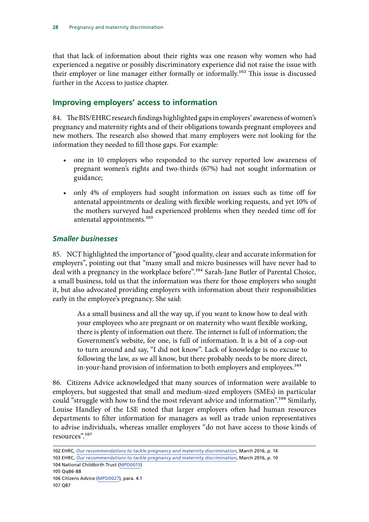<span id="page-31-0"></span>that that lack of information about their rights was one reason why women who had experienced a negative or possibly discriminatory experience did not raise the issue with their employer or line manager either formally or informally.102 This issue is discussed further in the Access to justice chapter.

#### **Improving employers' access to information**

84. The BIS/EHRC research findings highlighted gaps in employers' awareness of women's pregnancy and maternity rights and of their obligations towards pregnant employees and new mothers. The research also showed that many employers were not looking for the information they needed to fill those gaps. For example:

- one in 10 employers who responded to the survey reported low awareness of pregnant women's rights and two-thirds (67%) had not sought information or guidance;
- only 4% of employers had sought information on issues such as time off for antenatal appointments or dealing with flexible working requests, and yet 10% of the mothers surveyed had experienced problems when they needed time off for antenatal appointments.<sup>103</sup>

#### *Smaller businesses*

85. NCT highlighted the importance of "good quality, clear and accurate information for employers", pointing out that "many small and micro businesses will have never had to deal with a pregnancy in the workplace before".<sup>104</sup> Sarah-Jane Butler of Parental Choice, a small business, told us that the information was there for those employers who sought it, but also advocated providing employers with information about their responsibilities early in the employee's pregnancy. She said:

As a small business and all the way up, if you want to know how to deal with your employees who are pregnant or on maternity who want flexible working, there is plenty of information out there. The internet is full of information; the Government's website, for one, is full of information. It is a bit of a cop-out to turn around and say, "I did not know". Lack of knowledge is no excuse to following the law, as we all know, but there probably needs to be more direct, in-your-hand provision of information to both employers and employees.<sup>105</sup>

86. Citizens Advice acknowledged that many sources of information were available to employers, but suggested that small and medium-sized employers (SMEs) in particular could "struggle with how to find the most relevant advice and information".<sup>106</sup> Similarly, Louise Handley of the LSE noted that larger employers often had human resources departments to filter information for managers as well as trade union representatives to advise individuals, whereas smaller employers "do not have access to those kinds of resources".107

<sup>102</sup> EHRC, *[Our recommendations to tackle pregnancy and maternity discrimination](http://www.equalityhumanrights.com/en/managing-pregnancy-and-maternity-workplace/our-recommendations-tackle-pregnancy-and-maternity)*, March 2016, p. 14 103 EHRC, *[Our recommendations to tackle pregnancy and maternity discrimination](http://www.equalityhumanrights.com/en/managing-pregnancy-and-maternity-workplace/our-recommendations-tackle-pregnancy-and-maternity)*, March 2016, p. 10

<sup>104</sup> National Childbirth Trust ([MPD0015\)](http://data.parliament.uk/writtenevidence/committeeevidence.svc/evidencedocument/women-and-equalities-committee/maternity-and-pregnancy-discrimination/written/31959.html) 105 Qq86-88

<sup>106</sup> Citizens Advice ([MPD0027](http://data.parliament.uk/writtenevidence/committeeevidence.svc/evidencedocument/women-and-equalities-committee/maternity-and-pregnancy-discrimination/written/33416.html)), para. 4.1 107 Q87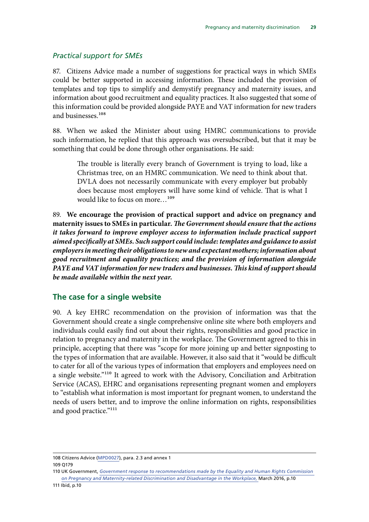#### <span id="page-32-0"></span>*Practical support for SMEs*

87. Citizens Advice made a number of suggestions for practical ways in which SMEs could be better supported in accessing information. These included the provision of templates and top tips to simplify and demystify pregnancy and maternity issues, and information about good recruitment and equality practices. It also suggested that some of this information could be provided alongside PAYE and VAT information for new traders and businesses.<sup>108</sup>

88. When we asked the Minister about using HMRC communications to provide such information, he replied that this approach was oversubscribed, but that it may be something that could be done through other organisations. He said:

The trouble is literally every branch of Government is trying to load, like a Christmas tree, on an HMRC communication. We need to think about that. DVLA does not necessarily communicate with every employer but probably does because most employers will have some kind of vehicle. That is what I would like to focus on more...<sup>109</sup>

89. **We encourage the provision of practical support and advice on pregnancy and maternity issues to SMEs in particular.** *The Government should ensure that the actions it takes forward to improve employer access to information include practical support aimed specifically at SMEs. Such support could include: templates and guidance to assist employers in meeting their obligations to new and expectant mothers; information about good recruitment and equality practices; and the provision of information alongside PAYE and VAT information for new traders and businesses. This kind of support should be made available within the next year.* 

#### **The case for a single website**

90. A key EHRC recommendation on the provision of information was that the Government should create a single comprehensive online site where both employers and individuals could easily find out about their rights, responsibilities and good practice in relation to pregnancy and maternity in the workplace. The Government agreed to this in principle, accepting that there was "scope for more joining up and better signposting to the types of information that are available. However, it also said that it "would be difficult to cater for all of the various types of information that employers and employees need on a single website."110 It agreed to work with the Advisory, Conciliation and Arbitration Service (ACAS), EHRC and organisations representing pregnant women and employers to "establish what information is most important for pregnant women, to understand the needs of users better, and to improve the online information on rights, responsibilities and good practice."<sup>111</sup>

<sup>108</sup> Citizens Advice ([MPD0027](http://data.parliament.uk/writtenevidence/committeeevidence.svc/evidencedocument/women-and-equalities-committee/maternity-and-pregnancy-discrimination/written/33416.html)), para. 2.3 and annex 1 109 Q179

<sup>110</sup> UK Government, *[Government response to recommendations made by the Equality and Human Rights Commission](https://www.gov.uk/government/uploads/system/uploads/attachment_data/file/509571/bis-16-148-government-response-to-recommendations-by-EHRC-on-pregnancy-and-maternity-related-discrimination.pdf)  [on Pregnancy and Maternity-related Discrimination and Disadvantage in the Workplace,](https://www.gov.uk/government/uploads/system/uploads/attachment_data/file/509571/bis-16-148-government-response-to-recommendations-by-EHRC-on-pregnancy-and-maternity-related-discrimination.pdf)* March 2016, p.10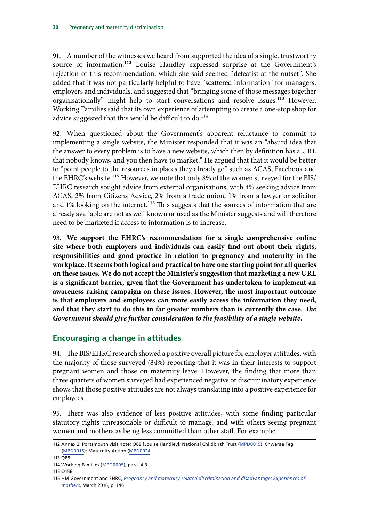<span id="page-33-0"></span>91. A number of the witnesses we heard from supported the idea of a single, trustworthy source of information.<sup>112</sup> Louise Handley expressed surprise at the Government's rejection of this recommendation, which she said seemed "defeatist at the outset". She added that it was not particularly helpful to have "scattered information" for managers, employers and individuals, and suggested that "bringing some of those messages together organisationally" might help to start conversations and resolve issues.<sup>113</sup> However, Working Families said that its own experience of attempting to create a one-stop shop for advice suggested that this would be difficult to do.<sup>114</sup>

92. When questioned about the Government's apparent reluctance to commit to implementing a single website, the Minister responded that it was an "absurd idea that the answer to every problem is to have a new website, which then by definition has a URL that nobody knows, and you then have to market." He argued that that it would be better to "point people to the resources in places they already go" such as ACAS, Facebook and the EHRC's website.<sup>115</sup> However, we note that only 8% of the women surveyed for the BIS/ EHRC research sought advice from external organisations, with 4% seeking advice from ACAS, 2% from Citizens Advice, 2% from a trade union, 1% from a lawyer or solicitor and 1% looking on the internet.<sup>116</sup> This suggests that the sources of information that are already available are not as well known or used as the Minister suggests and will therefore need to be marketed if access to information is to increase.

93. **We support the EHRC's recommendation for a single comprehensive online site where both employers and individuals can easily find out about their rights, responsibilities and good practice in relation to pregnancy and maternity in the workplace. It seems both logical and practical to have one starting point for all queries on these issues. We do not accept the Minister's suggestion that marketing a new URL is a significant barrier, given that the Government has undertaken to implement an awareness-raising campaign on these issues. However, the most important outcome is that employers and employees can more easily access the information they need, and that they start to do this in far greater numbers than is currently the case.** *The Government should give further consideration to the feasibility of a single website.* 

#### **Encouraging a change in attitudes**

94. The BIS/EHRC research showed a positive overall picture for employer attitudes, with the majority of those surveyed (84%) reporting that it was in their interests to support pregnant women and those on maternity leave. However, the finding that more than three quarters of women surveyed had experienced negative or discriminatory experience shows that those positive attitudes are not always translating into a positive experience for employees.

95. There was also evidence of less positive attitudes, with some finding particular statutory rights unreasonable or difficult to manage, and with others seeing pregnant women and mothers as being less committed than other staff. For example:

<sup>112</sup> Annex 2, Portsmouth visit note; Q89 [Louise Handley]; National Childbirth Trust ([MPD0015\)](http://data.parliament.uk/writtenevidence/committeeevidence.svc/evidencedocument/women-and-equalities-committee/maternity-and-pregnancy-discrimination/written/31959.html); Chwarae Teg ([MPD0016\)](http://data.parliament.uk/writtenevidence/committeeevidence.svc/evidencedocument/women-and-equalities-committee/maternity-and-pregnancy-discrimination/written/31967.html); Maternity Action [\(MPD0024](http://data.parliament.uk/writtenevidence/committeeevidence.svc/evidencedocument/women-and-equalities-committee/maternity-and-pregnancy-discrimination/written/33313.html) 

<sup>113</sup> Q89

<sup>114</sup> Working Families ([MPD0005\)](http://data.parliament.uk/writtenevidence/committeeevidence.svc/evidencedocument/women-and-equalities-committee/maternity-and-pregnancy-discrimination/written/31778.html), para. 4.3

<sup>115</sup> Q156

<sup>116</sup> HM Government and EHRC, *[Pregnancy and maternity-related discrimination and disadvantage: Experiences of](https://www.equalityhumanrights.com/en/file/10511/download?token=fhYbcMUf)  [mothers](https://www.equalityhumanrights.com/en/file/10511/download?token=fhYbcMUf)*, March 2016, p. 146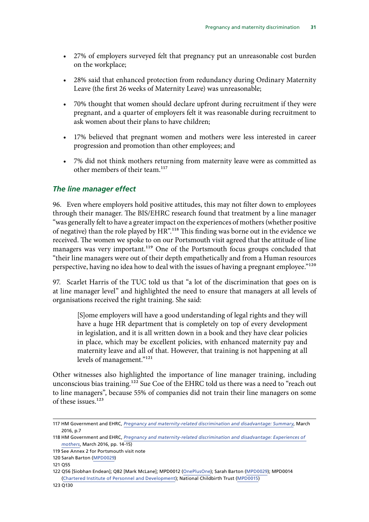- <span id="page-34-0"></span>• 27% of employers surveyed felt that pregnancy put an unreasonable cost burden on the workplace;
- 28% said that enhanced protection from redundancy during Ordinary Maternity Leave (the first 26 weeks of Maternity Leave) was unreasonable;
- 70% thought that women should declare upfront during recruitment if they were pregnant, and a quarter of employers felt it was reasonable during recruitment to ask women about their plans to have children;
- 17% believed that pregnant women and mothers were less interested in career progression and promotion than other employees; and
- 7% did not think mothers returning from maternity leave were as committed as other members of their team.<sup>117</sup>

#### *The line manager effect*

96. Even where employers hold positive attitudes, this may not filter down to employees through their manager. The BIS/EHRC research found that treatment by a line manager "was generally felt to have a greater impact on the experiences of mothers (whether positive of negative) than the role played by HR".118 This finding was borne out in the evidence we received. The women we spoke to on our Portsmouth visit agreed that the attitude of line managers was very important.<sup>119</sup> One of the Portsmouth focus groups concluded that "their line managers were out of their depth empathetically and from a Human resources perspective, having no idea how to deal with the issues of having a pregnant employee."<sup>120</sup>

97. Scarlet Harris of the TUC told us that "a lot of the discrimination that goes on is at line manager level" and highlighted the need to ensure that managers at all levels of organisations received the right training. She said:

[S]ome employers will have a good understanding of legal rights and they will have a huge HR department that is completely on top of every development in legislation, and it is all written down in a book and they have clear policies in place, which may be excellent policies, with enhanced maternity pay and maternity leave and all of that. However, that training is not happening at all levels of management."121

Other witnesses also highlighted the importance of line manager training, including unconscious bias training.<sup>122</sup> Sue Coe of the EHRC told us there was a need to "reach out to line managers", because 55% of companies did not train their line managers on some of these issues.<sup>123</sup>

<sup>117</sup> HM Government and EHRC, *[Pregnancy and maternity-related discrimination and disadvantage: Summary](https://www.gov.uk/government/uploads/system/uploads/attachment_data/file/509500/BIS-16-145-pregnancy-and-maternity-related-discrimination-and-disadvantage-summary.pdf)*, March 2016, p.7

<sup>118</sup> HM Government and EHRC, *[Pregnancy and maternity-related discrimination and disadvantage: Experiences of](https://www.equalityhumanrights.com/en/file/10511/download?token=fhYbcMUf)  [mothers](https://www.equalityhumanrights.com/en/file/10511/download?token=fhYbcMUf)*, March 2016, pp. 14-15)

<sup>119</sup> See Annex 2 for Portsmouth visit note

<sup>120</sup> Sarah Barton ([MPD0029\)](http://data.parliament.uk/writtenevidence/committeeevidence.svc/evidencedocument/women-and-equalities-committee/maternity-and-pregnancy-discrimination/written/34036.html)

<sup>121</sup> Q55

<sup>122</sup> Q56 [Siobhan Endean]; Q82 [Mark McLane]; MPD0012 ([OnePlusOne\)](http://data.parliament.uk/writtenevidence/committeeevidence.svc/evidencedocument/women-and-equalities-committee/maternity-and-pregnancy-discrimination/written/31909.html); Sarah Barton [\(MPD0029\)](http://data.parliament.uk/writtenevidence/committeeevidence.svc/evidencedocument/women-and-equalities-committee/maternity-and-pregnancy-discrimination/written/34036.html); MPD0014 ([Chartered Institute of Personnel and Development](http://data.parliament.uk/writtenevidence/committeeevidence.svc/evidencedocument/women-and-equalities-committee/maternity-and-pregnancy-discrimination/written/31958.html)); National Childbirth Trust ([MPD0015\)](http://data.parliament.uk/writtenevidence/committeeevidence.svc/evidencedocument/women-and-equalities-committee/maternity-and-pregnancy-discrimination/written/31959.html)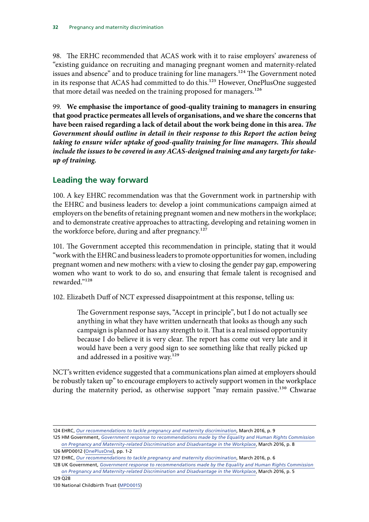<span id="page-35-0"></span>98. The ERHC recommended that ACAS work with it to raise employers' awareness of "existing guidance on recruiting and managing pregnant women and maternity-related issues and absence" and to produce training for line managers.<sup>124</sup> The Government noted in its response that ACAS had committed to do this.<sup>125</sup> However, OnePlusOne suggested that more detail was needed on the training proposed for managers.<sup>126</sup>

99. **We emphasise the importance of good-quality training to managers in ensuring that good practice permeates all levels of organisations, and we share the concerns that have been raised regarding a lack of detail about the work being done in this area.** *The Government should outline in detail in their response to this Report the action being taking to ensure wider uptake of good-quality training for line managers. This should include the issues to be covered in any ACAS-designed training and any targets for takeup of training.* 

#### **Leading the way forward**

100. A key EHRC recommendation was that the Government work in partnership with the EHRC and business leaders to: develop a joint communications campaign aimed at employers on the benefits of retaining pregnant women and new mothers in the workplace; and to demonstrate creative approaches to attracting, developing and retaining women in the workforce before, during and after pregnancy.<sup>127</sup>

101. The Government accepted this recommendation in principle, stating that it would "work with the EHRC and business leaders to promote opportunities for women, including pregnant women and new mothers: with a view to closing the gender pay gap, empowering women who want to work to do so, and ensuring that female talent is recognised and rewarded."128

102. Elizabeth Duff of NCT expressed disappointment at this response, telling us:

The Government response says, "Accept in principle", but I do not actually see anything in what they have written underneath that looks as though any such campaign is planned or has any strength to it. That is a real missed opportunity because I do believe it is very clear. The report has come out very late and it would have been a very good sign to see something like that really picked up and addressed in a positive way.<sup>129</sup>

NCT's written evidence suggested that a communications plan aimed at employers should be robustly taken up" to encourage employers to actively support women in the workplace during the maternity period, as otherwise support "may remain passive.<sup>130</sup> Chwarae

128 UK Government, *[Government response to recommendations made by the Equality and Human Rights Commission](https://www.gov.uk/government/uploads/system/uploads/attachment_data/file/509571/bis-16-148-government-response-to-recommendations-by-EHRC-on-pregnancy-and-maternity-related-discrimination.pdf)  [on Pregnancy and Maternity-related Discrimination and Disadvantage in the Workplace](https://www.gov.uk/government/uploads/system/uploads/attachment_data/file/509571/bis-16-148-government-response-to-recommendations-by-EHRC-on-pregnancy-and-maternity-related-discrimination.pdf)*, March 2016, p. 5

129 Q28

130 National Childbirth Trust ([MPD0015\)](http://data.parliament.uk/writtenevidence/committeeevidence.svc/evidencedocument/women-and-equalities-committee/maternity-and-pregnancy-discrimination/written/31959.html)

<sup>124</sup> EHRC, *[Our recommendations to tackle pregnancy and maternity discrimination](http://www.equalityhumanrights.com/en/managing-pregnancy-and-maternity-workplace/our-recommendations-tackle-pregnancy-and-maternity)*, March 2016, p. 9

<sup>125</sup> HM Government, *[Government response to recommendations made by the Equality and Human Rights Commission](https://www.gov.uk/government/uploads/system/uploads/attachment_data/file/509571/bis-16-148-government-response-to-recommendations-by-EHRC-on-pregnancy-and-maternity-related-discrimination.pdf)  [on Pregnancy and Maternity-related Discrimination and Disadvantage in the Workplace](https://www.gov.uk/government/uploads/system/uploads/attachment_data/file/509571/bis-16-148-government-response-to-recommendations-by-EHRC-on-pregnancy-and-maternity-related-discrimination.pdf)*, March 2016, p. 8

<sup>126</sup> MPD0012 ([OnePlusOne\)](http://data.parliament.uk/writtenevidence/committeeevidence.svc/evidencedocument/women-and-equalities-committee/maternity-and-pregnancy-discrimination/written/31909.html), pp. 1-2

<sup>127</sup> EHRC, *[Our recommendations to tackle pregnancy and maternity discrimination](http://www.equalityhumanrights.com/en/managing-pregnancy-and-maternity-workplace/our-recommendations-tackle-pregnancy-and-maternity)*, March 2016, p. 6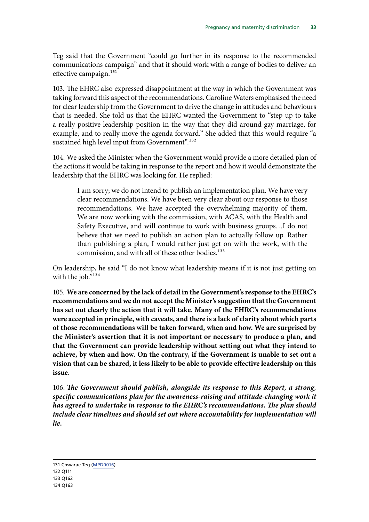Teg said that the Government "could go further in its response to the recommended communications campaign" and that it should work with a range of bodies to deliver an effective campaign. $131$ 

103. The EHRC also expressed disappointment at the way in which the Government was taking forward this aspect of the recommendations. Caroline Waters emphasised the need for clear leadership from the Government to drive the change in attitudes and behaviours that is needed. She told us that the EHRC wanted the Government to "step up to take a really positive leadership position in the way that they did around gay marriage, for example, and to really move the agenda forward." She added that this would require "a sustained high level input from Government".<sup>132</sup>

104. We asked the Minister when the Government would provide a more detailed plan of the actions it would be taking in response to the report and how it would demonstrate the leadership that the EHRC was looking for. He replied:

I am sorry; we do not intend to publish an implementation plan. We have very clear recommendations. We have been very clear about our response to those recommendations. We have accepted the overwhelming majority of them. We are now working with the commission, with ACAS, with the Health and Safety Executive, and will continue to work with business groups…I do not believe that we need to publish an action plan to actually follow up. Rather than publishing a plan, I would rather just get on with the work, with the commission, and with all of these other bodies.<sup>133</sup>

On leadership, he said "I do not know what leadership means if it is not just getting on with the job."<sup>134</sup>

105. **We are concerned by the lack of detail in the Government's response to the EHRC's recommendations and we do not accept the Minister's suggestion that the Government has set out clearly the action that it will take. Many of the EHRC's recommendations were accepted in principle, with caveats, and there is a lack of clarity about which parts of those recommendations will be taken forward, when and how. We are surprised by the Minister's assertion that it is not important or necessary to produce a plan, and that the Government can provide leadership without setting out what they intend to achieve, by when and how. On the contrary, if the Government is unable to set out a vision that can be shared, it less likely to be able to provide effective leadership on this issue.** 

106. *The Government should publish, alongside its response to this Report, a strong, specific communications plan for the awareness-raising and attitude-changing work it has agreed to undertake in response to the EHRC's recommendations. The plan should include clear timelines and should set out where accountability for implementation will lie.*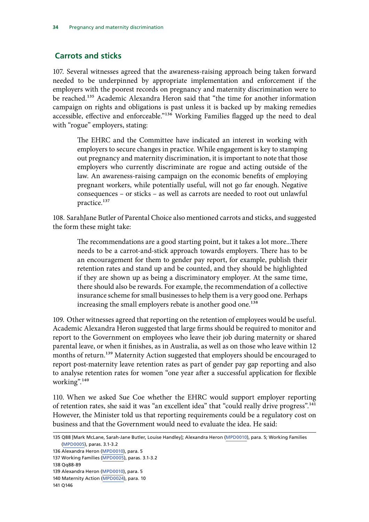#### <span id="page-37-0"></span> **Carrots and sticks**

107. Several witnesses agreed that the awareness-raising approach being taken forward needed to be underpinned by appropriate implementation and enforcement if the employers with the poorest records on pregnancy and maternity discrimination were to be reached.<sup>135</sup> Academic Alexandra Heron said that "the time for another information campaign on rights and obligations is past unless it is backed up by making remedies accessible, effective and enforceable."<sup>136</sup> Working Families flagged up the need to deal with "rogue" employers, stating:

The EHRC and the Committee have indicated an interest in working with employers to secure changes in practice. While engagement is key to stamping out pregnancy and maternity discrimination, it is important to note that those employers who currently discriminate are rogue and acting outside of the law. An awareness-raising campaign on the economic benefits of employing pregnant workers, while potentially useful, will not go far enough. Negative consequences – or sticks – as well as carrots are needed to root out unlawful practice.<sup>137</sup>

108. SarahJane Butler of Parental Choice also mentioned carrots and sticks, and suggested the form these might take:

The recommendations are a good starting point, but it takes a lot more...There needs to be a carrot-and-stick approach towards employers. There has to be an encouragement for them to gender pay report, for example, publish their retention rates and stand up and be counted, and they should be highlighted if they are shown up as being a discriminatory employer. At the same time, there should also be rewards. For example, the recommendation of a collective insurance scheme for small businesses to help them is a very good one. Perhaps increasing the small employers rebate is another good one.<sup>138</sup>

109. Other witnesses agreed that reporting on the retention of employees would be useful. Academic Alexandra Heron suggested that large firms should be required to monitor and report to the Government on employees who leave their job during maternity or shared parental leave, or when it finishes, as in Australia, as well as on those who leave within 12 months of return.<sup>139</sup> Maternity Action suggested that employers should be encouraged to report post-maternity leave retention rates as part of gender pay gap reporting and also to analyse retention rates for women "one year after a successful application for flexible working".140

110. When we asked Sue Coe whether the EHRC would support employer reporting of retention rates, she said it was "an excellent idea" that "could really drive progress".<sup>141</sup> However, the Minister told us that reporting requirements could be a regulatory cost on business and that the Government would need to evaluate the idea. He said:

<sup>135</sup> Q88 [Mark McLane, Sarah-Jane Butler, Louise Handley]; Alexandra Heron [\(MPD0010](http://data.parliament.uk/writtenevidence/committeeevidence.svc/evidencedocument/women-and-equalities-committee/maternity-and-pregnancy-discrimination/written/31871.html)), para. 5; Working Families ([MPD0005\)](http://data.parliament.uk/writtenevidence/committeeevidence.svc/evidencedocument/women-and-equalities-committee/maternity-and-pregnancy-discrimination/written/31778.html), paras. 3.1-3.2

<sup>136</sup> Alexandra Heron ([MPD0010](http://data.parliament.uk/writtenevidence/committeeevidence.svc/evidencedocument/women-and-equalities-committee/maternity-and-pregnancy-discrimination/written/31871.html)), para. 5

<sup>137</sup> Working Families [\(MPD0005](http://data.parliament.uk/writtenevidence/committeeevidence.svc/evidencedocument/women-and-equalities-committee/maternity-and-pregnancy-discrimination/written/31778.html)), paras. 3.1-3.2

<sup>138</sup> Qq88-89

<sup>139</sup> Alexandra Heron ([MPD0010](http://data.parliament.uk/writtenevidence/committeeevidence.svc/evidencedocument/women-and-equalities-committee/maternity-and-pregnancy-discrimination/written/31871.html)), para. 5

<sup>140</sup> Maternity Action ([MPD0024\)](http://data.parliament.uk/writtenevidence/committeeevidence.svc/evidencedocument/women-and-equalities-committee/maternity-and-pregnancy-discrimination/written/33313.html), para. 10

<sup>141</sup> Q146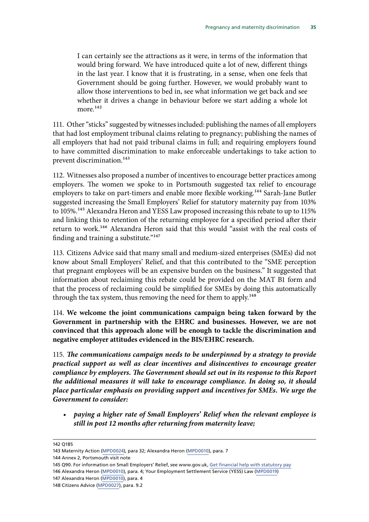I can certainly see the attractions as it were, in terms of the information that would bring forward. We have introduced quite a lot of new, different things in the last year. I know that it is frustrating, in a sense, when one feels that Government should be going further. However, we would probably want to allow those interventions to bed in, see what information we get back and see whether it drives a change in behaviour before we start adding a whole lot more  $^{142}$ 

111. Other "sticks" suggested by witnesses included: publishing the names of all employers that had lost employment tribunal claims relating to pregnancy; publishing the names of all employers that had not paid tribunal claims in full; and requiring employers found to have committed discrimination to make enforceable undertakings to take action to prevent discrimination.143

112. Witnesses also proposed a number of incentives to encourage better practices among employers. The women we spoke to in Portsmouth suggested tax relief to encourage employers to take on part-timers and enable more flexible working.<sup>144</sup> Sarah-Jane Butler suggested increasing the Small Employers' Relief for statutory maternity pay from 103% to 105%.<sup>145</sup> Alexandra Heron and YESS Law proposed increasing this rebate to up to 115% and linking this to retention of the returning employee for a specified period after their return to work.<sup>146</sup> Alexandra Heron said that this would "assist with the real costs of finding and training a substitute."147

113. Citizens Advice said that many small and medium-sized enterprises (SMEs) did not know about Small Employers' Relief, and that this contributed to the "SME perception that pregnant employees will be an expensive burden on the business." It suggested that information about reclaiming this rebate could be provided on the MAT B1 form and that the process of reclaiming could be simplified for SMEs by doing this automatically through the tax system, thus removing the need for them to apply.<sup>148</sup>

114. **We welcome the joint communications campaign being taken forward by the Government in partnership with the EHRC and businesses. However, we are not convinced that this approach alone will be enough to tackle the discrimination and negative employer attitudes evidenced in the BIS/EHRC research.** 

115. *The communications campaign needs to be underpinned by a strategy to provide practical support as well as clear incentives and disincentives to encourage greater compliance by employers. The Government should set out in its response to this Report the additional measures it will take to encourage compliance. In doing so, it should place particular emphasis on providing support and incentives for SMEs. We urge the Government to consider:* 

• *paying a higher rate of Small Employers' Relief when the relevant employee is still in post 12 months after returning from maternity leave;* 

142 Q185

146 Alexandra Heron [\(MPD0010](http://data.parliament.uk/writtenevidence/committeeevidence.svc/evidencedocument/women-and-equalities-committee/maternity-and-pregnancy-discrimination/written/31871.html)), para. 4; Your Employment Settlement Service (YESS) Law [\(MPD0019](http://data.parliament.uk/writtenevidence/committeeevidence.svc/evidencedocument/women-and-equalities-committee/maternity-and-pregnancy-discrimination/written/32101.html))

<sup>143</sup> Maternity Action [\(MPD0024\)](http://data.parliament.uk/writtenevidence/committeeevidence.svc/evidencedocument/women-and-equalities-committee/maternity-and-pregnancy-discrimination/written/33313.html), para 32; Alexandra Heron ([MPD0010\)](http://data.parliament.uk/writtenevidence/committeeevidence.svc/evidencedocument/women-and-equalities-committee/maternity-and-pregnancy-discrimination/written/31871.html), para. 7

<sup>144</sup> Annex 2, Portsmouth visit note

<sup>145</sup> Q90. For information on Small Employers' Relief, see www.gov.uk, [Get financial help with statutory pay](https://www.gov.uk/recover-statutory-payments/reclaiming) 

<sup>147</sup> Alexandra Heron ([MPD0010\)](http://data.parliament.uk/writtenevidence/committeeevidence.svc/evidencedocument/women-and-equalities-committee/maternity-and-pregnancy-discrimination/written/31871.html), para. 4

<sup>148</sup> Citizens Advice ([MPD0027](http://data.parliament.uk/writtenevidence/committeeevidence.svc/evidencedocument/women-and-equalities-committee/maternity-and-pregnancy-discrimination/written/33416.html)), para. 9.2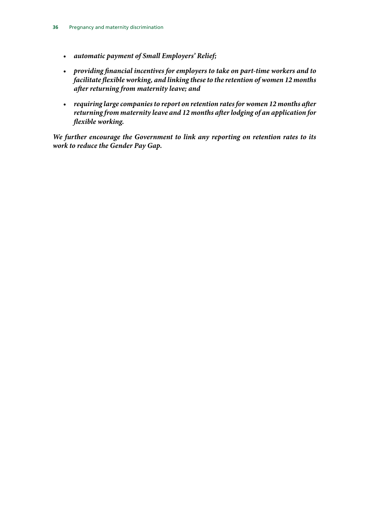- • *automatic payment of Small Employers' Relief;*
- • *providing financial incentives for employers to take on part-time workers and to facilitate flexible working, and linking these to the retention of women 12 months after returning from maternity leave; and*
- • *requiring large companies to report on retention rates for women 12 months after returning from maternity leave and 12 months after lodging of an application for flexible working.*

*We further encourage the Government to link any reporting on retention rates to its work to reduce the Gender Pay Gap.*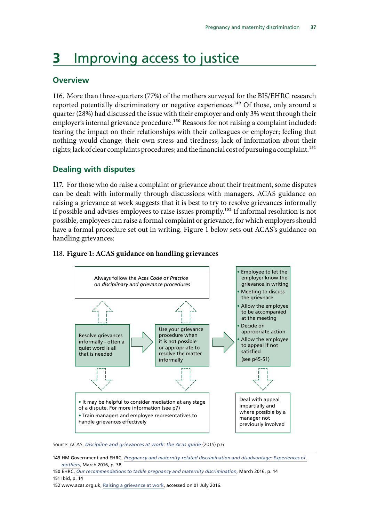## <span id="page-40-0"></span>**3** Improving access to justice

#### **Overview**

116. More than three-quarters (77%) of the mothers surveyed for the BIS/EHRC research reported potentially discriminatory or negative experiences.<sup>149</sup> Of those, only around a quarter (28%) had discussed the issue with their employer and only 3% went through their employer's internal grievance procedure.<sup>150</sup> Reasons for not raising a complaint included: fearing the impact on their relationships with their colleagues or employer; feeling that nothing would change; their own stress and tiredness; lack of information about their rights; lack of clear complaints procedures; and the financial cost of pursuing a complaint.<sup>151</sup>

#### **Dealing with disputes**

117. For those who do raise a complaint or grievance about their treatment, some disputes can be dealt with informally through discussions with managers. ACAS guidance on raising a grievance at work suggests that it is best to try to resolve grievances informally if possible and advises employees to raise issues promptly.<sup>152</sup> If informal resolution is not possible, employees can raise a formal complaint or grievance, for which employers should have a formal procedure set out in writing. Figure 1 below sets out ACAS's guidance on handling grievances:



### 118. Figure 1: ACAS guidance on handling grievances

Source: ACAS, *[Discipline and grievances at work: the Acas guide](http://www.acas.org.uk/media/pdf/b/l/Discipline-and-grievances-Acas-guide.pdf)* (2015) p.6

<sup>149</sup> HM Government and EHRC, *[Pregnancy and maternity-related discrimination and disadvantage: Experiences of](https://www.equalityhumanrights.com/en/file/10511/download?token=fhYbcMUf)  [mothers](https://www.equalityhumanrights.com/en/file/10511/download?token=fhYbcMUf)*, March 2016, p. 38

<sup>150</sup> EHRC, *[Our recommendations to tackle pregnancy and maternity discrimination](http://www.equalityhumanrights.com/en/managing-pregnancy-and-maternity-workplace/our-recommendations-tackle-pregnancy-and-maternity)*, March 2016, p. 14 151 Ibid, p. 14

<sup>152</sup> www.acas.org.uk, [Raising a grievance at work](http://www.acas.org.uk/index.aspx?articleid=1670), accessed on 01 July 2016.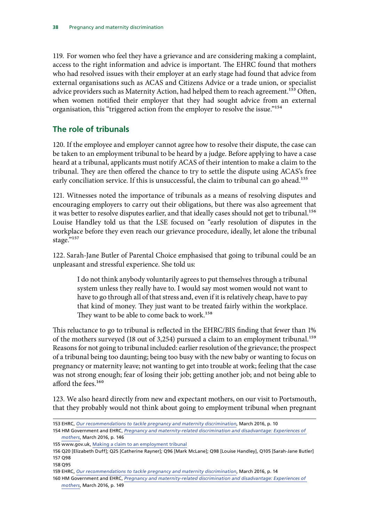<span id="page-41-0"></span>advice providers such as Maternity Action, had helped them to reach agreement.<sup>153</sup> Often, 119. For women who feel they have a grievance and are considering making a complaint, access to the right information and advice is important. The EHRC found that mothers who had resolved issues with their employer at an early stage had found that advice from external organisations such as ACAS and Citizens Advice or a trade union, or specialist when women notified their employer that they had sought advice from an external organisation, this "triggered action from the employer to resolve the issue."154

#### **The role of tribunals**

120. If the employee and employer cannot agree how to resolve their dispute, the case can be taken to an employment tribunal to be heard by a judge. Before applying to have a case heard at a tribunal, applicants must notify ACAS of their intention to make a claim to the tribunal. They are then offered the chance to try to settle the dispute using ACAS's free early conciliation service. If this is unsuccessful, the claim to tribunal can go ahead.<sup>155</sup>

121. Witnesses noted the importance of tribunals as a means of resolving disputes and encouraging employers to carry out their obligations, but there was also agreement that it was better to resolve disputes earlier, and that ideally cases should not get to tribunal.<sup>156</sup> Louise Handley told us that the LSE focused on "early resolution of disputes in the workplace before they even reach our grievance procedure, ideally, let alone the tribunal stage."157

122. Sarah-Jane Butler of Parental Choice emphasised that going to tribunal could be an unpleasant and stressful experience. She told us:

I do not think anybody voluntarily agrees to put themselves through a tribunal system unless they really have to. I would say most women would not want to have to go through all of that stress and, even if it is relatively cheap, have to pay that kind of money. They just want to be treated fairly within the workplace. They want to be able to come back to work.<sup>158</sup>

This reluctance to go to tribunal is reflected in the EHRC/BIS finding that fewer than 1% of the mothers surveyed (18 out of 3,254) pursued a claim to an employment tribunal.<sup>159</sup> Reasons for not going to tribunal included: earlier resolution of the grievance; the prospect of a tribunal being too daunting; being too busy with the new baby or wanting to focus on pregnancy or maternity leave; not wanting to get into trouble at work; feeling that the case was not strong enough; fear of losing their job; getting another job; and not being able to afford the fees.<sup>160</sup>

123. We also heard directly from new and expectant mothers, on our visit to Portsmouth, that they probably would not think about going to employment tribunal when pregnant

<sup>153</sup> EHRC, *[Our recommendations to tackle pregnancy and maternity discrimination](http://www.equalityhumanrights.com/en/managing-pregnancy-and-maternity-workplace/our-recommendations-tackle-pregnancy-and-maternity)*, March 2016, p. 10 154 HM Government and EHRC, *[Pregnancy and maternity-related discrimination and disadvantage: Experiences of](https://www.equalityhumanrights.com/en/file/10511/download?token=fhYbcMUf)* 

*[mothers](https://www.equalityhumanrights.com/en/file/10511/download?token=fhYbcMUf)*, March 2016, p. 146

<sup>155</sup> www.gov.uk, [Making a claim to an employment tribunal](https://www.gov.uk/employment-tribunals/when-you-can-claim%20) 

<sup>156</sup> Q20 [Elizabeth Duff]; Q25 [Catherine Rayner]; Q96 [Mark McLane]; Q98 [Louise Handley], Q105 [Sarah-Jane Butler] 157 Q98

<sup>158</sup> Q95

<sup>159</sup> EHRC, *[Our recommendations to tackle pregnancy and maternity discrimination](http://www.equalityhumanrights.com/en/managing-pregnancy-and-maternity-workplace/our-recommendations-tackle-pregnancy-and-maternity)*, March 2016, p. 14

<sup>160</sup> HM Government and EHRC, *[Pregnancy and maternity-related discrimination and disadvantage: Experiences of](https://www.equalityhumanrights.com/en/file/10511/download?token=fhYbcMUf)  [mothers](https://www.equalityhumanrights.com/en/file/10511/download?token=fhYbcMUf)*, March 2016, p. 149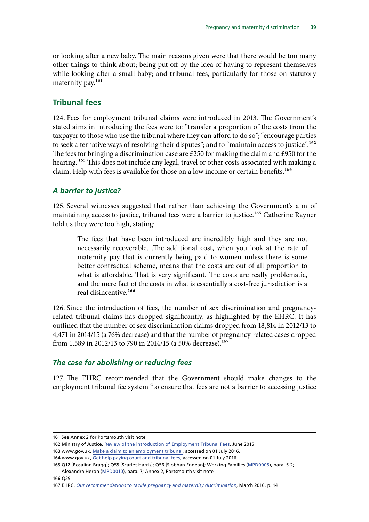<span id="page-42-0"></span>or looking after a new baby. The main reasons given were that there would be too many other things to think about; being put off by the idea of having to represent themselves while looking after a small baby; and tribunal fees, particularly for those on statutory maternity pay.<sup>161</sup>

#### **Tribunal fees**

124. Fees for employment tribunal claims were introduced in 2013. The Government's stated aims in introducing the fees were to: "transfer a proportion of the costs from the taxpayer to those who use the tribunal where they can afford to do so"; "encourage parties to seek alternative ways of resolving their disputes"; and to "maintain access to justice".<sup>162</sup> The fees for bringing a discrimination case are £250 for making the claim and £950 for the hearing. <sup>163</sup> This does not include any legal, travel or other costs associated with making a claim. Help with fees is available for those on a low income or certain benefits.<sup>164</sup>

#### *A barrier to justice?*

125. Several witnesses suggested that rather than achieving the Government's aim of maintaining access to justice, tribunal fees were a barrier to justice.<sup>165</sup> Catherine Rayner told us they were too high, stating:

The fees that have been introduced are incredibly high and they are not necessarily recoverable…The additional cost, when you look at the rate of maternity pay that is currently being paid to women unless there is some better contractual scheme, means that the costs are out of all proportion to what is affordable. That is very significant. The costs are really problematic, and the mere fact of the costs in what is essentially a cost-free jurisdiction is a real disincentive.166

126. Since the introduction of fees, the number of sex discrimination and pregnancyrelated tribunal claims has dropped significantly, as highlighted by the EHRC. It has outlined that the number of sex discrimination claims dropped from 18,814 in 2012/13 to 4,471 in 2014/15 (a 76% decrease) and that the number of pregnancy-related cases dropped from 1,589 in 2012/13 to 790 in 2014/15 (a 50% decrease).<sup>167</sup>

#### *The case for abolishing or reducing fees*

127. The EHRC recommended that the Government should make changes to the employment tribunal fee system "to ensure that fees are not a barrier to accessing justice

<sup>161</sup> See Annex 2 for Portsmouth visit note

<sup>162</sup> Ministry of Justice, [Review of the introduction of Employment Tribunal Fees,](https://www.gov.uk/government/uploads/system/uploads/attachment_data/file/434207/tor-employment-tribunal-fees.pdf) June 2015.

<sup>163</sup> www.gov.uk, [Make a claim to an employment tribunal,](https://www.gov.uk/employment-tribunals/make-a-claim) accessed on 01 July 2016.

<sup>164</sup> www.gov.uk, [Get help paying court and tribunal fees,](https://www.gov.uk/government/publications/apply-for-help-with-court-and-tribunal-fees) accessed on 01 July 2016.

<sup>165</sup> Q12 [Rosalind Bragg]; Q55 [Scarlet Harris]; Q56 [Siobhan Endean]; Working Families ([MPD0005\)](http://data.parliament.uk/writtenevidence/committeeevidence.svc/evidencedocument/women-and-equalities-committee/maternity-and-pregnancy-discrimination/written/31778.html), para. 5.2;

Alexandra Heron ([MPD0010\)](http://data.parliament.uk/writtenevidence/committeeevidence.svc/evidencedocument/women-and-equalities-committee/maternity-and-pregnancy-discrimination/written/31871.html), para. 7; Annex 2, Portsmouth visit note

<sup>167</sup> EHRC, *[Our recommendations to tackle pregnancy and maternity discrimination](http://www.equalityhumanrights.com/en/managing-pregnancy-and-maternity-workplace/our-recommendations-tackle-pregnancy-and-maternity)*, March 2016, p. 14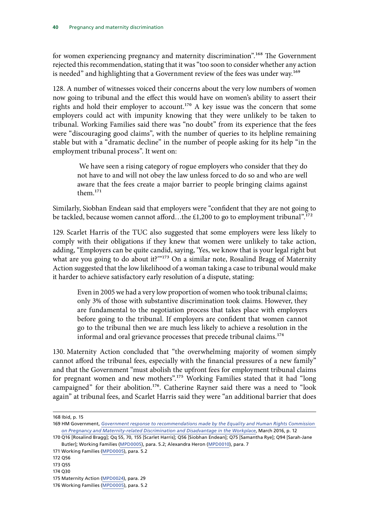for women experiencing pregnancy and maternity discrimination".<sup>168</sup> The Government rejected this recommendation, stating that it was "too soon to consider whether any action is needed" and highlighting that a Government review of the fees was under way.<sup>169</sup>

128. A number of witnesses voiced their concerns about the very low numbers of women now going to tribunal and the effect this would have on women's ability to assert their rights and hold their employer to account.<sup>170</sup> A key issue was the concern that some employers could act with impunity knowing that they were unlikely to be taken to tribunal. Working Families said there was "no doubt" from its experience that the fees were "discouraging good claims", with the number of queries to its helpline remaining stable but with a "dramatic decline" in the number of people asking for its help "in the employment tribunal process". It went on:

 We have seen a rising category of rogue employers who consider that they do not have to and will not obey the law unless forced to do so and who are well aware that the fees create a major barrier to people bringing claims against them.171

Similarly, Siobhan Endean said that employers were "confident that they are not going to be tackled, because women cannot afford...the £1,200 to go to employment tribunal".<sup>172</sup>

129. Scarlet Harris of the TUC also suggested that some employers were less likely to comply with their obligations if they knew that women were unlikely to take action, adding, "Employers can be quite candid, saying, 'Yes, we know that is your legal right but what are you going to do about it?"<sup>173</sup> On a similar note, Rosalind Bragg of Maternity Action suggested that the low likelihood of a woman taking a case to tribunal would make it harder to achieve satisfactory early resolution of a dispute, stating:

Even in 2005 we had a very low proportion of women who took tribunal claims; only 3% of those with substantive discrimination took claims. However, they are fundamental to the negotiation process that takes place with employers before going to the tribunal. If employers are confident that women cannot go to the tribunal then we are much less likely to achieve a resolution in the informal and oral grievance processes that precede tribunal claims.<sup>174</sup>

130. Maternity Action concluded that "the overwhelming majority of women simply cannot afford the tribunal fees, especially with the financial pressures of a new family" and that the Government "must abolish the upfront fees for employment tribunal claims for pregnant women and new mothers".<sup>175</sup> Working Families stated that it had "long campaigned" for their abolition.176. Catherine Rayner said there was a need to "look again" at tribunal fees, and Scarlet Harris said they were "an additional barrier that does

<sup>168</sup> Ibid, p. 15

<sup>169</sup> HM Government, *[Government response to recommendations made by the Equality and Human Rights Commission](https://www.gov.uk/government/uploads/system/uploads/attachment_data/file/509571/bis-16-148-government-response-to-recommendations-by-EHRC-on-pregnancy-and-maternity-related-discrimination.pdf)  [on Pregnancy and Maternity-related Discrimination and Disadvantage in the Workplace](https://www.gov.uk/government/uploads/system/uploads/attachment_data/file/509571/bis-16-148-government-response-to-recommendations-by-EHRC-on-pregnancy-and-maternity-related-discrimination.pdf)*, March 2016, p. 12

<sup>170</sup> Q16 [Rosalind Bragg]; Qq 55, 70, 155 [Scarlet Harris]; Q56 [Siobhan Endean]; Q75 [Samantha Rye]; Q94 [Sarah-Jane Butler]; Working Families ([MPD0005](http://data.parliament.uk/writtenevidence/committeeevidence.svc/evidencedocument/women-and-equalities-committee/maternity-and-pregnancy-discrimination/written/31778.html)), para. 5.2; Alexandra Heron [\(MPD0010](http://data.parliament.uk/writtenevidence/committeeevidence.svc/evidencedocument/women-and-equalities-committee/maternity-and-pregnancy-discrimination/written/31871.html)), para. 7

<sup>171</sup> Working Families [\(MPD0005\)](http://data.parliament.uk/writtenevidence/committeeevidence.svc/evidencedocument/women-and-equalities-committee/maternity-and-pregnancy-discrimination/written/31778.html), para. 5.2

<sup>172</sup> Q56

<sup>173</sup> Q55

<sup>175</sup> Maternity Action [\(MPD0024](http://data.parliament.uk/writtenevidence/committeeevidence.svc/evidencedocument/women-and-equalities-committee/maternity-and-pregnancy-discrimination/written/33313.html)), para. 29

<sup>176</sup> Working Families [\(MPD0005\)](http://data.parliament.uk/writtenevidence/committeeevidence.svc/evidencedocument/women-and-equalities-committee/maternity-and-pregnancy-discrimination/written/31778.html), para. 5.2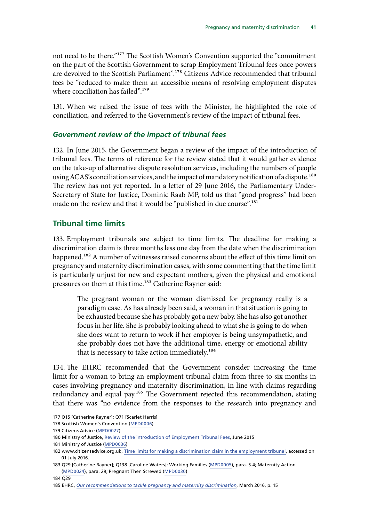<span id="page-44-0"></span>not need to be there."177 The Scottish Women's Convention supported the "commitment on the part of the Scottish Government to scrap Employment Tribunal fees once powers are devolved to the Scottish Parliament".178 Citizens Advice recommended that tribunal fees be "reduced to make them an accessible means of resolving employment disputes where conciliation has failed".<sup>179</sup>

131. When we raised the issue of fees with the Minister, he highlighted the role of conciliation, and referred to the Government's review of the impact of tribunal fees.

#### *Government review of the impact of tribunal fees*

132. In June 2015, the Government began a review of the impact of the introduction of tribunal fees. The terms of reference for the review stated that it would gather evidence on the take-up of alternative dispute resolution services, including the numbers of people using ACAS's conciliation services, and the impact of mandatory notification of a dispute.<sup>180</sup> The review has not yet reported. In a letter of 29 June 2016, the Parliamentary Under-Secretary of State for Justice, Dominic Raab MP, told us that "good progress" had been made on the review and that it would be "published in due course".<sup>181</sup>

#### **Tribunal time limits**

133. Employment tribunals are subject to time limits. The deadline for making a discrimination claim is three months less one day from the date when the discrimination happened.<sup>182</sup> A number of witnesses raised concerns about the effect of this time limit on pregnancy and maternity discrimination cases, with some commenting that the time limit is particularly unjust for new and expectant mothers, given the physical and emotional pressures on them at this time.<sup>183</sup> Catherine Rayner said:

The pregnant woman or the woman dismissed for pregnancy really is a paradigm case. As has already been said, a woman in that situation is going to be exhausted because she has probably got a new baby. She has also got another focus in her life. She is probably looking ahead to what she is going to do when she does want to return to work if her employer is being unsympathetic, and she probably does not have the additional time, energy or emotional ability that is necessary to take action immediately.<sup>184</sup>

134. The EHRC recommended that the Government consider increasing the time limit for a woman to bring an employment tribunal claim from three to six months in cases involving pregnancy and maternity discrimination, in line with claims regarding redundancy and equal pay.<sup>185</sup> The Government rejected this recommendation, stating that there was "no evidence from the responses to the research into pregnancy and

<sup>177</sup> Q15 [Catherine Rayner]; Q71 [Scarlet Harris]

<sup>178</sup> Scottish Women's Convention [\(MPD0006](http://data.parliament.uk/writtenevidence/committeeevidence.svc/evidencedocument/women-and-equalities-committee/maternity-and-pregnancy-discrimination/written/31806.html))

<sup>179</sup> Citizens Advice ([MPD0027\)](http://data.parliament.uk/writtenevidence/committeeevidence.svc/evidencedocument/women-and-equalities-committee/maternity-and-pregnancy-discrimination/written/33416.html)

<sup>180</sup> Ministry of Justice, [Review of the introduction of Employment Tribunal Fees](https://www.gov.uk/government/uploads/system/uploads/attachment_data/file/434207/tor-employment-tribunal-fees.pdf), June 2015

<sup>181</sup> Ministry of Justice ([MPD0036](http://data.parliament.uk/writtenevidence/committeeevidence.svc/evidencedocument/women-and-equalities-committee/maternity-and-pregnancy-discrimination/written/34885.html))

<sup>182</sup> www.citizensadvice.org.uk, [Time limits for making a discrimination claim in the employment tribunal](https://www.citizensadvice.org.uk/work/discrimination-at-work/taking-legal-action-about-discrimination-at-work/time-limits-for-making-a-discrimination-claim-in-the-employment-tribunal/), accessed on 01 July 2016.

<sup>183</sup> Q29 [Catherine Rayner]; Q138 [Caroline Waters]; Working Families [\(MPD0005\)](http://data.parliament.uk/writtenevidence/committeeevidence.svc/evidencedocument/women-and-equalities-committee/maternity-and-pregnancy-discrimination/written/31778.html), para. 5.4; Maternity Action ([MPD0024](http://data.parliament.uk/writtenevidence/committeeevidence.svc/evidencedocument/women-and-equalities-committee/maternity-and-pregnancy-discrimination/written/33313.html)), para. 29; Pregnant Then Screwed [\(MPD0030\)](http://data.parliament.uk/writtenevidence/committeeevidence.svc/evidencedocument/women-and-equalities-committee/maternity-and-pregnancy-discrimination/written/34040.html)

<sup>185</sup> EHRC, *[Our recommendations to tackle pregnancy and maternity discrimination](http://www.equalityhumanrights.com/en/managing-pregnancy-and-maternity-workplace/our-recommendations-tackle-pregnancy-and-maternity)*, March 2016, p. 15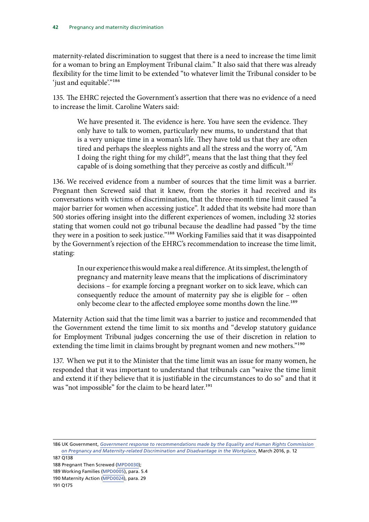maternity-related discrimination to suggest that there is a need to increase the time limit for a woman to bring an Employment Tribunal claim." It also said that there was already flexibility for the time limit to be extended "to whatever limit the Tribunal consider to be 'just and equitable'."<sup>186</sup>

135. The EHRC rejected the Government's assertion that there was no evidence of a need to increase the limit. Caroline Waters said:

We have presented it. The evidence is here. You have seen the evidence. They only have to talk to women, particularly new mums, to understand that that is a very unique time in a woman's life. They have told us that they are often tired and perhaps the sleepless nights and all the stress and the worry of, "Am I doing the right thing for my child?", means that the last thing that they feel capable of is doing something that they perceive as costly and difficult.<sup>187</sup>

136. We received evidence from a number of sources that the time limit was a barrier. Pregnant then Screwed said that it knew, from the stories it had received and its conversations with victims of discrimination, that the three-month time limit caused "a major barrier for women when accessing justice". It added that its website had more than 500 stories offering insight into the different experiences of women, including 32 stories stating that women could not go tribunal because the deadline had passed "by the time they were in a position to seek justice."<sup>188</sup> Working Families said that it was disappointed by the Government's rejection of the EHRC's recommendation to increase the time limit, stating:

In our experience this would make a real difference. At its simplest, the length of pregnancy and maternity leave means that the implications of discriminatory decisions – for example forcing a pregnant worker on to sick leave, which can consequently reduce the amount of maternity pay she is eligible for – often only become clear to the affected employee some months down the line.<sup>189</sup>

Maternity Action said that the time limit was a barrier to justice and recommended that the Government extend the time limit to six months and "develop statutory guidance for Employment Tribunal judges concerning the use of their discretion in relation to extending the time limit in claims brought by pregnant women and new mothers."<sup>190</sup>

137. When we put it to the Minister that the time limit was an issue for many women, he responded that it was important to understand that tribunals can "waive the time limit and extend it if they believe that it is justifiable in the circumstances to do so" and that it was "not impossible" for the claim to be heard later.<sup>191</sup>

186 UK Government, *[Government response to recommendations made by the Equality and Human Rights Commission](https://www.gov.uk/government/uploads/system/uploads/attachment_data/file/509571/bis-16-148-government-response-to-recommendations-by-EHRC-on-pregnancy-and-maternity-related-discrimination.pdf)  [on Pregnancy and Maternity-related Discrimination and Disadvantage in the Workplace](https://www.gov.uk/government/uploads/system/uploads/attachment_data/file/509571/bis-16-148-government-response-to-recommendations-by-EHRC-on-pregnancy-and-maternity-related-discrimination.pdf)*, March 2016, p. 12

<sup>188</sup> Pregnant Then Screwed [\(MPD0030\)](http://data.parliament.uk/writtenevidence/committeeevidence.svc/evidencedocument/women-and-equalities-committee/maternity-and-pregnancy-discrimination/written/34040.html);

<sup>189</sup> Working Families ([MPD0005](http://data.parliament.uk/writtenevidence/committeeevidence.svc/evidencedocument/women-and-equalities-committee/maternity-and-pregnancy-discrimination/written/31778.html)), para. 5.4

<sup>190</sup> Maternity Action ([MPD0024\)](http://data.parliament.uk/writtenevidence/committeeevidence.svc/evidencedocument/women-and-equalities-committee/maternity-and-pregnancy-discrimination/written/33313.html), para. 29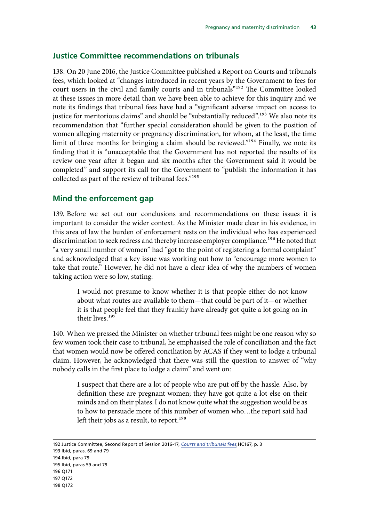#### <span id="page-46-0"></span>**Justice Committee recommendations on tribunals**

138. On 20 June 2016, the Justice Committee published a Report on Courts and tribunals fees, which looked at "changes introduced in recent years by the Government to fees for court users in the civil and family courts and in tribunals"192 The Committee looked at these issues in more detail than we have been able to achieve for this inquiry and we note its findings that tribunal fees have had a "significant adverse impact on access to justice for meritorious claims" and should be "substantially reduced".<sup>193</sup> We also note its recommendation that "further special consideration should be given to the position of women alleging maternity or pregnancy discrimination, for whom, at the least, the time limit of three months for bringing a claim should be reviewed."<sup>194</sup> Finally, we note its finding that it is "unacceptable that the Government has not reported the results of its review one year after it began and six months after the Government said it would be completed" and support its call for the Government to "publish the information it has collected as part of the review of tribunal fees."195

#### **Mind the enforcement gap**

139. Before we set out our conclusions and recommendations on these issues it is important to consider the wider context. As the Minister made clear in his evidence, in this area of law the burden of enforcement rests on the individual who has experienced discrimination to seek redress and thereby increase employer compliance.<sup>196</sup> He noted that "a very small number of women" had "got to the point of registering a formal complaint" and acknowledged that a key issue was working out how to "encourage more women to take that route." However, he did not have a clear idea of why the numbers of women taking action were so low, stating:

I would not presume to know whether it is that people either do not know about what routes are available to them—that could be part of it—or whether it is that people feel that they frankly have already got quite a lot going on in their lives.197

140. When we pressed the Minister on whether tribunal fees might be one reason why so few women took their case to tribunal, he emphasised the role of conciliation and the fact that women would now be offered conciliation by ACAS if they went to lodge a tribunal claim. However, he acknowledged that there was still the question to answer of "why nobody calls in the first place to lodge a claim" and went on:

I suspect that there are a lot of people who are put off by the hassle. Also, by definition these are pregnant women; they have got quite a lot else on their minds and on their plates.I do not know quite what the suggestion would be as to how to persuade more of this number of women who…the report said had left their jobs as a result, to report.<sup>198</sup>

<sup>192</sup> Justice Committee, Second Report of Session 2016-17, *[Courts and tribunals fees](http://www.publications.parliament.uk/pa/cm201617/cmselect/cmjust/167/167.pdf)*,HC167, p. 3

<sup>193</sup> Ibid, paras. 69 and 79

<sup>194</sup> Ibid, para 79

<sup>195</sup> Ibid, paras 59 and 79

<sup>196</sup> Q171

<sup>197</sup> Q172

<sup>198</sup> Q172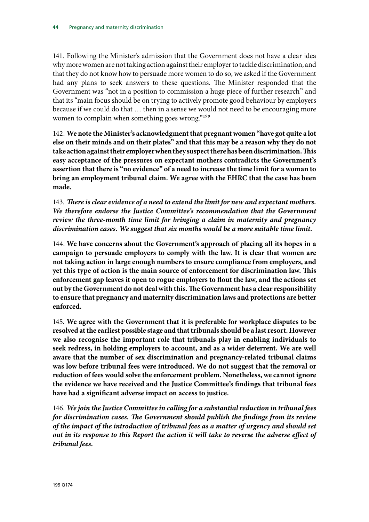141. Following the Minister's admission that the Government does not have a clear idea why more women are not taking action against their employer to tackle discrimination, and that they do not know how to persuade more women to do so, we asked if the Government had any plans to seek answers to these questions. The Minister responded that the Government was "not in a position to commission a huge piece of further research" and that its "main focus should be on trying to actively promote good behaviour by employers because if we could do that … then in a sense we would not need to be encouraging more women to complain when something goes wrong."<sup>199</sup>

142. **We note the Minister's acknowledgment that pregnant women "have got quite a lot else on their minds and on their plates" and that this may be a reason why they do not take action against their employer when they suspect there has been discrimination. This easy acceptance of the pressures on expectant mothers contradicts the Government's assertion that there is "no evidence" of a need to increase the time limit for a woman to bring an employment tribunal claim. We agree with the EHRC that the case has been made.** 

143. *There is clear evidence of a need to extend the limit for new and expectant mothers. We therefore endorse the Justice Committee's recommendation that the Government review the three-month time limit for bringing a claim in maternity and pregnancy discrimination cases. We suggest that six months would be a more suitable time limit.* 

144. **We have concerns about the Government's approach of placing all its hopes in a campaign to persuade employers to comply with the law. It is clear that women are not taking action in large enough numbers to ensure compliance from employers, and yet this type of action is the main source of enforcement for discrimination law. This enforcement gap leaves it open to rogue employers to flout the law, and the actions set out by the Government do not deal with this. The Government has a clear responsibility to ensure that pregnancy and maternity discrimination laws and protections are better enforced.** 

145. **We agree with the Government that it is preferable for workplace disputes to be resolved at the earliest possible stage and that tribunals should be a last resort. However we also recognise the important role that tribunals play in enabling individuals to seek redress, in holding employers to account, and as a wider deterrent. We are well aware that the number of sex discrimination and pregnancy-related tribunal claims was low before tribunal fees were introduced. We do not suggest that the removal or reduction of fees would solve the enforcement problem. Nonetheless, we cannot ignore the evidence we have received and the Justice Committee's findings that tribunal fees have had a significant adverse impact on access to justice.** 

146. *We join the Justice Committee in calling for a substantial reduction in tribunal fees for discrimination cases. The Government should publish the findings from its review of the impact of the introduction of tribunal fees as a matter of urgency and should set out in its response to this Report the action it will take to reverse the adverse effect of tribunal fees.*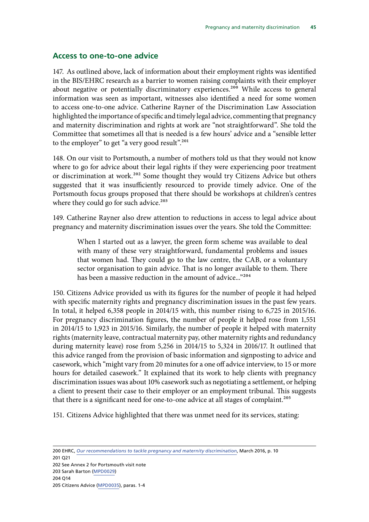#### <span id="page-48-0"></span>**Access to one-to-one advice**

147. As outlined above, lack of information about their employment rights was identified in the BIS/EHRC research as a barrier to women raising complaints with their employer about negative or potentially discriminatory experiences.<sup>200</sup> While access to general information was seen as important, witnesses also identified a need for some women to access one-to-one advice. Catherine Rayner of the Discrimination Law Association highlighted the importance of specific and timely legal advice, commenting that pregnancy and maternity discrimination and rights at work are "not straightforward". She told the Committee that sometimes all that is needed is a few hours' advice and a "sensible letter to the employer" to get "a very good result".<sup>201</sup>

148. On our visit to Portsmouth, a number of mothers told us that they would not know where to go for advice about their legal rights if they were experiencing poor treatment or discrimination at work.<sup>202</sup> Some thought they would try Citizens Advice but others suggested that it was insufficiently resourced to provide timely advice. One of the Portsmouth focus groups proposed that there should be workshops at children's centres where they could go for such advice.<sup>203</sup>

149. Catherine Rayner also drew attention to reductions in access to legal advice about pregnancy and maternity discrimination issues over the years. She told the Committee:

When I started out as a lawyer, the green form scheme was available to deal with many of these very straightforward, fundamental problems and issues that women had. They could go to the law centre, the CAB, or a voluntary sector organisation to gain advice. That is no longer available to them. There has been a massive reduction in the amount of advice..."<sup>204</sup>

150. Citizens Advice provided us with its figures for the number of people it had helped with specific maternity rights and pregnancy discrimination issues in the past few years. In total, it helped 6,358 people in 2014/15 with, this number rising to 6,725 in 2015/16. For pregnancy discrimination figures, the number of people it helped rose from 1,551 in 2014/15 to 1,923 in 2015/16. Similarly, the number of people it helped with maternity rights (maternity leave, contractual maternity pay, other maternity rights and redundancy during maternity leave) rose from 5,256 in 2014/15 to 5,324 in 2016/17. It outlined that this advice ranged from the provision of basic information and signposting to advice and casework, which "might vary from 20 minutes for a one off advice interview, to 15 or more hours for detailed casework." It explained that its work to help clients with pregnancy discrimination issues was about 10% casework such as negotiating a settlement, or helping a client to present their case to their employer or an employment tribunal. This suggests that there is a significant need for one-to-one advice at all stages of complaint.<sup>205</sup>

151. Citizens Advice highlighted that there was unmet need for its services, stating: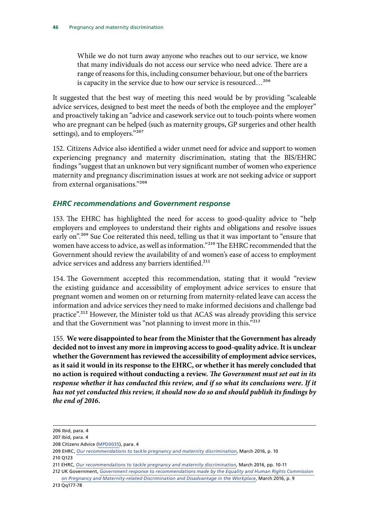<span id="page-49-0"></span>While we do not turn away anyone who reaches out to our service, we know that many individuals do not access our service who need advice. There are a range of reasons for this, including consumer behaviour, but one of the barriers is capacity in the service due to how our service is resourced…206

It suggested that the best way of meeting this need would be by providing "scaleable advice services, designed to best meet the needs of both the employee and the employer" and proactively taking an "advice and casework service out to touch-points where women who are pregnant can be helped (such as maternity groups, GP surgeries and other health settings), and to employers."207

152. Citizens Advice also identified a wider unmet need for advice and support to women experiencing pregnancy and maternity discrimination, stating that the BIS/EHRC findings "suggest that an unknown but very significant number of women who experience maternity and pregnancy discrimination issues at work are not seeking advice or support from external organisations."208

#### *EHRC recommendations and Government response*

153. The EHRC has highlighted the need for access to good-quality advice to "help employers and employees to understand their rights and obligations and resolve issues early on".<sup>209</sup> Sue Coe reiterated this need, telling us that it was important to "ensure that women have access to advice, as well as information."210 The EHRC recommended that the Government should review the availability of and women's ease of access to employment advice services and address any barriers identified.<sup>211</sup>

154. The Government accepted this recommendation, stating that it would "review the existing guidance and accessibility of employment advice services to ensure that pregnant women and women on or returning from maternity-related leave can access the information and advice services they need to make informed decisions and challenge bad practice".<sup>212</sup> However, the Minister told us that ACAS was already providing this service and that the Government was "not planning to invest more in this."213

155. **We were disappointed to hear from the Minister that the Government has already decided not to invest any more in improving access to good-quality advice. It is unclear whether the Government has reviewed the accessibility of employment advice services, as it said it would in its response to the EHRC, or whether it has merely concluded that no action is required without conducting a review.** *The Government must set out in its*  response whether it has conducted this review, and if so what its conclusions were. If it *has not yet conducted this review, it should now do so and should publish its findings by the end of 2016.* 

<sup>206</sup> Ibid, para. 4

<sup>207</sup> Ibid, para. 4

<sup>208</sup> Citizens Advice [\(MPD0035\)](http://data.parliament.uk/writtenevidence/committeeevidence.svc/evidencedocument/women-and-equalities-committee/maternity-and-pregnancy-discrimination/written/34699.html), para. 4

<sup>209</sup> EHRC, *[Our recommendations to tackle pregnancy and maternity discrimination](http://www.equalityhumanrights.com/en/managing-pregnancy-and-maternity-workplace/our-recommendations-tackle-pregnancy-and-maternity)*, March 2016, p. 10 210 Q123

<sup>211</sup> EHRC, *[Our recommendations to tackle pregnancy and maternity discrimination](http://www.equalityhumanrights.com/en/managing-pregnancy-and-maternity-workplace/our-recommendations-tackle-pregnancy-and-maternity)*, March 2016, pp. 10-11

<sup>212</sup> UK Government, *[Government response to recommendations made by the Equality and Human Rights Commission](https://www.gov.uk/government/uploads/system/uploads/attachment_data/file/509571/bis-16-148-government-response-to-recommendations-by-EHRC-on-pregnancy-and-maternity-related-discrimination.pdf)  [on Pregnancy and Maternity-related Discrimination and Disadvantage in the Workplace](https://www.gov.uk/government/uploads/system/uploads/attachment_data/file/509571/bis-16-148-government-response-to-recommendations-by-EHRC-on-pregnancy-and-maternity-related-discrimination.pdf)*, March 2016, p. 9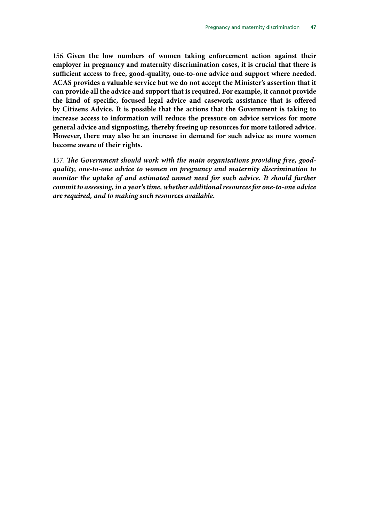156. **Given the low numbers of women taking enforcement action against their employer in pregnancy and maternity discrimination cases, it is crucial that there is sufficient access to free, good-quality, one-to-one advice and support where needed. ACAS provides a valuable service but we do not accept the Minister's assertion that it can provide all the advice and support that is required. For example, it cannot provide the kind of specific, focused legal advice and casework assistance that is offered by Citizens Advice. It is possible that the actions that the Government is taking to increase access to information will reduce the pressure on advice services for more general advice and signposting, thereby freeing up resources for more tailored advice. However, there may also be an increase in demand for such advice as more women become aware of their rights.** 

157. *The Government should work with the main organisations providing free, goodquality, one-to-one advice to women on pregnancy and maternity discrimination to monitor the uptake of and estimated unmet need for such advice. It should further commit to assessing, in a year's time, whether additional resources for one-to-one advice are required, and to making such resources available.*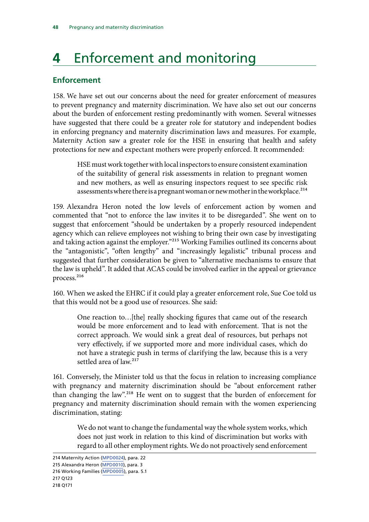## <span id="page-51-0"></span>**4** Enforcement and monitoring

#### **Enforcement**

158. We have set out our concerns about the need for greater enforcement of measures to prevent pregnancy and maternity discrimination. We have also set out our concerns about the burden of enforcement resting predominantly with women. Several witnesses have suggested that there could be a greater role for statutory and independent bodies in enforcing pregnancy and maternity discrimination laws and measures. For example, Maternity Action saw a greater role for the HSE in ensuring that health and safety protections for new and expectant mothers were properly enforced. It recommended:

HSE must work together with local inspectors to ensure consistent examination of the suitability of general risk assessments in relation to pregnant women and new mothers, as well as ensuring inspectors request to see specific risk assessments where there is a pregnant woman or new mother in the workplace.<sup>214</sup>

159. Alexandra Heron noted the low levels of enforcement action by women and commented that "not to enforce the law invites it to be disregarded". She went on to suggest that enforcement "should be undertaken by a properly resourced independent agency which can relieve employees not wishing to bring their own case by investigating and taking action against the employer."<sup>215</sup> Working Families outlined its concerns about the "antagonistic", "often lengthy" and "increasingly legalistic" tribunal process and suggested that further consideration be given to "alternative mechanisms to ensure that the law is upheld". It added that ACAS could be involved earlier in the appeal or grievance process.<sup>216</sup>

160. When we asked the EHRC if it could play a greater enforcement role, Sue Coe told us that this would not be a good use of resources. She said:

One reaction to…[the] really shocking figures that came out of the research would be more enforcement and to lead with enforcement. That is not the correct approach. We would sink a great deal of resources, but perhaps not very effectively, if we supported more and more individual cases, which do not have a strategic push in terms of clarifying the law, because this is a very settled area of law.<sup>217</sup>

161. Conversely, the Minister told us that the focus in relation to increasing compliance with pregnancy and maternity discrimination should be "about enforcement rather than changing the law".218 He went on to suggest that the burden of enforcement for pregnancy and maternity discrimination should remain with the women experiencing discrimination, stating:

We do not want to change the fundamental way the whole system works, which does not just work in relation to this kind of discrimination but works with regard to all other employment rights. We do not proactively send enforcement

<sup>214</sup> Maternity Action [\(MPD0024](http://data.parliament.uk/writtenevidence/committeeevidence.svc/evidencedocument/women-and-equalities-committee/maternity-and-pregnancy-discrimination/written/33313.html)), para. 22

<sup>215</sup> Alexandra Heron ([MPD0010\)](http://data.parliament.uk/writtenevidence/committeeevidence.svc/evidencedocument/women-and-equalities-committee/maternity-and-pregnancy-discrimination/written/31871.html), para. 3

<sup>216</sup> Working Families [\(MPD0005](http://data.parliament.uk/writtenevidence/committeeevidence.svc/evidencedocument/women-and-equalities-committee/maternity-and-pregnancy-discrimination/written/31778.html)), para. 5.1

<sup>217</sup> Q123

<sup>218</sup> Q171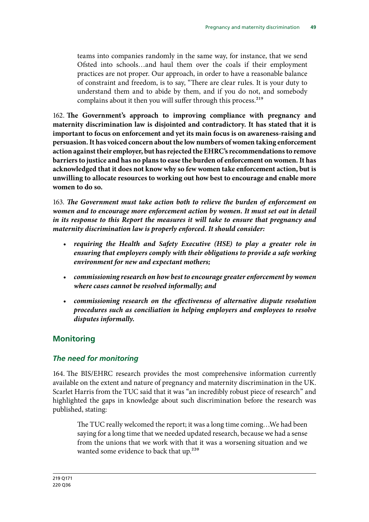<span id="page-52-0"></span>teams into companies randomly in the same way, for instance, that we send Ofsted into schools…and haul them over the coals if their employment practices are not proper. Our approach, in order to have a reasonable balance of constraint and freedom, is to say, "There are clear rules. It is your duty to understand them and to abide by them, and if you do not, and somebody complains about it then you will suffer through this process.<sup>219</sup>

162. **The Government's approach to improving compliance with pregnancy and maternity discrimination law is disjointed and contradictory. It has stated that it is important to focus on enforcement and yet its main focus is on awareness-raising and persuasion. It has voiced concern about the low numbers of women taking enforcement action against their employer, but has rejected the EHRC's recommendations to remove barriers to justice and has no plans to ease the burden of enforcement on women. It has acknowledged that it does not know why so few women take enforcement action, but is unwilling to allocate resources to working out how best to encourage and enable more women to do so.** 

163. *The Government must take action both to relieve the burden of enforcement on women and to encourage more enforcement action by women. It must set out in detail in its response to this Report the measures it will take to ensure that pregnancy and maternity discrimination law is properly enforced. It should consider:* 

- requiring the Health and Safety Executive (HSE) to play a greater role in *ensuring that employers comply with their obligations to provide a safe working environment for new and expectant mothers;*
- commissioning research on how best to encourage greater enforcement by women *where cases cannot be resolved informally; and*
- commissioning research on the effectiveness of alternative dispute resolution *procedures such as conciliation in helping employers and employees to resolve disputes informally.*

#### **Monitoring**

#### *The need for monitoring*

164. The BIS/EHRC research provides the most comprehensive information currently available on the extent and nature of pregnancy and maternity discrimination in the UK. Scarlet Harris from the TUC said that it was "an incredibly robust piece of research" and highlighted the gaps in knowledge about such discrimination before the research was published, stating:

The TUC really welcomed the report; it was a long time coming…We had been saying for a long time that we needed updated research, because we had a sense from the unions that we work with that it was a worsening situation and we wanted some evidence to back that up.<sup>220</sup>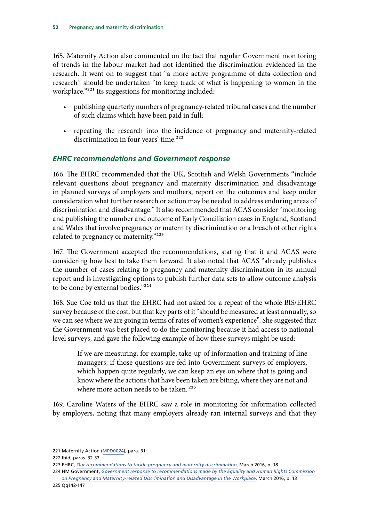<span id="page-53-0"></span>165. Maternity Action also commented on the fact that regular Government monitoring of trends in the labour market had not identified the discrimination evidenced in the research. It went on to suggest that "a more active programme of data collection and research" should be undertaken "to keep track of what is happening to women in the workplace."221 Its suggestions for monitoring included:

- publishing quarterly numbers of pregnancy-related tribunal cases and the number of such claims which have been paid in full;
- repeating the research into the incidence of pregnancy and maternity-related discrimination in four years' time.<sup>222</sup>

#### *EHRC recommendations and Government response*

166. The EHRC recommended that the UK, Scottish and Welsh Governments "include relevant questions about pregnancy and maternity discrimination and disadvantage in planned surveys of employers and mothers, report on the outcomes and keep under consideration what further research or action may be needed to address enduring areas of discrimination and disadvantage." It also recommended that ACAS consider "monitoring and publishing the number and outcome of Early Conciliation cases in England, Scotland and Wales that involve pregnancy or maternity discrimination or a breach of other rights related to pregnancy or maternity."223

167. The Government accepted the recommendations, stating that it and ACAS were considering how best to take them forward. It also noted that ACAS "already publishes the number of cases relating to pregnancy and maternity discrimination in its annual report and is investigating options to publish further data sets to allow outcome analysis to be done by external bodies."224

168. Sue Coe told us that the EHRC had not asked for a repeat of the whole BIS/EHRC survey because of the cost, but that key parts of it "should be measured at least annually, so we can see where we are going in terms of rates of women's experience". She suggested that the Government was best placed to do the monitoring because it had access to nationallevel surveys, and gave the following example of how these surveys might be used:

If we are measuring, for example, take-up of information and training of line managers, if those questions are fed into Government surveys of employers, which happen quite regularly, we can keep an eye on where that is going and know where the actions that have been taken are biting, where they are not and where more action needs to be taken.<sup>225</sup>

169. Caroline Waters of the EHRC saw a role in monitoring for information collected by employers, noting that many employers already ran internal surveys and that they

<sup>221</sup> Maternity Action ([MPD0024\)](http://data.parliament.uk/writtenevidence/committeeevidence.svc/evidencedocument/women-and-equalities-committee/maternity-and-pregnancy-discrimination/written/33313.html), para. 31

<sup>222</sup> Ibid, paras. 32-33

<sup>223</sup> EHRC, *[Our recommendations to tackle pregnancy and maternity discrimination](http://www.equalityhumanrights.com/en/managing-pregnancy-and-maternity-workplace/our-recommendations-tackle-pregnancy-and-maternity)*, March 2016, p. 18

<sup>224</sup> HM Government, *[Government response to recommendations made by the Equality and Human Rights Commission](https://www.gov.uk/government/uploads/system/uploads/attachment_data/file/509571/bis-16-148-government-response-to-recommendations-by-EHRC-on-pregnancy-and-maternity-related-discrimination.pdf)  [on Pregnancy and Maternity-related Discrimination and Disadvantage in the Workplace](https://www.gov.uk/government/uploads/system/uploads/attachment_data/file/509571/bis-16-148-government-response-to-recommendations-by-EHRC-on-pregnancy-and-maternity-related-discrimination.pdf)*, March 2016, p. 13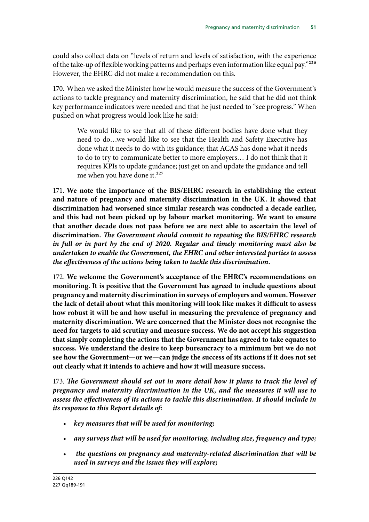could also collect data on "levels of return and levels of satisfaction, with the experience of the take-up of flexible working patterns and perhaps even information like equal pay."226 However, the EHRC did not make a recommendation on this.

170. When we asked the Minister how he would measure the success of the Government's actions to tackle pregnancy and maternity discrimination, he said that he did not think key performance indicators were needed and that he just needed to "see progress." When pushed on what progress would look like he said:

We would like to see that all of these different bodies have done what they need to do…we would like to see that the Health and Safety Executive has done what it needs to do with its guidance; that ACAS has done what it needs to do to try to communicate better to more employers… I do not think that it requires KPIs to update guidance; just get on and update the guidance and tell me when you have done it.<sup>227</sup>

171. **We note the importance of the BIS/EHRC research in establishing the extent and nature of pregnancy and maternity discrimination in the UK. It showed that discrimination had worsened since similar research was conducted a decade earlier, and this had not been picked up by labour market monitoring. We want to ensure that another decade does not pass before we are next able to ascertain the level of discrimination.** *The Government should commit to repeating the BIS/EHRC research in full or in part by the end of 2020. Regular and timely monitoring must also be undertaken to enable the Government, the EHRC and other interested parties to assess the effectiveness of the actions being taken to tackle this discrimination.* 

172. **We welcome the Government's acceptance of the EHRC's recommendations on monitoring. It is positive that the Government has agreed to include questions about pregnancy and maternity discrimination in surveys of employers and women. However the lack of detail about what this monitoring will look like makes it difficult to assess how robust it will be and how useful in measuring the prevalence of pregnancy and maternity discrimination. We are concerned that the Minister does not recognise the need for targets to aid scrutiny and measure success. We do not accept his suggestion that simply completing the actions that the Government has agreed to take equates to success. We understand the desire to keep bureaucracy to a minimum but we do not see how the Government—or we—can judge the success of its actions if it does not set out clearly what it intends to achieve and how it will measure success.** 

173. *The Government should set out in more detail how it plans to track the level of pregnancy and maternity discrimination in the UK, and the measures it will use to assess the effectiveness of its actions to tackle this discrimination. It should include in its response to this Report details of:* 

- • *key measures that will be used for monitoring;*
- any surveys that will be used for monitoring, including size, frequency and type;
- the questions on pregnancy and maternity-related discrimination that will be *used in surveys and the issues they will explore;*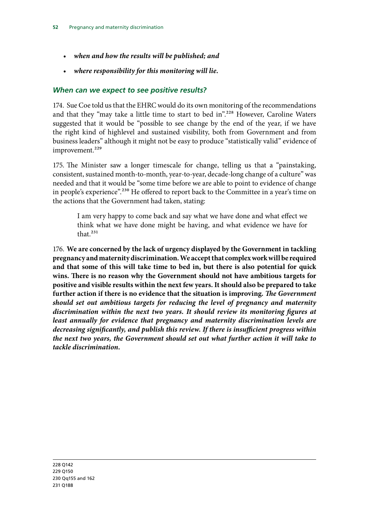- <span id="page-55-0"></span>• *when and how the results will be published; and*
- *where responsibility for this monitoring will lie.*

#### *When can we expect to see positive results?*

174. Sue Coe told us that the EHRC would do its own monitoring of the recommendations and that they "may take a little time to start to bed in".228 However, Caroline Waters suggested that it would be "possible to see change by the end of the year, if we have the right kind of highlevel and sustained visibility, both from Government and from business leaders" although it might not be easy to produce "statistically valid" evidence of improvement.<sup>229</sup>

175. The Minister saw a longer timescale for change, telling us that a "painstaking, consistent, sustained month-to-month, year-to-year, decade-long change of a culture" was needed and that it would be "some time before we are able to point to evidence of change in people's experience".<sup>230</sup> He offered to report back to the Committee in a year's time on the actions that the Government had taken, stating:

I am very happy to come back and say what we have done and what effect we think what we have done might be having, and what evidence we have for that<sup>231</sup>

176. **We are concerned by the lack of urgency displayed by the Government in tackling pregnancy and maternity discrimination. We accept that complex work will be required and that some of this will take time to bed in, but there is also potential for quick wins. There is no reason why the Government should not have ambitious targets for positive and visible results within the next few years. It should also be prepared to take further action if there is no evidence that the situation is improving.** *The Government should set out ambitious targets for reducing the level of pregnancy and maternity discrimination within the next two years. It should review its monitoring figures at least annually for evidence that pregnancy and maternity discrimination levels are decreasing significantly, and publish this review. If there is insufficient progress within the next two years, the Government should set out what further action it will take to tackle discrimination.*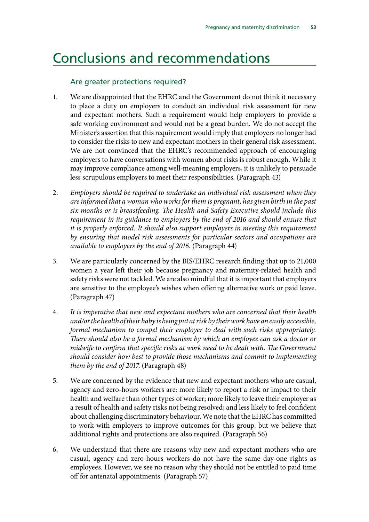## <span id="page-56-0"></span>Conclusions and recommendations

#### Are greater protections required?

- 1. We are disappointed that the EHRC and the Government do not think it necessary to place a duty on employers to conduct an individual risk assessment for new and expectant mothers. Such a requirement would help employers to provide a safe working environment and would not be a great burden. We do not accept the Minister's assertion that this requirement would imply that employers no longer had to consider the risks to new and expectant mothers in their general risk assessment. We are not convinced that the EHRC's recommended approach of encouraging employers to have conversations with women about risks is robust enough. While it may improve compliance among well-meaning employers, it is unlikely to persuade less scrupulous employers to meet their responsibilities. (Paragraph 43)
- 2. *Employers should be required to undertake an individual risk assessment when they are informed that a woman who works for them is pregnant, has given birth in the past six months or is breastfeeding. The Health and Safety Executive should include this requirement in its guidance to employers by the end of 2016 and should ensure that it is properly enforced. It should also support employers in meeting this requirement by ensuring that model risk assessments for particular sectors and occupations are available to employers by the end of 2016.* (Paragraph 44)
- 3. We are particularly concerned by the BIS/EHRC research finding that up to 21,000 women a year left their job because pregnancy and maternity-related health and safety risks were not tackled. We are also mindful that it is important that employers are sensitive to the employee's wishes when offering alternative work or paid leave. (Paragraph 47)
- 4. *It is imperative that new and expectant mothers who are concerned that their health and/or the health of their baby is being put at risk by their work have an easily accessible, formal mechanism to compel their employer to deal with such risks appropriately. There should also be a formal mechanism by which an employee can ask a doctor or midwife to confirm that specific risks at work need to be dealt with. The Government should consider how best to provide those mechanisms and commit to implementing them by the end of 2017*. (Paragraph 48)
- 5. We are concerned by the evidence that new and expectant mothers who are casual, agency and zero-hours workers are: more likely to report a risk or impact to their health and welfare than other types of worker; more likely to leave their employer as a result of health and safety risks not being resolved; and less likely to feel confident about challenging discriminatory behaviour. We note that the EHRC has committed to work with employers to improve outcomes for this group, but we believe that additional rights and protections are also required. (Paragraph 56)
- 6. We understand that there are reasons why new and expectant mothers who are casual, agency and zero-hours workers do not have the same day-one rights as employees. However, we see no reason why they should not be entitled to paid time off for antenatal appointments. (Paragraph 57)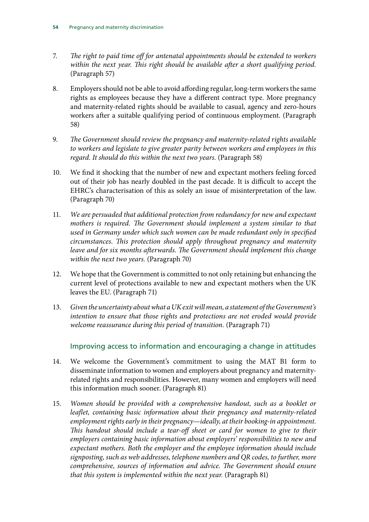- 7. *The right to paid time off for antenatal appointments should be extended to workers within the next year. This right should be available after a short qualifying period.*  (Paragraph 57)
- 8. Employers should not be able to avoid affording regular, long-term workers the same rights as employees because they have a different contract type. More pregnancy and maternity-related rights should be available to casual, agency and zero-hours workers after a suitable qualifying period of continuous employment. (Paragraph 58)
- 9. *The Government should review the pregnancy and maternity-related rights available to workers and legislate to give greater parity between workers and employees in this regard. It should do this within the next two years.* (Paragraph 58)
- 10. We find it shocking that the number of new and expectant mothers feeling forced out of their job has nearly doubled in the past decade. It is difficult to accept the EHRC's characterisation of this as solely an issue of misinterpretation of the law. (Paragraph 70)
- 11. We are persuaded that additional protection from redundancy for new and expectant *mothers is required. The Government should implement a system similar to that used in Germany under which such women can be made redundant only in specified circumstances. This protection should apply throughout pregnancy and maternity leave and for six months afterwards. The Government should implement this change within the next two years.* (Paragraph 70)
- 12. We hope that the Government is committed to not only retaining but enhancing the current level of protections available to new and expectant mothers when the UK leaves the EU. (Paragraph 71)
- 13. *Given the uncertainty about what a UK exit will mean, a statement of the Government's intention to ensure that those rights and protections are not eroded would provide welcome reassurance during this period of transition.* (Paragraph 71)

#### Improving access to information and encouraging a change in attitudes

- 14. We welcome the Government's commitment to using the MAT B1 form to disseminate information to women and employers about pregnancy and maternityrelated rights and responsibilities. However, many women and employers will need this information much sooner. (Paragraph 81)
- 15. Women should be provided with a comprehensive handout, such as a booklet or *leaflet, containing basic information about their pregnancy and maternity-related employment rights early in their pregnancy—ideally, at their booking-in appointment. This handout should include a tear-off sheet or card for women to give to their employers containing basic information about employers' responsibilities to new and expectant mothers. Both the employer and the employee information should include signposting, such as web addresses, telephone numbers and QR codes, to further, more comprehensive, sources of information and advice. The Government should ensure that this system is implemented within the next year.* (Paragraph 81)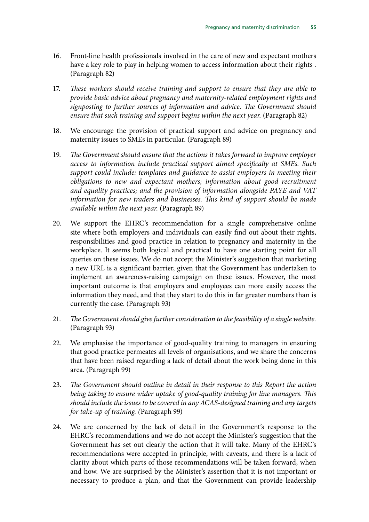- 16. Front-line health professionals involved in the care of new and expectant mothers have a key role to play in helping women to access information about their rights . (Paragraph 82)
- 17. *These workers should receive training and support to ensure that they are able to provide basic advice about pregnancy and maternity-related employment rights and signposting to further sources of information and advice. The Government should ensure that such training and support begins within the next year.* (Paragraph 82)
- 18. We encourage the provision of practical support and advice on pregnancy and maternity issues to SMEs in particular. (Paragraph 89)
- 19. *The Government should ensure that the actions it takes forward to improve employer access to information include practical support aimed specifically at SMEs. Such support could include: templates and guidance to assist employers in meeting their obligations to new and expectant mothers; information about good recruitment and equality practices; and the provision of information alongside PAYE and VAT information for new traders and businesses. This kind of support should be made available within the next year.* (Paragraph 89)
- 20. We support the EHRC's recommendation for a single comprehensive online site where both employers and individuals can easily find out about their rights, responsibilities and good practice in relation to pregnancy and maternity in the workplace. It seems both logical and practical to have one starting point for all queries on these issues. We do not accept the Minister's suggestion that marketing a new URL is a significant barrier, given that the Government has undertaken to implement an awareness-raising campaign on these issues. However, the most important outcome is that employers and employees can more easily access the information they need, and that they start to do this in far greater numbers than is currently the case. (Paragraph 93)
- 21. The Government should give further consideration to the feasibility of a single website. (Paragraph 93)
- 22. We emphasise the importance of good-quality training to managers in ensuring that good practice permeates all levels of organisations, and we share the concerns that have been raised regarding a lack of detail about the work being done in this area. (Paragraph 99)
- 23. *The Government should outline in detail in their response to this Report the action being taking to ensure wider uptake of good-quality training for line managers. This should include the issues to be covered in any ACAS-designed training and any targets for take-up of training. (*Paragraph 99)
- 24. We are concerned by the lack of detail in the Government's response to the EHRC's recommendations and we do not accept the Minister's suggestion that the Government has set out clearly the action that it will take. Many of the EHRC's recommendations were accepted in principle, with caveats, and there is a lack of clarity about which parts of those recommendations will be taken forward, when and how. We are surprised by the Minister's assertion that it is not important or necessary to produce a plan, and that the Government can provide leadership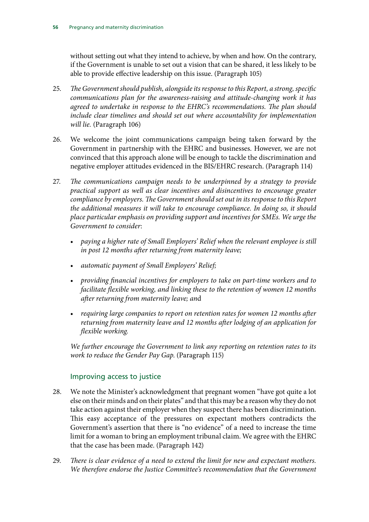without setting out what they intend to achieve, by when and how. On the contrary, if the Government is unable to set out a vision that can be shared, it less likely to be able to provide effective leadership on this issue. (Paragraph 105)

- 25. *The Government should publish, alongside its response to this Report, a strong, specific communications plan for the awareness-raising and attitude-changing work it has agreed to undertake in response to the EHRC's recommendations. The plan should include clear timelines and should set out where accountability for implementation will lie.* (Paragraph 106)
- 26. We welcome the joint communications campaign being taken forward by the Government in partnership with the EHRC and businesses. However, we are not convinced that this approach alone will be enough to tackle the discrimination and negative employer attitudes evidenced in the BIS/EHRC research. (Paragraph 114)
- 27. *The communications campaign needs to be underpinned by a strategy to provide practical support as well as clear incentives and disincentives to encourage greater compliance by employers. The Government should set out in its response to this Report the additional measures it will take to encourage compliance. In doing so, it should place particular emphasis on providing support and incentives for SMEs. We urge the Government to consider*:
	- *paying a higher rate of Small Employers' Relief when the relevant employee is still in post 12 months after returning from maternity leave;*
	- • *automatic payment of Small Employers' Relief;*
	- • *providing financial incentives for employers to take on part-time workers and to facilitate flexible working, and linking these to the retention of women 12 months after returning from maternity leave; an*d
	- *requiring large companies to report on retention rates for women 12 months after returning from maternity leave and 12 months after lodging of an application for flexible working.*

*We further encourage the Government to link any reporting on retention rates to its work to reduce the Gender Pay Gap*. (Paragraph 115)

#### Improving access to justice

- 28. We note the Minister's acknowledgment that pregnant women "have got quite a lot else on their minds and on their plates" and that this may be a reason why they do not take action against their employer when they suspect there has been discrimination. This easy acceptance of the pressures on expectant mothers contradicts the Government's assertion that there is "no evidence" of a need to increase the time limit for a woman to bring an employment tribunal claim. We agree with the EHRC that the case has been made. (Paragraph 142)
- 29. *There is clear evidence of a need to extend the limit for new and expectant mothers. We therefore endorse the Justice Committee's recommendation that the Government*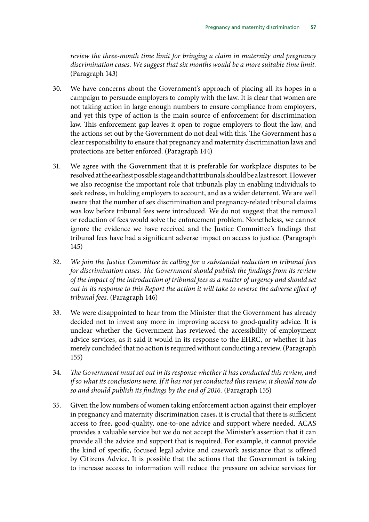*review the three-month time limit for bringing a claim in maternity and pregnancy discrimination cases. We suggest that six months would be a more suitable time limit.*  (Paragraph 143)

- 30. We have concerns about the Government's approach of placing all its hopes in a campaign to persuade employers to comply with the law. It is clear that women are not taking action in large enough numbers to ensure compliance from employers, and yet this type of action is the main source of enforcement for discrimination law. This enforcement gap leaves it open to rogue employers to flout the law, and the actions set out by the Government do not deal with this. The Government has a clear responsibility to ensure that pregnancy and maternity discrimination laws and protections are better enforced. (Paragraph 144)
- 31. We agree with the Government that it is preferable for workplace disputes to be resolved at the earliest possible stage and that tribunals should be a last resort. However we also recognise the important role that tribunals play in enabling individuals to seek redress, in holding employers to account, and as a wider deterrent. We are well aware that the number of sex discrimination and pregnancy-related tribunal claims was low before tribunal fees were introduced. We do not suggest that the removal or reduction of fees would solve the enforcement problem. Nonetheless, we cannot ignore the evidence we have received and the Justice Committee's findings that tribunal fees have had a significant adverse impact on access to justice. (Paragraph 145)
- 32. *We join the Justice Committee in calling for a substantial reduction in tribunal fees for discrimination cases. The Government should publish the findings from its review of the impact of the introduction of tribunal fees as a matter of urgency and should set out in its response to this Report the action it will take to reverse the adverse effect of tribunal fees.* (Paragraph 146)
- 33. We were disappointed to hear from the Minister that the Government has already decided not to invest any more in improving access to good-quality advice. It is unclear whether the Government has reviewed the accessibility of employment advice services, as it said it would in its response to the EHRC, or whether it has merely concluded that no action is required without conducting a review. (Paragraph 155)
- 34. *The Government must set out in its response whether it has conducted this review, and if so what its conclusions were. If it has not yet conducted this review, it should now do so and should publish its findings by the end of 2016.* (Paragraph 155)
- 35. Given the low numbers of women taking enforcement action against their employer in pregnancy and maternity discrimination cases, it is crucial that there is sufficient access to free, good-quality, one-to-one advice and support where needed. ACAS provides a valuable service but we do not accept the Minister's assertion that it can provide all the advice and support that is required. For example, it cannot provide the kind of specific, focused legal advice and casework assistance that is offered by Citizens Advice. It is possible that the actions that the Government is taking to increase access to information will reduce the pressure on advice services for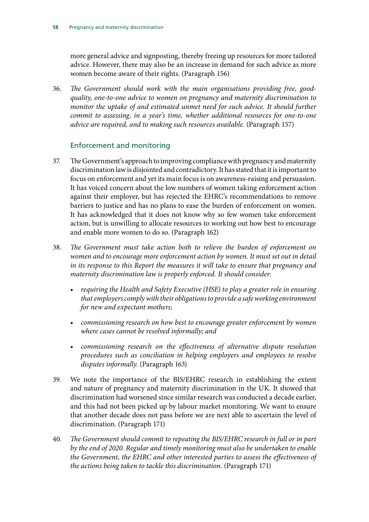more general advice and signposting, thereby freeing up resources for more tailored advice. However, there may also be an increase in demand for such advice as more women become aware of their rights. (Paragraph 156)

36. The Government should work with the main organisations providing free, good*quality, one-to-one advice to women on pregnancy and maternity discrimination to monitor the uptake of and estimated unmet need for such advice. It should further commit to assessing, in a year's time, whether additional resources for one-to-one advice are required, and to making such resources available.* (Paragraph 157)

#### Enforcement and monitoring

- 37. The Government's approach to improving compliance with pregnancy and maternity discrimination law is disjointed and contradictory. It has stated that it is important to focus on enforcement and yet its main focus is on awareness-raising and persuasion. It has voiced concern about the low numbers of women taking enforcement action against their employer, but has rejected the EHRC's recommendations to remove barriers to justice and has no plans to ease the burden of enforcement on women. It has acknowledged that it does not know why so few women take enforcement action, but is unwilling to allocate resources to working out how best to encourage and enable more women to do so. (Paragraph 162)
- 38. *The Government must take action both to relieve the burden of enforcement on women and to encourage more enforcement action by women. It must set out in detail in its response to this Report the measures it will take to ensure that pregnancy and maternity discrimination law is properly enforced. It should consider:* 
	- • *requiring the Health and Safety Executive (HSE) to play a greater role in ensuring that employers comply with their obligations to provide a safe working environment for new and expectant mothers;*
	- • *commissioning research on how best to encourage greater enforcement by women where cases cannot be resolved informally; and*
	- • *commissioning research on the effectiveness of alternative dispute resolution procedures such as conciliation in helping employers and employees to resolve disputes informally.* (Paragraph 163)
- 39. We note the importance of the BIS/EHRC research in establishing the extent and nature of pregnancy and maternity discrimination in the UK. It showed that discrimination had worsened since similar research was conducted a decade earlier, and this had not been picked up by labour market monitoring. We want to ensure that another decade does not pass before we are next able to ascertain the level of discrimination. (Paragraph 171)
- 40. *The Government should commit to repeating the BIS/EHRC research in full or in part by the end of 2020. Regular and timely monitoring must also be undertaken to enable the Government, the EHRC and other interested parties to assess the effectiveness of the actions being taken to tackle this discrimination.* (Paragraph 171)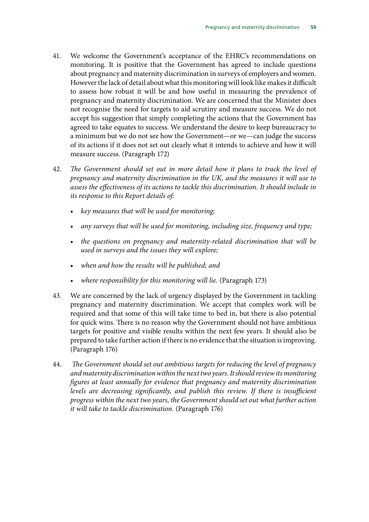- 41. We welcome the Government's acceptance of the EHRC's recommendations on monitoring. It is positive that the Government has agreed to include questions about pregnancy and maternity discrimination in surveys of employers and women. However the lack of detail about what this monitoring will look like makes it difficult to assess how robust it will be and how useful in measuring the prevalence of pregnancy and maternity discrimination. We are concerned that the Minister does not recognise the need for targets to aid scrutiny and measure success. We do not accept his suggestion that simply completing the actions that the Government has agreed to take equates to success. We understand the desire to keep bureaucracy to a minimum but we do not see how the Government—or we—can judge the success of its actions if it does not set out clearly what it intends to achieve and how it will measure success. (Paragraph 172)
- 42. *The Government should set out in more detail how it plans to track the level of pregnancy and maternity discrimination in the UK, and the measures it will use to assess the effectiveness of its actions to tackle this discrimination. It should include in its response to this Report details of:* 
	- • *key measures that will be used for monitoring;*
	- any surveys that will be used for monitoring, including size, frequency and type;
	- the questions on pregnancy and maternity-related discrimination that will be *used in surveys and the issues they will explore;*
	- when and how the results will be published; and
	- where responsibility for this monitoring will lie. (Paragraph 173)
- 43. We are concerned by the lack of urgency displayed by the Government in tackling pregnancy and maternity discrimination. We accept that complex work will be required and that some of this will take time to bed in, but there is also potential for quick wins. There is no reason why the Government should not have ambitious targets for positive and visible results within the next few years. It should also be prepared to take further action if there is no evidence that the situation is improving. (Paragraph 176)
- 44.  *The Government should set out ambitious targets for reducing the level of pregnancy and maternity discrimination within the next two years. It should review its monitoring figures at least annually for evidence that pregnancy and maternity discrimination levels are decreasing significantly, and publish this review. If there is insufficient progress within the next two years, the Government should set out what further action it will take to tackle discrimination.* (Paragraph 176)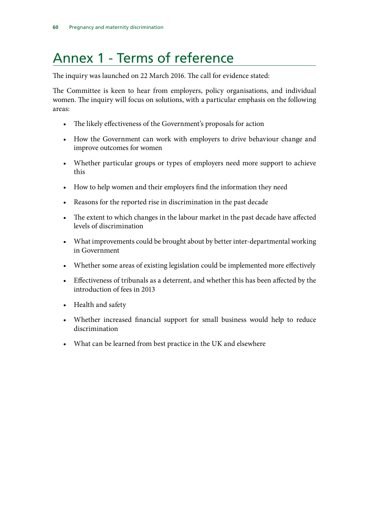## <span id="page-63-0"></span>Annex 1 - Terms of reference

The inquiry was launched on 22 March 2016. The call for evidence stated:

The Committee is keen to hear from employers, policy organisations, and individual women. The inquiry will focus on solutions, with a particular emphasis on the following areas:

- The likely effectiveness of the Government's proposals for action
- How the Government can work with employers to drive behaviour change and improve outcomes for women
- • Whether particular groups or types of employers need more support to achieve this
- How to help women and their employers find the information they need
- Reasons for the reported rise in discrimination in the past decade
- The extent to which changes in the labour market in the past decade have affected levels of discrimination
- What improvements could be brought about by better inter-departmental working in Government
- Whether some areas of existing legislation could be implemented more effectively
- • Effectiveness of tribunals as a deterrent, and whether this has been affected by the introduction of fees in 2013
- Health and safety
- • Whether increased financial support for small business would help to reduce discrimination
- What can be learned from best practice in the UK and elsewhere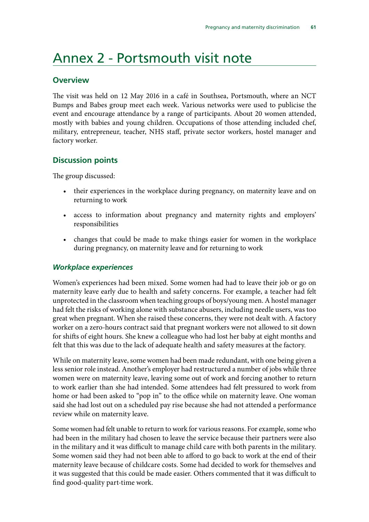### <span id="page-64-0"></span>Annex 2 - Portsmouth visit note

#### **Overview**

The visit was held on 12 May 2016 in a café in Southsea, Portsmouth, where an NCT Bumps and Babes group meet each week. Various networks were used to publicise the event and encourage attendance by a range of participants. About 20 women attended, mostly with babies and young children. Occupations of those attending included chef, military, entrepreneur, teacher, NHS staff, private sector workers, hostel manager and factory worker.

#### **Discussion points**

The group discussed:

- their experiences in the workplace during pregnancy, on maternity leave and on returning to work
- • access to information about pregnancy and maternity rights and employers' responsibilities
- changes that could be made to make things easier for women in the workplace during pregnancy, on maternity leave and for returning to work

#### *Workplace experiences*

Women's experiences had been mixed. Some women had had to leave their job or go on maternity leave early due to health and safety concerns. For example, a teacher had felt unprotected in the classroom when teaching groups of boys/young men. A hostel manager had felt the risks of working alone with substance abusers, including needle users, was too great when pregnant. When she raised these concerns, they were not dealt with. A factory worker on a zero-hours contract said that pregnant workers were not allowed to sit down for shifts of eight hours. She knew a colleague who had lost her baby at eight months and felt that this was due to the lack of adequate health and safety measures at the factory.

While on maternity leave, some women had been made redundant, with one being given a less senior role instead. Another's employer had restructured a number of jobs while three women were on maternity leave, leaving some out of work and forcing another to return to work earlier than she had intended. Some attendees had felt pressured to work from home or had been asked to "pop in" to the office while on maternity leave. One woman said she had lost out on a scheduled pay rise because she had not attended a performance review while on maternity leave.

Some women had felt unable to return to work for various reasons. For example, some who had been in the military had chosen to leave the service because their partners were also in the military and it was difficult to manage child care with both parents in the military. Some women said they had not been able to afford to go back to work at the end of their maternity leave because of childcare costs. Some had decided to work for themselves and it was suggested that this could be made easier. Others commented that it was difficult to find good-quality part-time work.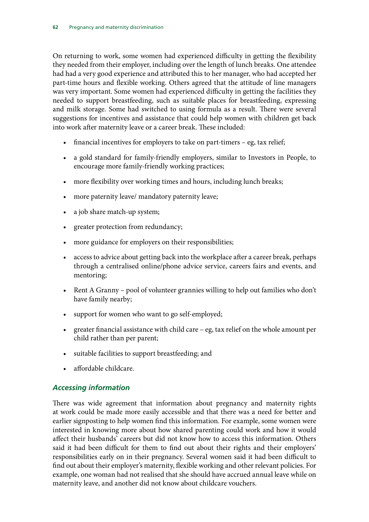<span id="page-65-0"></span>On returning to work, some women had experienced difficulty in getting the flexibility they needed from their employer, including over the length of lunch breaks. One attendee had had a very good experience and attributed this to her manager, who had accepted her part-time hours and flexible working. Others agreed that the attitude of line managers was very important. Some women had experienced difficulty in getting the facilities they needed to support breastfeeding, such as suitable places for breastfeeding, expressing and milk storage. Some had switched to using formula as a result. There were several suggestions for incentives and assistance that could help women with children get back into work after maternity leave or a career break. These included:

- financial incentives for employers to take on part-timers  $-$  eg, tax relief;
- a gold standard for family-friendly employers, similar to Investors in People, to encourage more family-friendly working practices;
- more flexibility over working times and hours, including lunch breaks;
- more paternity leave/ mandatory paternity leave;
- a job share match-up system;
- greater protection from redundancy;
- more guidance for employers on their responsibilities;
- access to advice about getting back into the workplace after a career break, perhaps through a centralised online/phone advice service, careers fairs and events, and mentoring;
- Rent A Granny pool of volunteer grannies willing to help out families who don't have family nearby;
- support for women who want to go self-employed;
- greater financial assistance with child care eg, tax relief on the whole amount per child rather than per parent;
- suitable facilities to support breastfeeding; and
- affordable childcare.

#### *Accessing information*

There was wide agreement that information about pregnancy and maternity rights at work could be made more easily accessible and that there was a need for better and earlier signposting to help women find this information. For example, some women were interested in knowing more about how shared parenting could work and how it would affect their husbands' careers but did not know how to access this information. Others said it had been difficult for them to find out about their rights and their employers' responsibilities early on in their pregnancy. Several women said it had been difficult to find out about their employer's maternity, flexible working and other relevant policies. For example, one woman had not realised that she should have accrued annual leave while on maternity leave, and another did not know about childcare vouchers.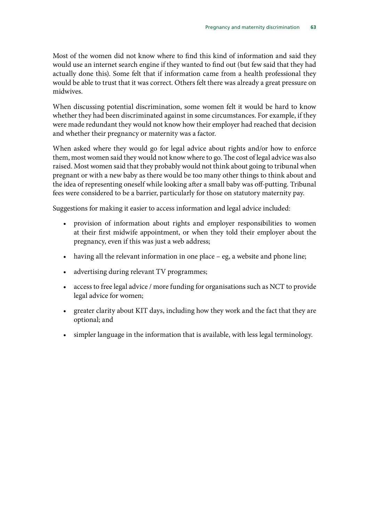Most of the women did not know where to find this kind of information and said they would use an internet search engine if they wanted to find out (but few said that they had actually done this). Some felt that if information came from a health professional they would be able to trust that it was correct. Others felt there was already a great pressure on midwives.

When discussing potential discrimination, some women felt it would be hard to know whether they had been discriminated against in some circumstances. For example, if they were made redundant they would not know how their employer had reached that decision and whether their pregnancy or maternity was a factor.

When asked where they would go for legal advice about rights and/or how to enforce them, most women said they would not know where to go. The cost of legal advice was also raised. Most women said that they probably would not think about going to tribunal when pregnant or with a new baby as there would be too many other things to think about and the idea of representing oneself while looking after a small baby was off-putting. Tribunal fees were considered to be a barrier, particularly for those on statutory maternity pay.

Suggestions for making it easier to access information and legal advice included:

- provision of information about rights and employer responsibilities to women at their first midwife appointment, or when they told their employer about the pregnancy, even if this was just a web address;
- having all the relevant information in one place  $-$  eg, a website and phone line;
- advertising during relevant TV programmes;
- access to free legal advice / more funding for organisations such as NCT to provide legal advice for women;
- greater clarity about KIT days, including how they work and the fact that they are optional; and
- simpler language in the information that is available, with less legal terminology.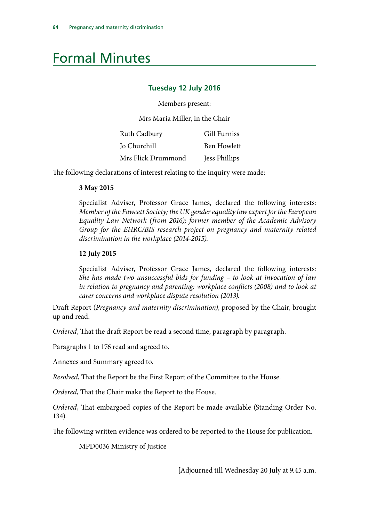## <span id="page-67-0"></span>Formal Minutes

#### **Tuesday 12 July 2016**

Members present:

Mrs Maria Miller, in the Chair

| Ruth Cadbury       | <b>Gill Furniss</b> |
|--------------------|---------------------|
| Jo Churchill       | <b>Ben Howlett</b>  |
| Mrs Flick Drummond | Jess Phillips       |

The following declarations of interest relating to the inquiry were made:

#### **3 May 2015**

Specialist Adviser, Professor Grace James, declared the following interests: *Member of the Fawcett Society; the UK gender equality law expert for the European Equality Law Network (from 2016); former member of the Academic Advisory Group for the EHRC/BIS research project on pregnancy and maternity related discrimination in the workplace (2014-2015).* 

#### **12 July 2015**

Specialist Adviser, Professor Grace James, declared the following interests: *She has made two unsuccessful bids for funding – to look at invocation of law in relation to pregnancy and parenting: workplace conflicts (2008) and to look at carer concerns and workplace dispute resolution (2013).* 

Draft Report (*Pregnancy and maternity discrimination)*, proposed by the Chair, brought up and read.

*Ordered*, That the draft Report be read a second time, paragraph by paragraph.

Paragraphs 1 to 176 read and agreed to.

Annexes and Summary agreed to.

*Resolved*, That the Report be the First Report of the Committee to the House.

*Ordered*, That the Chair make the Report to the House.

*Ordered*, That embargoed copies of the Report be made available (Standing Order No. 134).

The following written evidence was ordered to be reported to the House for publication.

MPD0036 Ministry of Justice

[Adjourned till Wednesday 20 July at 9.45 a.m.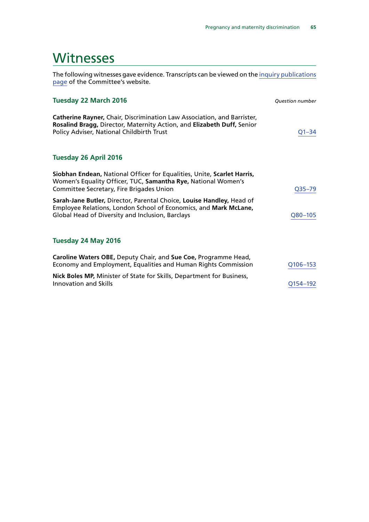### <span id="page-68-0"></span>**Witnesses**

The following witnesses gave evidence. Transcripts can be viewed on the [inquiry publications](http://www.parliament.uk/business/committees/committees-a-z/commons-select/women-and-equalities-committee/inquiries/parliament-2015/pregnancy-and-maternity-discrimination-15-16/publications/) [page](http://www.parliament.uk/business/committees/committees-a-z/commons-select/women-and-equalities-committee/inquiries/parliament-2015/pregnancy-and-maternity-discrimination-15-16/publications/) of the Committee's website.

| <b>Tuesday 22 March 2016</b>                                                                                                                                                                   | <b>Ouestion number</b> |
|------------------------------------------------------------------------------------------------------------------------------------------------------------------------------------------------|------------------------|
| Catherine Rayner, Chair, Discrimination Law Association, and Barrister,<br>Rosalind Bragg, Director, Maternity Action, and Elizabeth Duff, Senior<br>Policy Adviser, National Childbirth Trust | $Q1 - 34$              |
| <b>Tuesday 26 April 2016</b>                                                                                                                                                                   |                        |
| Siobhan Endean, National Officer for Equalities, Unite, Scarlet Harris,<br>Women's Equality Officer, TUC, Samantha Rye, National Women's<br>Committee Secretary, Fire Brigades Union           | Q35-79                 |
| Sarah-Jane Butler, Director, Parental Choice, Louise Handley, Head of<br>Employee Relations, London School of Economics, and Mark McLane,<br>Global Head of Diversity and Inclusion, Barclays  | Q80-105                |
| Tuesday 24 May 2016                                                                                                                                                                            |                        |
| Caroline Waters OBE, Deputy Chair, and Sue Coe, Programme Head,<br>Economy and Employment, Equalities and Human Rights Commission                                                              | Q106-153               |
| Nick Boles MP, Minister of State for Skills, Department for Business,<br>Innovation and Skills                                                                                                 | Q154-192               |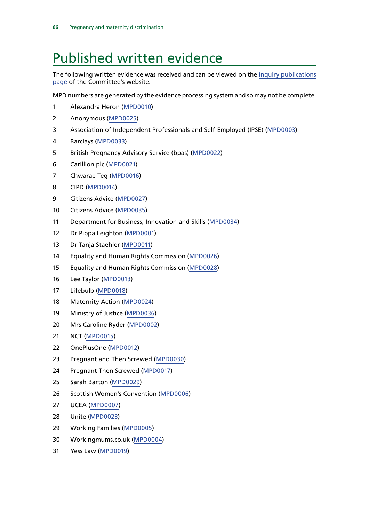## <span id="page-69-0"></span>Published written evidence

The following written evidence was received and can be viewed on the [inquiry publications](http://www.parliament.uk/business/committees/committees-a-z/commons-select/justice-committee/inquiries/parliament-2015/restorative-justice-inquiry-15-16/publications/) [page](http://www.parliament.uk/business/committees/committees-a-z/commons-select/justice-committee/inquiries/parliament-2015/restorative-justice-inquiry-15-16/publications/) of the Committee's website.

MPD numbers are generated by the evidence processing system and so may not be complete.

- 1 Alexandra Heron [\(MPD0010\)](http://data.parliament.uk/WrittenEvidence/CommitteeEvidence.svc/EvidenceDocument/Women%20and%20Equalities/Maternity%20and%20pregnancy%20discrimination/written/31871.html)
- 2 Anonymous [\(MPD0025](http://data.parliament.uk/WrittenEvidence/CommitteeEvidence.svc/EvidenceDocument/Women%20and%20Equalities/Maternity%20and%20pregnancy%20discrimination/written/33413.html))
- 3 Association of Independent Professionals and Self-Employed (IPSE) [\(MPD0003](http://data.parliament.uk/WrittenEvidence/CommitteeEvidence.svc/EvidenceDocument/Women%20and%20Equalities/Maternity%20and%20pregnancy%20discrimination/written/31616.html))
- 4 Barclays ([MPD0033](http://data.parliament.uk/WrittenEvidence/CommitteeEvidence.svc/EvidenceDocument/Women%20and%20Equalities/Maternity%20and%20pregnancy%20discrimination/written/34536.html))
- 5 British Pregnancy Advisory Service (bpas) ([MPD0022\)](http://data.parliament.uk/WrittenEvidence/CommitteeEvidence.svc/EvidenceDocument/Women%20and%20Equalities/Maternity%20and%20pregnancy%20discrimination/written/32570.html)
- 6 Carillion plc [\(MPD0021\)](http://data.parliament.uk/WrittenEvidence/CommitteeEvidence.svc/EvidenceDocument/Women%20and%20Equalities/Maternity%20and%20pregnancy%20discrimination/written/32431.html)
- 7 Chwarae Teg [\(MPD0016](http://data.parliament.uk/WrittenEvidence/CommitteeEvidence.svc/EvidenceDocument/Women%20and%20Equalities/Maternity%20and%20pregnancy%20discrimination/written/31967.html))
- 8 CIPD [\(MPD0014\)](http://data.parliament.uk/WrittenEvidence/CommitteeEvidence.svc/EvidenceDocument/Women%20and%20Equalities/Maternity%20and%20pregnancy%20discrimination/written/31958.html)
- 9 Citizens Advice [\(MPD0027](http://data.parliament.uk/WrittenEvidence/CommitteeEvidence.svc/EvidenceDocument/Women%20and%20Equalities/Maternity%20and%20pregnancy%20discrimination/written/33416.html))
- 10 Citizens Advice [\(MPD0035](http://data.parliament.uk/WrittenEvidence/CommitteeEvidence.svc/EvidenceDocument/Women%20and%20Equalities/Maternity%20and%20pregnancy%20discrimination/written/34699.html))
- 11 Department for Business, Innovation and Skills ([MPD0034\)](http://data.parliament.uk/WrittenEvidence/CommitteeEvidence.svc/EvidenceDocument/Women%20and%20Equalities/Maternity%20and%20pregnancy%20discrimination/written/34568.html)
- 12 Dr Pippa Leighton [\(MPD0001\)](http://data.parliament.uk/WrittenEvidence/CommitteeEvidence.svc/EvidenceDocument/Women%20and%20Equalities/Maternity%20and%20pregnancy%20discrimination/written/31389.html)
- 13 Dr Tanja Staehler [\(MPD0011](http://data.parliament.uk/WrittenEvidence/CommitteeEvidence.svc/EvidenceDocument/Women%20and%20Equalities/Maternity%20and%20pregnancy%20discrimination/written/31886.html))
- 14 Equality and Human Rights Commission [\(MPD0026](http://data.parliament.uk/WrittenEvidence/CommitteeEvidence.svc/EvidenceDocument/Women%20and%20Equalities/Maternity%20and%20pregnancy%20discrimination/written/33415.html))
- 15 Equality and Human Rights Commission [\(MPD0028](http://data.parliament.uk/WrittenEvidence/CommitteeEvidence.svc/EvidenceDocument/Women%20and%20Equalities/Maternity%20and%20pregnancy%20discrimination/written/33505.html))
- 16 Lee Taylor ([MPD0013\)](http://data.parliament.uk/WrittenEvidence/CommitteeEvidence.svc/EvidenceDocument/Women%20and%20Equalities/Maternity%20and%20pregnancy%20discrimination/written/31941.html)
- 17 Lifebulb ([MPD0018](http://data.parliament.uk/WrittenEvidence/CommitteeEvidence.svc/EvidenceDocument/Women%20and%20Equalities/Maternity%20and%20pregnancy%20discrimination/written/31975.html))
- 18 Maternity Action ([MPD0024](http://data.parliament.uk/WrittenEvidence/CommitteeEvidence.svc/EvidenceDocument/Women%20and%20Equalities/Maternity%20and%20pregnancy%20discrimination/written/33313.html))
- 19 Ministry of Justice [\(MPD0036](http://data.parliament.uk/WrittenEvidence/CommitteeEvidence.svc/EvidenceDocument/Women%20and%20Equalities/Maternity%20and%20pregnancy%20discrimination/written/34885.html))
- 20 Mrs Caroline Ryder [\(MPD0002\)](http://data.parliament.uk/WrittenEvidence/CommitteeEvidence.svc/EvidenceDocument/Women%20and%20Equalities/Maternity%20and%20pregnancy%20discrimination/written/31470.html)
- 21 NCT ([MPD0015](http://data.parliament.uk/WrittenEvidence/CommitteeEvidence.svc/EvidenceDocument/Women%20and%20Equalities/Maternity%20and%20pregnancy%20discrimination/written/31959.html))
- 22 OnePlusOne [\(MPD0012](http://data.parliament.uk/WrittenEvidence/CommitteeEvidence.svc/EvidenceDocument/Women%20and%20Equalities/Maternity%20and%20pregnancy%20discrimination/written/31909.html))
- 23 Pregnant and Then Screwed [\(MPD0030\)](http://data.parliament.uk/WrittenEvidence/CommitteeEvidence.svc/EvidenceDocument/Women%20and%20Equalities/Maternity%20and%20pregnancy%20discrimination/written/34040.html)
- 24 Pregnant Then Screwed ([MPD0017](http://data.parliament.uk/WrittenEvidence/CommitteeEvidence.svc/EvidenceDocument/Women%20and%20Equalities/Maternity%20and%20pregnancy%20discrimination/written/31974.html))
- 25 Sarah Barton [\(MPD0029](http://data.parliament.uk/WrittenEvidence/CommitteeEvidence.svc/EvidenceDocument/Women%20and%20Equalities/Maternity%20and%20pregnancy%20discrimination/written/34036.html))
- 26 Scottish Women's Convention ([MPD0006](http://data.parliament.uk/WrittenEvidence/CommitteeEvidence.svc/EvidenceDocument/Women%20and%20Equalities/Maternity%20and%20pregnancy%20discrimination/written/31806.html))
- 27 UCEA ([MPD0007](http://data.parliament.uk/WrittenEvidence/CommitteeEvidence.svc/EvidenceDocument/Women%20and%20Equalities/Maternity%20and%20pregnancy%20discrimination/written/31811.html))
- 28 Unite [\(MPD0023](http://data.parliament.uk/WrittenEvidence/CommitteeEvidence.svc/EvidenceDocument/Women%20and%20Equalities/Maternity%20and%20pregnancy%20discrimination/written/33139.html))
- 29 Working Families ([MPD0005](http://data.parliament.uk/WrittenEvidence/CommitteeEvidence.svc/EvidenceDocument/Women%20and%20Equalities/Maternity%20and%20pregnancy%20discrimination/written/31778.html))
- 30 Workingmums.co.uk ([MPD0004](http://data.parliament.uk/WrittenEvidence/CommitteeEvidence.svc/EvidenceDocument/Women%20and%20Equalities/Maternity%20and%20pregnancy%20discrimination/written/31619.html))
- 31 Yess Law [\(MPD0019](http://data.parliament.uk/WrittenEvidence/CommitteeEvidence.svc/EvidenceDocument/Women%20and%20Equalities/Maternity%20and%20pregnancy%20discrimination/written/32101.html))